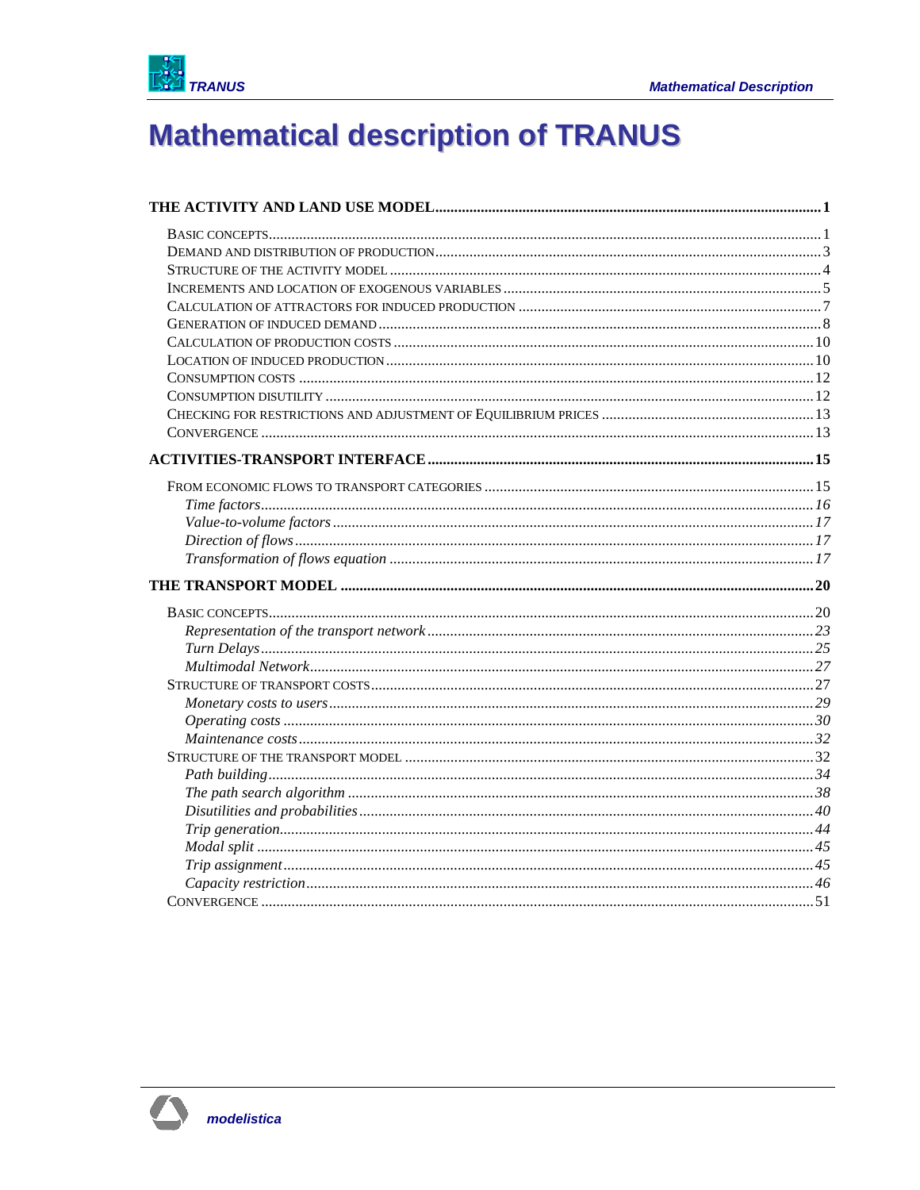

# **Mathematical description of TRANUS**

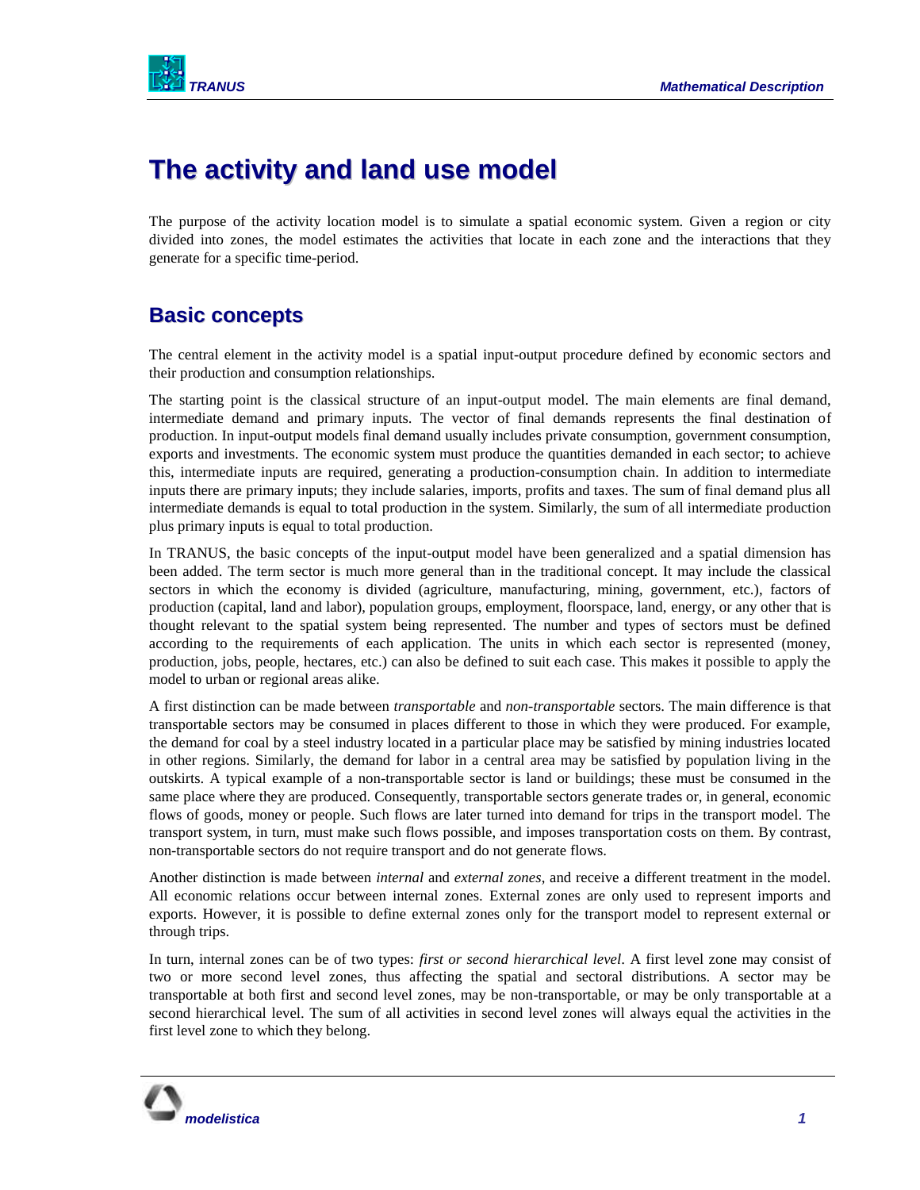

# <span id="page-2-0"></span>**The activity and land use model**

The purpose of the activity location model is to simulate a spatial economic system. Given a region or city divided into zones, the model estimates the activities that locate in each zone and the interactions that they generate for a specific time-period.

# <span id="page-2-1"></span>**Basic concepts**

The central element in the activity model is a spatial input-output procedure defined by economic sectors and their production and consumption relationships.

The starting point is the classical structure of an input-output model. The main elements are final demand, intermediate demand and primary inputs. The vector of final demands represents the final destination of production. In input-output models final demand usually includes private consumption, government consumption, exports and investments. The economic system must produce the quantities demanded in each sector; to achieve this, intermediate inputs are required, generating a production-consumption chain. In addition to intermediate inputs there are primary inputs; they include salaries, imports, profits and taxes. The sum of final demand plus all intermediate demands is equal to total production in the system. Similarly, the sum of all intermediate production plus primary inputs is equal to total production.

In TRANUS, the basic concepts of the input-output model have been generalized and a spatial dimension has been added. The term sector is much more general than in the traditional concept. It may include the classical sectors in which the economy is divided (agriculture, manufacturing, mining, government, etc.), factors of production (capital, land and labor), population groups, employment, floorspace, land, energy, or any other that is thought relevant to the spatial system being represented. The number and types of sectors must be defined according to the requirements of each application. The units in which each sector is represented (money, production, jobs, people, hectares, etc.) can also be defined to suit each case. This makes it possible to apply the model to urban or regional areas alike.

A first distinction can be made between *transportable* and *non-transportable* sectors. The main difference is that transportable sectors may be consumed in places different to those in which they were produced. For example, the demand for coal by a steel industry located in a particular place may be satisfied by mining industries located in other regions. Similarly, the demand for labor in a central area may be satisfied by population living in the outskirts. A typical example of a non-transportable sector is land or buildings; these must be consumed in the same place where they are produced. Consequently, transportable sectors generate trades or, in general, economic flows of goods, money or people. Such flows are later turned into demand for trips in the transport model. The transport system, in turn, must make such flows possible, and imposes transportation costs on them. By contrast, non-transportable sectors do not require transport and do not generate flows.

Another distinction is made between *internal* and *external zones*, and receive a different treatment in the model. All economic relations occur between internal zones. External zones are only used to represent imports and exports. However, it is possible to define external zones only for the transport model to represent external or through trips.

In turn, internal zones can be of two types: *first or second hierarchical level*. A first level zone may consist of two or more second level zones, thus affecting the spatial and sectoral distributions. A sector may be transportable at both first and second level zones, may be non-transportable, or may be only transportable at a second hierarchical level. The sum of all activities in second level zones will always equal the activities in the first level zone to which they belong.

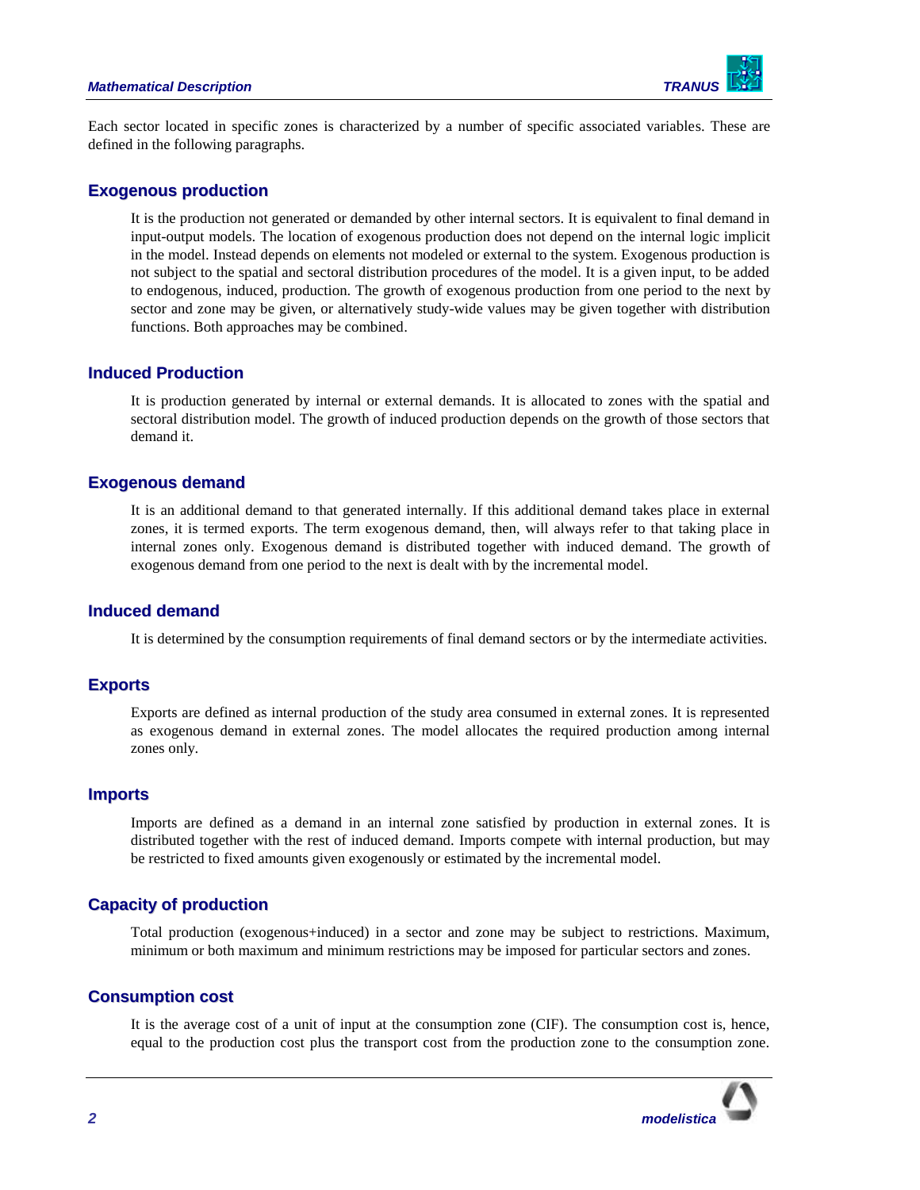### *Mathematical Description TRANUS*



Each sector located in specific zones is characterized by a number of specific associated variables. These are defined in the following paragraphs.

### **Exogenous production**

It is the production not generated or demanded by other internal sectors. It is equivalent to final demand in input-output models. The location of exogenous production does not depend on the internal logic implicit in the model. Instead depends on elements not modeled or external to the system. Exogenous production is not subject to the spatial and sectoral distribution procedures of the model. It is a given input, to be added to endogenous, induced, production. The growth of exogenous production from one period to the next by sector and zone may be given, or alternatively study-wide values may be given together with distribution functions. Both approaches may be combined.

### **Induced Production**

It is production generated by internal or external demands. It is allocated to zones with the spatial and sectoral distribution model. The growth of induced production depends on the growth of those sectors that demand it.

#### **Exogenous demand**

It is an additional demand to that generated internally. If this additional demand takes place in external zones, it is termed exports. The term exogenous demand, then, will always refer to that taking place in internal zones only. Exogenous demand is distributed together with induced demand. The growth of exogenous demand from one period to the next is dealt with by the incremental model.

### **Induced demand**

It is determined by the consumption requirements of final demand sectors or by the intermediate activities.

### **Exports**

Exports are defined as internal production of the study area consumed in external zones. It is represented as exogenous demand in external zones. The model allocates the required production among internal zones only.

### **Imports**

Imports are defined as a demand in an internal zone satisfied by production in external zones. It is distributed together with the rest of induced demand. Imports compete with internal production, but may be restricted to fixed amounts given exogenously or estimated by the incremental model.

#### **Capacity of production**

Total production (exogenous+induced) in a sector and zone may be subject to restrictions. Maximum, minimum or both maximum and minimum restrictions may be imposed for particular sectors and zones.

### **Consumption cost**

It is the average cost of a unit of input at the consumption zone (CIF). The consumption cost is, hence, equal to the production cost plus the transport cost from the production zone to the consumption zone.

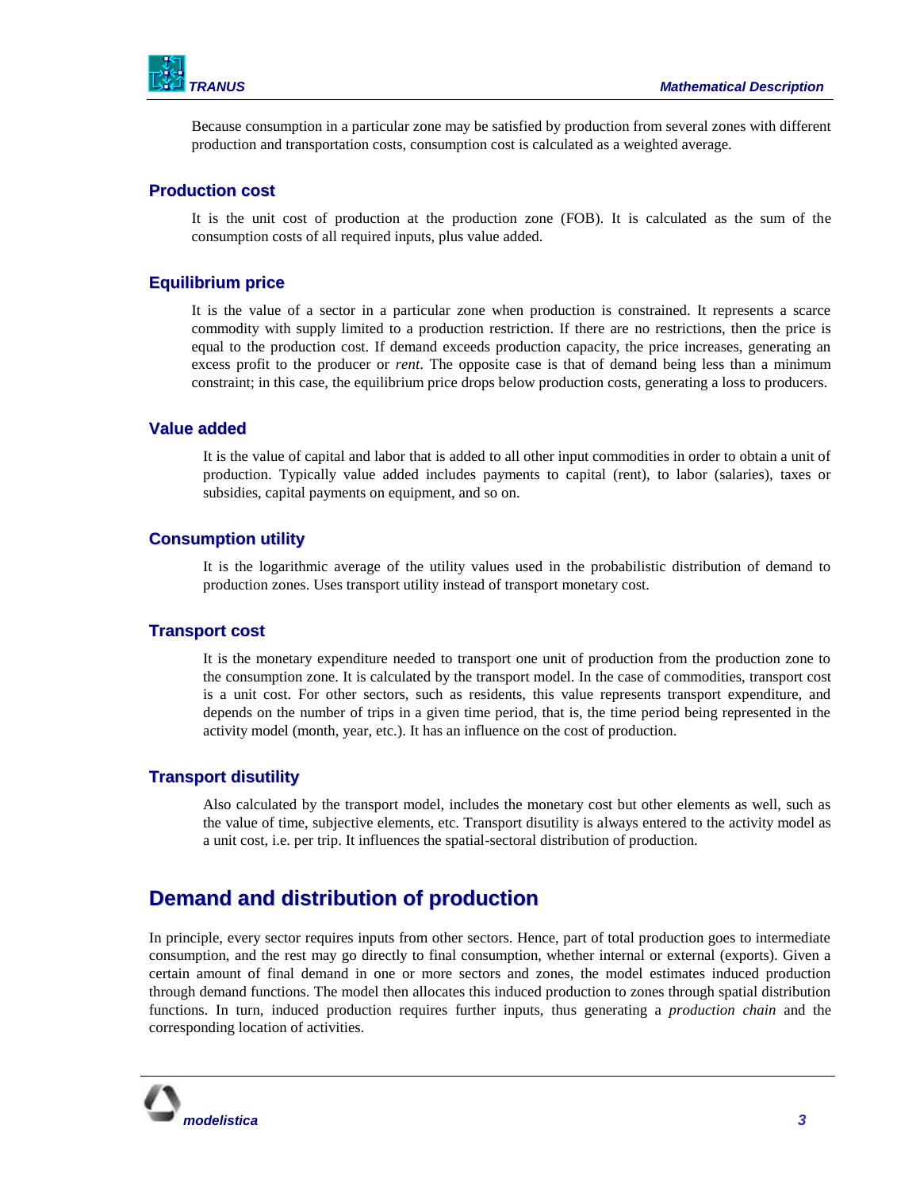

Because consumption in a particular zone may be satisfied by production from several zones with different production and transportation costs, consumption cost is calculated as a weighted average.

### **Production cost**

It is the unit cost of production at the production zone (FOB). It is calculated as the sum of the consumption costs of all required inputs, plus value added.

### **Equilibrium price**

It is the value of a sector in a particular zone when production is constrained. It represents a scarce commodity with supply limited to a production restriction. If there are no restrictions, then the price is equal to the production cost. If demand exceeds production capacity, the price increases, generating an excess profit to the producer or *rent*. The opposite case is that of demand being less than a minimum constraint; in this case, the equilibrium price drops below production costs, generating a loss to producers.

### **Value added**

It is the value of capital and labor that is added to all other input commodities in order to obtain a unit of production. Typically value added includes payments to capital (rent), to labor (salaries), taxes or subsidies, capital payments on equipment, and so on.

### **Consumption utility**

It is the logarithmic average of the utility values used in the probabilistic distribution of demand to production zones. Uses transport utility instead of transport monetary cost.

### **Transport cost**

It is the monetary expenditure needed to transport one unit of production from the production zone to the consumption zone. It is calculated by the transport model. In the case of commodities, transport cost is a unit cost. For other sectors, such as residents, this value represents transport expenditure, and depends on the number of trips in a given time period, that is, the time period being represented in the activity model (month, year, etc.). It has an influence on the cost of production.

### **Transport disutility**

Also calculated by the transport model, includes the monetary cost but other elements as well, such as the value of time, subjective elements, etc. Transport disutility is always entered to the activity model as a unit cost, i.e. per trip. It influences the spatial-sectoral distribution of production.

# <span id="page-4-0"></span>**Demand and distribution of production**

In principle, every sector requires inputs from other sectors. Hence, part of total production goes to intermediate consumption, and the rest may go directly to final consumption, whether internal or external (exports). Given a certain amount of final demand in one or more sectors and zones, the model estimates induced production through demand functions. The model then allocates this induced production to zones through spatial distribution functions. In turn, induced production requires further inputs, thus generating a *production chain* and the corresponding location of activities.

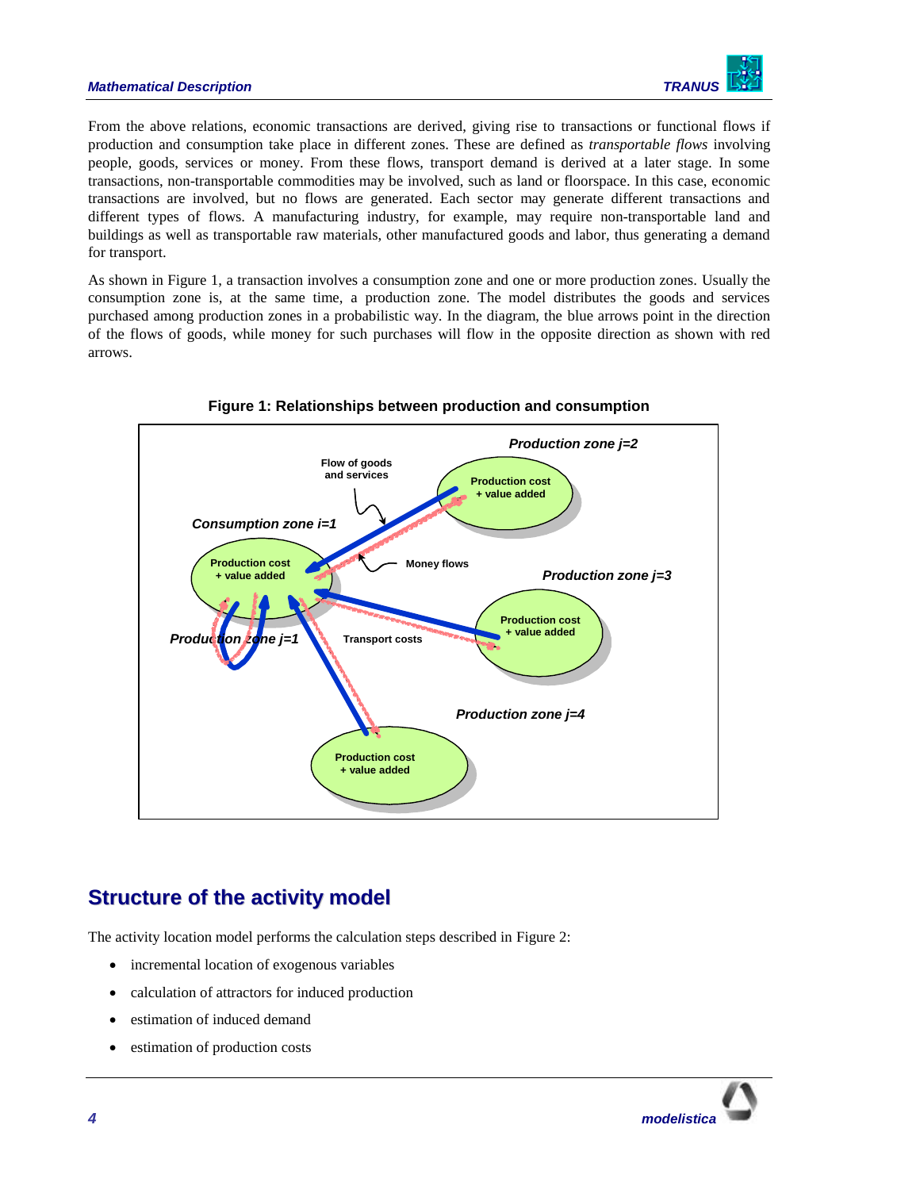### *Mathematical Description TRANUS*



From the above relations, economic transactions are derived, giving rise to transactions or functional flows if production and consumption take place in different zones. These are defined as *transportable flows* involving people, goods, services or money. From these flows, transport demand is derived at a later stage. In some transactions, non-transportable commodities may be involved, such as land or floorspace. In this case, economic transactions are involved, but no flows are generated. Each sector may generate different transactions and different types of flows. A manufacturing industry, for example, may require non-transportable land and buildings as well as transportable raw materials, other manufactured goods and labor, thus generating a demand for transport.

As shown in Figure 1, a transaction involves a consumption zone and one or more production zones. Usually the consumption zone is, at the same time, a production zone. The model distributes the goods and services purchased among production zones in a probabilistic way. In the diagram, the blue arrows point in the direction of the flows of goods, while money for such purchases will flow in the opposite direction as shown with red arrows.





# <span id="page-5-0"></span>**Structure of the activity model**

The activity location model performs the calculation steps described in Figure 2:

- incremental location of exogenous variables
- calculation of attractors for induced production
- estimation of induced demand
- estimation of production costs

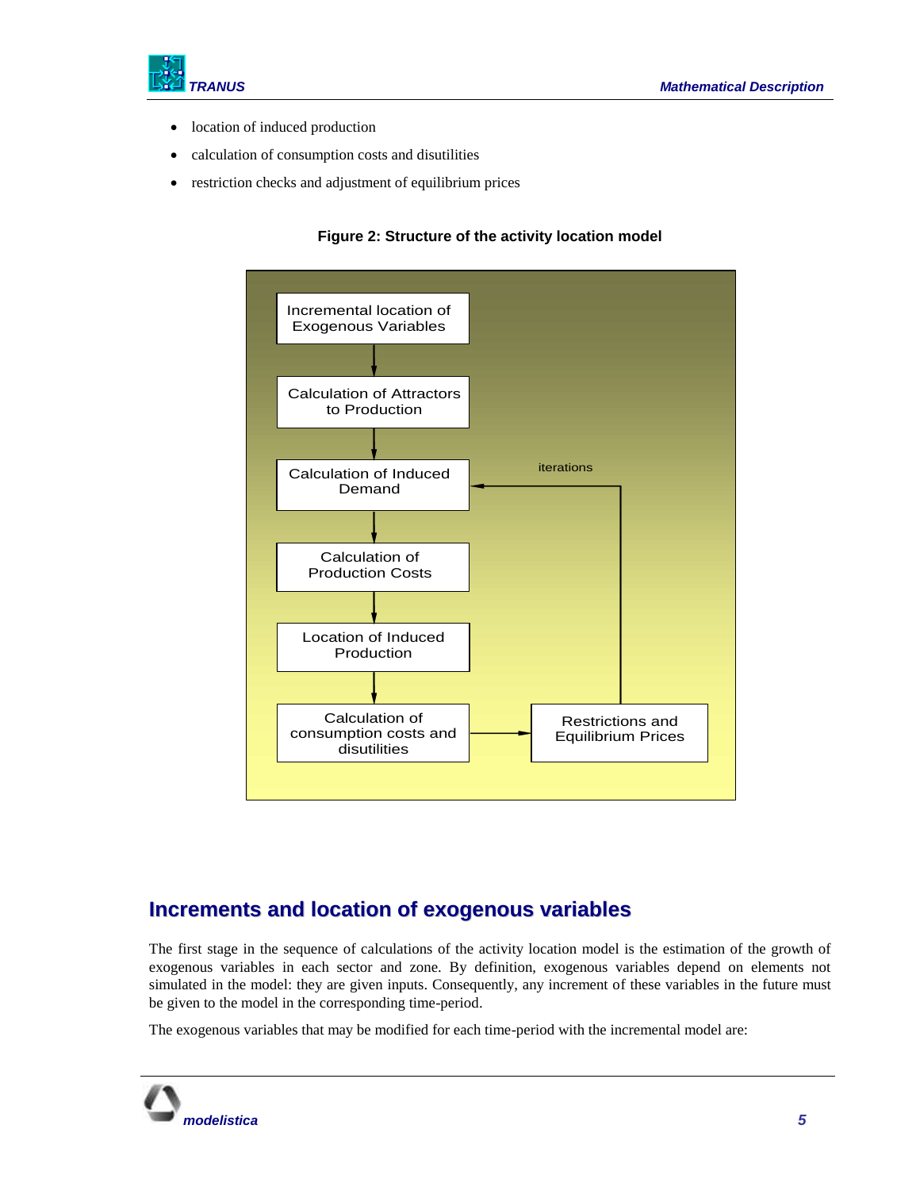



- location of induced production
- calculation of consumption costs and disutilities
- restriction checks and adjustment of equilibrium prices





# <span id="page-6-0"></span>**Increments and location of exogenous variables**

The first stage in the sequence of calculations of the activity location model is the estimation of the growth of exogenous variables in each sector and zone. By definition, exogenous variables depend on elements not simulated in the model: they are given inputs. Consequently, any increment of these variables in the future must be given to the model in the corresponding time-period.

The exogenous variables that may be modified for each time-period with the incremental model are:

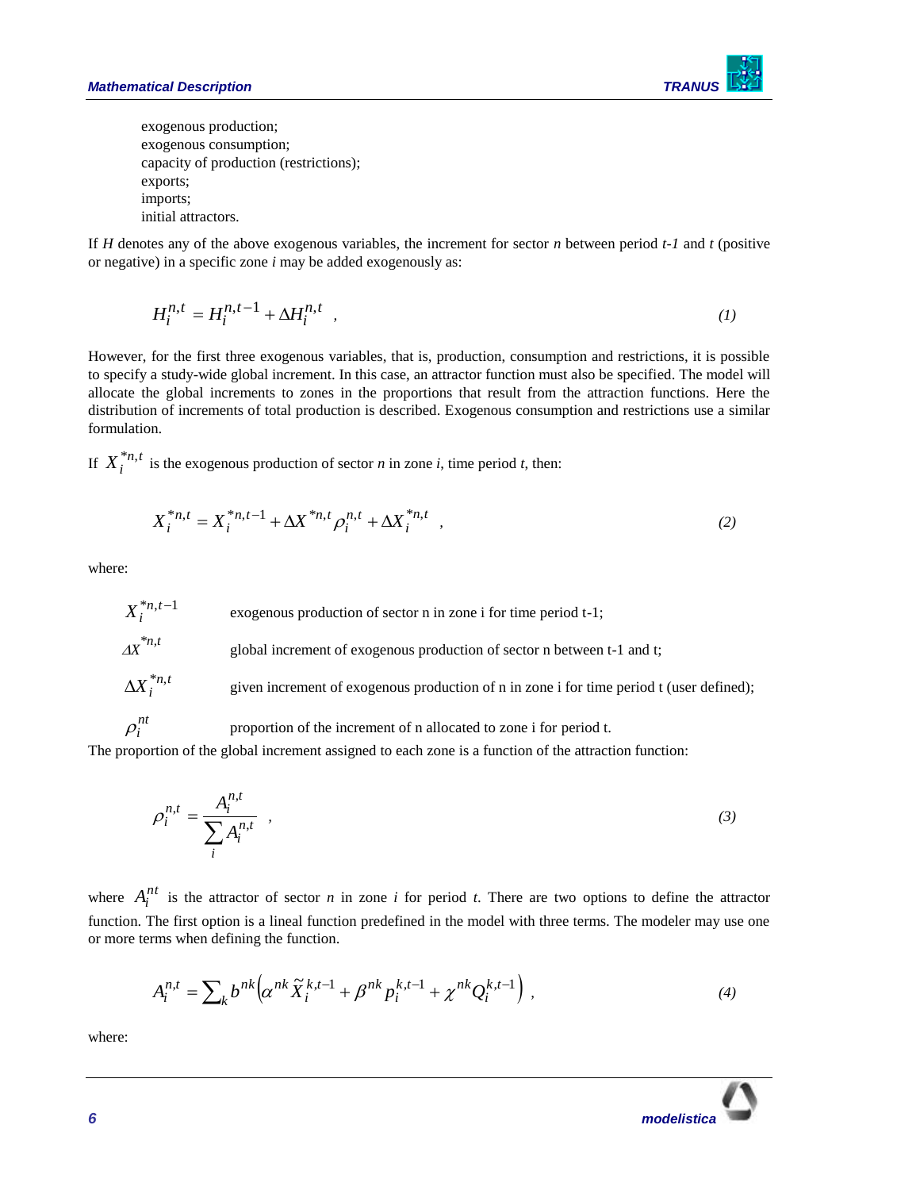

exogenous production; exogenous consumption; capacity of production (restrictions); exports; imports; initial attractors.

If *H* denotes any of the above exogenous variables, the increment for sector *n* between period *t-1* and *t* (positive or negative) in a specific zone *i* may be added exogenously as:

$$
H_i^{n,t} = H_i^{n,t-1} + \Delta H_i^{n,t} \t\t(1)
$$

However, for the first three exogenous variables, that is, production, consumption and restrictions, it is possible to specify a study-wide global increment. In this case, an attractor function must also be specified. The model will allocate the global increments to zones in the proportions that result from the attraction functions. Here the distribution of increments of total production is described. Exogenous consumption and restrictions use a similar formulation.

If  $X_i^{*n,t}$  is the exogenous production of sector *n* in zone *i*, time period *t*, then:

$$
X_i^{*n,t} = X_i^{*n,t-1} + \Delta X^{*n,t} \rho_i^{n,t} + \Delta X_i^{*n,t} , \qquad (2)
$$

where:

$$
X_i^{*n,t-1}
$$
 exogenous production of sector n in zone i for time period t-1;  
\n
$$
\Delta X_i^{*n,t}
$$
 global increment of exogenous production of sector n between t-1 and t;  
\n
$$
\Delta X_i^{*n,t}
$$
 given increment of exogenous production of n in zone i for time period t (user defined);

 $\rho_i^{nt}$ proportion of the increment of n allocated to zone i for period t. The proportion of the global increment assigned to each zone is a function of the attraction function:

$$
\rho_i^{n,t} = \frac{A_i^{n,t}}{\sum_i A_i^{n,t}} \tag{3}
$$

where  $A_i^{nt}$  is the attractor of sector *n* in zone *i* for period *t*. There are two options to define the attractor function. The first option is a lineal function predefined in the model with three terms. The modeler may use one or more terms when defining the function.

$$
A_i^{n,t} = \sum_k b^{nk} \left( \alpha^{nk} \tilde{X}_i^{k,t-1} + \beta^{nk} p_i^{k,t-1} + \chi^{nk} Q_i^{k,t-1} \right), \tag{4}
$$

where:

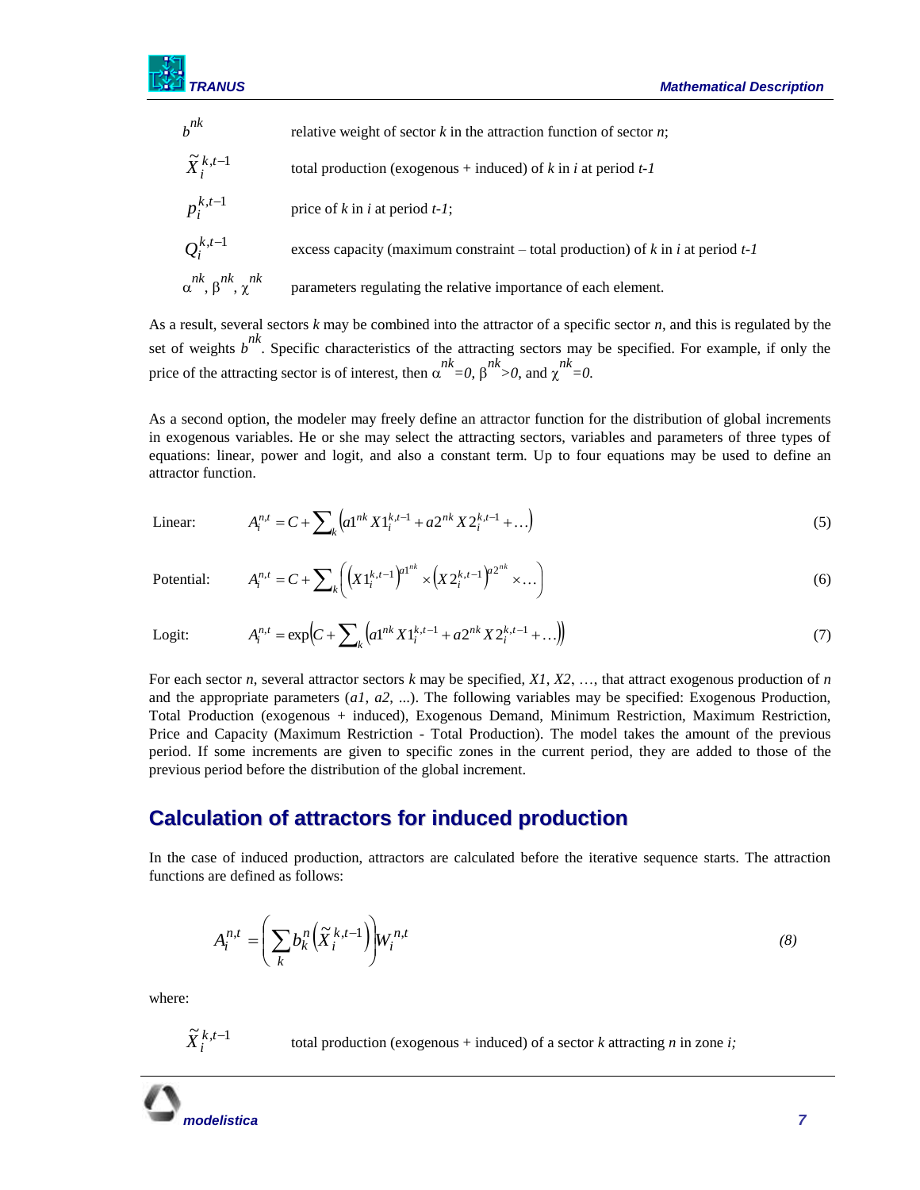

As a result, several sectors *k* may be combined into the attractor of a specific sector *n*, and this is regulated by the set of weights  $b^{nk}$ . Specific characteristics of the attracting sectors may be specified. For example, if only the price of the attracting sector is of interest, then  $\alpha^{nk} = 0$ ,  $\beta^{nk} > 0$ , and  $\gamma^{nk} = 0$ .

As a second option, the modeler may freely define an attractor function for the distribution of global increments in exogenous variables. He or she may select the attracting sectors, variables and parameters of three types of equations: linear, power and logit, and also a constant term. Up to four equations may be used to define an attractor function.

Linear: 
$$
A_i^{n,t} = C + \sum_{k} \left( a1^{nk} X 1_i^{k,t-1} + a2^{nk} X 2_i^{k,t-1} + \ldots \right)
$$
 (5)

Potential: 
$$
A_i^{n,t} = C + \sum_{k} \left( \left( X1_i^{k,t-1} \right)^{a1^{nk}} \times \left( X2_i^{k,t-1} \right)^{a2^{nk}} \times \dots \right)
$$
 (6)

Logit: 
$$
A_i^{n,t} = \exp\left(C + \sum_{k} \left(a1^{nk} X1_i^{k,t-1} + a2^{nk} X2_i^{k,t-1} + ...\right)\right)
$$
(7)

For each sector *n*, several attractor sectors  $k$  may be specified,  $XI, X2, \ldots$ , that attract exogenous production of  $n$ and the appropriate parameters (*a1*, *a2*, ...). The following variables may be specified: Exogenous Production, Total Production (exogenous + induced), Exogenous Demand, Minimum Restriction, Maximum Restriction, Price and Capacity (Maximum Restriction - Total Production). The model takes the amount of the previous period. If some increments are given to specific zones in the current period, they are added to those of the previous period before the distribution of the global increment.

### <span id="page-8-0"></span>**Calculation of attractors for induced production**

In the case of induced production, attractors are calculated before the iterative sequence starts. The attraction functions are defined as follows:

$$
A_i^{n,t} = \left(\sum_k b_k^n \left(\tilde{X}_i^{k,t-1}\right)\right) W_i^{n,t} \tag{8}
$$

where:

$$
\tilde{X}_i^{k,t-1}
$$

total production (exogenous + induced) of a sector *k* attracting *n* in zone *i;*

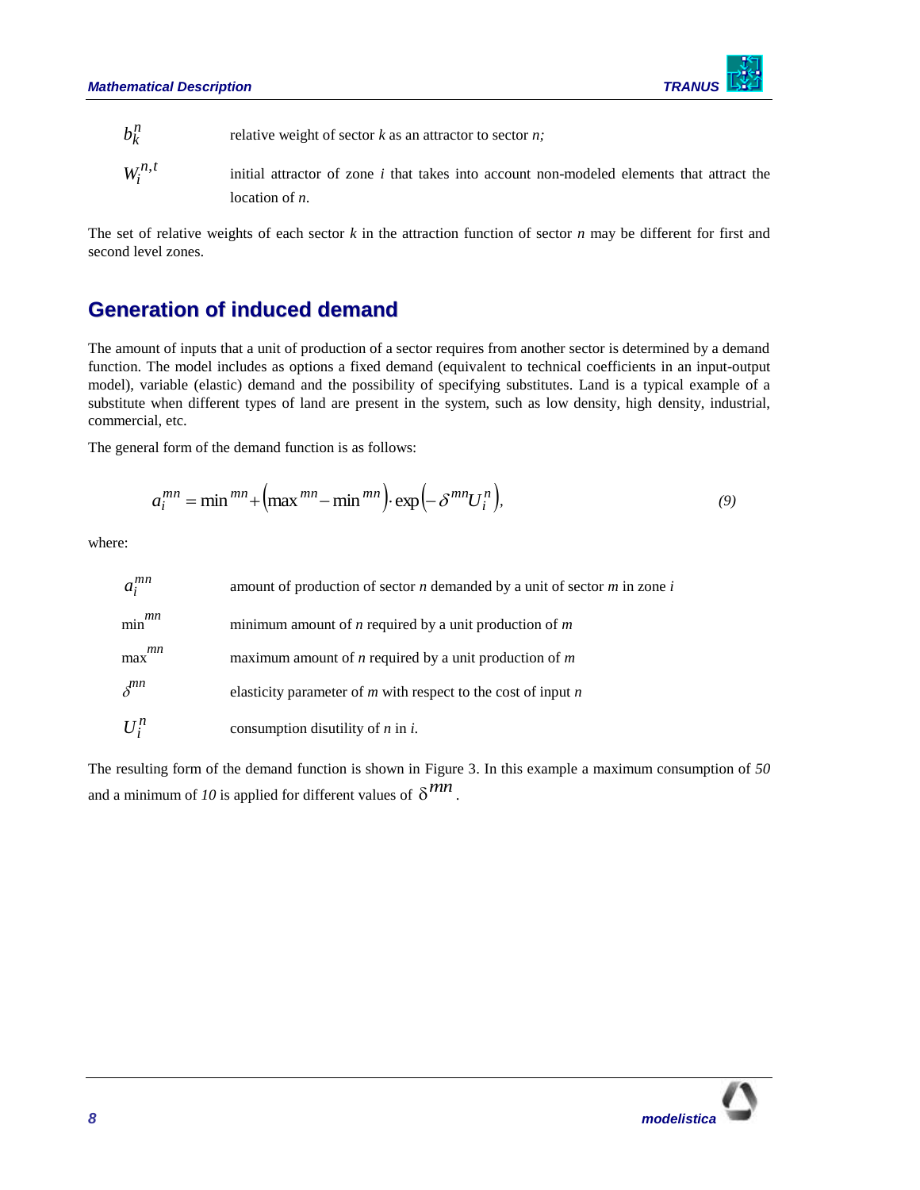

 $b_k^n$ relative weight of sector *k* as an attractor to sector *n;*

 $W_i^{n,t}$ initial attractor of zone *i* that takes into account non-modeled elements that attract the location of *n*.

The set of relative weights of each sector *k* in the attraction function of sector *n* may be different for first and second level zones.

# <span id="page-9-0"></span>**Generation of induced demand**

The amount of inputs that a unit of production of a sector requires from another sector is determined by a demand function. The model includes as options a fixed demand (equivalent to technical coefficients in an input-output model), variable (elastic) demand and the possibility of specifying substitutes. Land is a typical example of a substitute when different types of land are present in the system, such as low density, high density, industrial, commercial, etc.

$$
a_i^{mn} = \min^{mn} + \left(\max^{mn} - \min^{mn}\right) \cdot \exp\left(-\delta^{mn} U_i^n\right),\tag{9}
$$

where:

| $b_k^n$             | relative weight of sector $k$ as an attractor to sector $n$ ;                                                                                                                                                                                                                                                                                                                                                                              |
|---------------------|--------------------------------------------------------------------------------------------------------------------------------------------------------------------------------------------------------------------------------------------------------------------------------------------------------------------------------------------------------------------------------------------------------------------------------------------|
| $W_i^{n,t}$         | initial attractor of zone <i>i</i> that takes into account non-modeled elements that a<br>location of $n$ .                                                                                                                                                                                                                                                                                                                                |
| second level zones. | The set of relative weights of each sector $k$ in the attraction function of sector $n$ may be different for                                                                                                                                                                                                                                                                                                                               |
|                     | <b>Generation of induced demand</b>                                                                                                                                                                                                                                                                                                                                                                                                        |
| commercial, etc.    | The amount of inputs that a unit of production of a sector requires from another sector is determined by a<br>function. The model includes as options a fixed demand (equivalent to technical coefficients in an inp<br>model), variable (elastic) demand and the possibility of specifying substitutes. Land is a typical exar<br>substitute when different types of land are present in the system, such as low density, high density, i |
|                     | The general form of the demand function is as follows:                                                                                                                                                                                                                                                                                                                                                                                     |
|                     | $a_i^{mn} = \min^{mn} + (\max^{mn} - \min^{mn}) \cdot \exp(-\delta^{mn} U_i^n),$                                                                                                                                                                                                                                                                                                                                                           |
| where:              |                                                                                                                                                                                                                                                                                                                                                                                                                                            |
| $a_i^{mn}$          | amount of production of sector $n$ demanded by a unit of sector $m$ in zone $i$                                                                                                                                                                                                                                                                                                                                                            |
| mn<br>min           | minimum amount of $n$ required by a unit production of $m$                                                                                                                                                                                                                                                                                                                                                                                 |
| mn<br>max           | maximum amount of $n$ required by a unit production of $m$                                                                                                                                                                                                                                                                                                                                                                                 |
| $\delta^{mn}$       | elasticity parameter of $m$ with respect to the cost of input $n$                                                                                                                                                                                                                                                                                                                                                                          |
| $U_i^n$             | consumption disutility of $n$ in $i$ .                                                                                                                                                                                                                                                                                                                                                                                                     |
|                     | The resulting form of the demand function is shown in Figure 3. In this example a maximum consumpt<br>and a minimum of 10 is applied for different values of $\delta^{mn}$                                                                                                                                                                                                                                                                 |
|                     |                                                                                                                                                                                                                                                                                                                                                                                                                                            |
|                     |                                                                                                                                                                                                                                                                                                                                                                                                                                            |
|                     |                                                                                                                                                                                                                                                                                                                                                                                                                                            |
|                     |                                                                                                                                                                                                                                                                                                                                                                                                                                            |
|                     |                                                                                                                                                                                                                                                                                                                                                                                                                                            |
|                     |                                                                                                                                                                                                                                                                                                                                                                                                                                            |
|                     |                                                                                                                                                                                                                                                                                                                                                                                                                                            |
|                     |                                                                                                                                                                                                                                                                                                                                                                                                                                            |
| 8                   | modelistica                                                                                                                                                                                                                                                                                                                                                                                                                                |

The resulting form of the demand function is shown in Figure 3. In this example a maximum consumption of *50* and a minimum of 10 is applied for different values of  $\delta^{mn}$ .

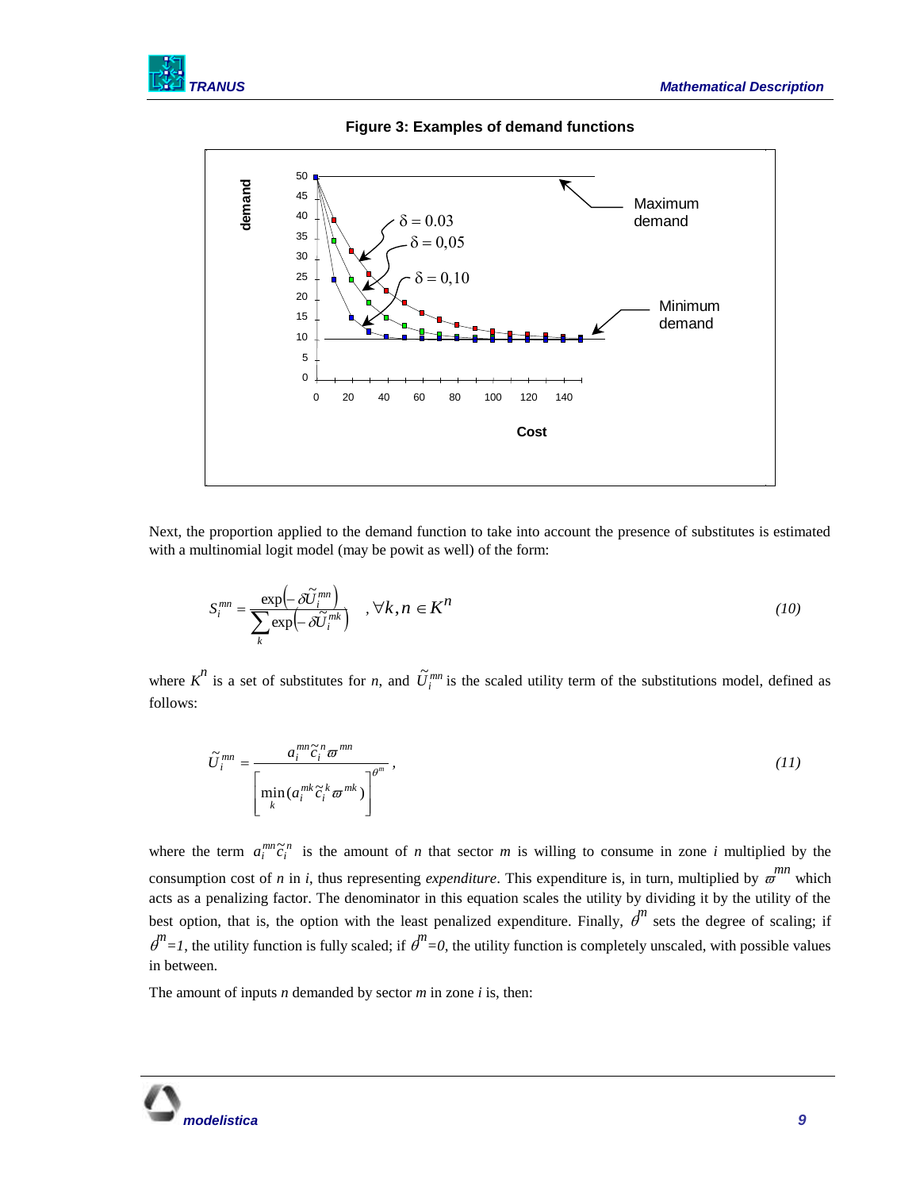





Next, the proportion applied to the demand function to take into account the presence of substitutes is estimated with a multinomial logit model (may be powit as well) of the form:

$$
S_i^{mn} = \frac{\exp\left(-\delta \widetilde{U}_i^{mn}\right)}{\sum_k \exp\left(-\delta \widetilde{U}_i^{mk}\right)} \quad , \forall k, n \in K^n
$$
\n(10)

where  $K^n$  is a set of substitutes for *n*, and  $\tilde{U}_i^{mn}$  is the scaled utility term of the substitutions model, defined as follows:

$$
\widetilde{U}_i^{mn} = \frac{a_i^{mn} \widetilde{c}_i^n \varpi^{mn}}{\left[ \min_k (a_i^{mk} \widetilde{c}_i^k \varpi^{mk}) \right]^{\theta^m}},
$$
\n(11)

where the term  $a_i^{mn} \tilde{c}_i^n$  is the amount of *n* that sector *m* is willing to consume in zone *i* multiplied by the consumption cost of *n* in *i*, thus representing *expenditure*. This expenditure is, in turn, multiplied by  $\omega$ <sup>*mn*</sup> which acts as a penalizing factor. The denominator in this equation scales the utility by dividing it by the utility of the best option, that is, the option with the least penalized expenditure. Finally,  $\hat{\theta}^m$  sets the degree of scaling; if  $\phi^m = 1$ , the utility function is fully scaled; if  $\phi^m = 0$ , the utility function is completely unscaled, with possible values in between.

The amount of inputs *n* demanded by sector *m* in zone *i* is, then:

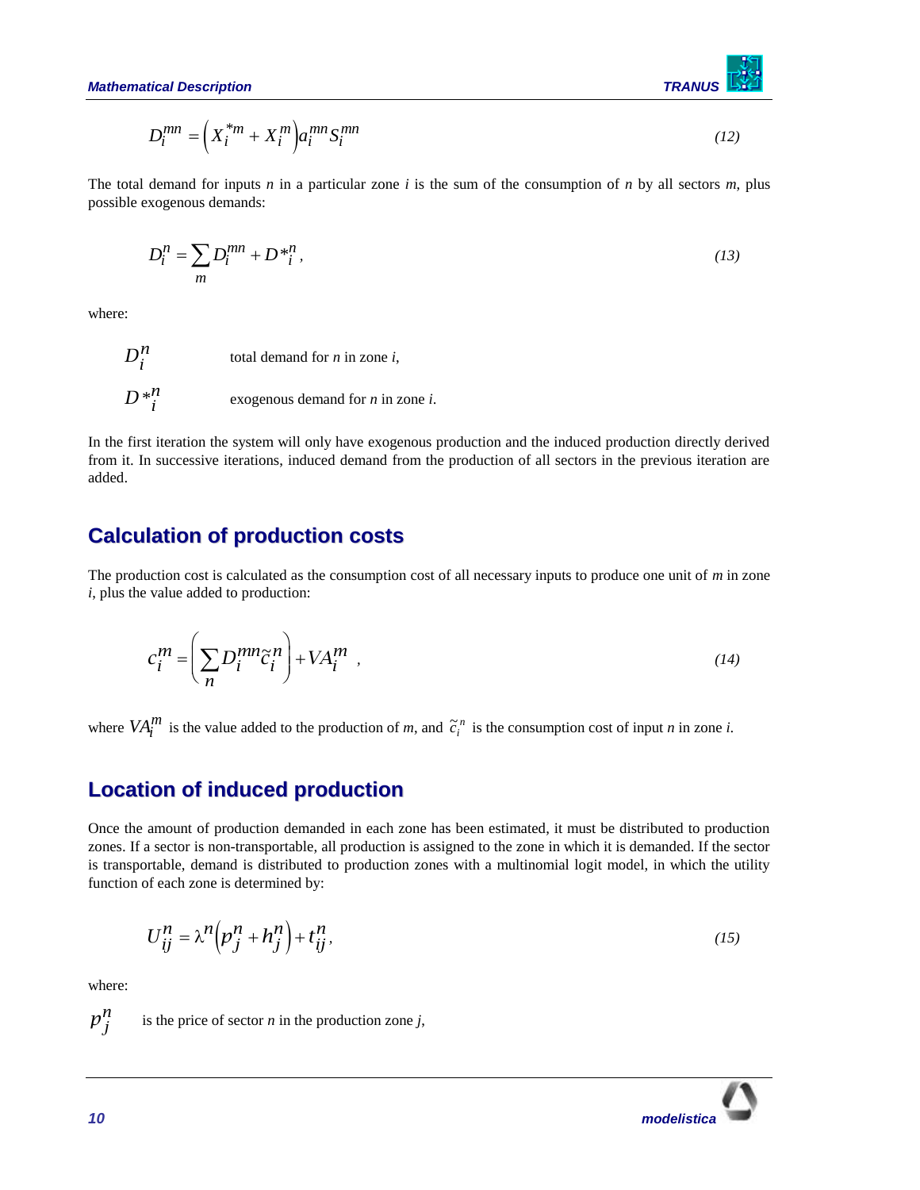*Mathematical Description TRANUS*



$$
D_i^{mn} = \left(X_i^{*m} + X_i^m\right) a_i^{mn} S_i^{mn} \tag{12}
$$

The total demand for inputs *n* in a particular zone *i* is the sum of the consumption of *n* by all sectors *m*, plus possible exogenous demands:

$$
D_i^n = \sum_m D_i^{mn} + D^*i^n,
$$
\n<sup>(13)</sup>

where:

 $D_i^n$ total demand for *n* in zone *i*,  $D *^n_i$ exogenous demand for *n* in zone *i*.

In the first iteration the system will only have exogenous production and the induced production directly derived from it. In successive iterations, induced demand from the production of all sectors in the previous iteration are added.

# <span id="page-11-0"></span>**Calculation of production costs**

The production cost is calculated as the consumption cost of all necessary inputs to produce one unit of *m* in zone *i*, plus the value added to production:

$$
c_i^m = \left(\sum_n D_i^{mn} \tilde{c}_i^n\right) + VA_i^m \tag{14}
$$

where  $VA_i^m$  is the value added to the production of *m*, and  $\tilde{c}_i^n$  is the consumption cost of input *n* in zone *i*.

### <span id="page-11-1"></span>**Location of induced production**

*D*<sup>*i*m</sup> =  $[X_1^{(n)} + X_2^{(n)} \mu_j^{(n)} S_j^{(n)}]$ <br>
The untai densued for inputs  $x_i$  in a particular zone *i* is the same of the consumption of *n* by all sectors<br>
Densitie cooperation in intervals in a particular zone *i* is t Once the amount of production demanded in each zone has been estimated, it must be distributed to production zones. If a sector is non-transportable, all production is assigned to the zone in which it is demanded. If the sector is transportable, demand is distributed to production zones with a multinomial logit model, in which the utility function of each zone is determined by:

$$
U_{ij}^{n} = \lambda^{n} \left( p_{j}^{n} + h_{j}^{n} \right) + t_{ij}^{n}, \tag{15}
$$

where:



is the price of sector  $n$  in the production zone  $j$ ,

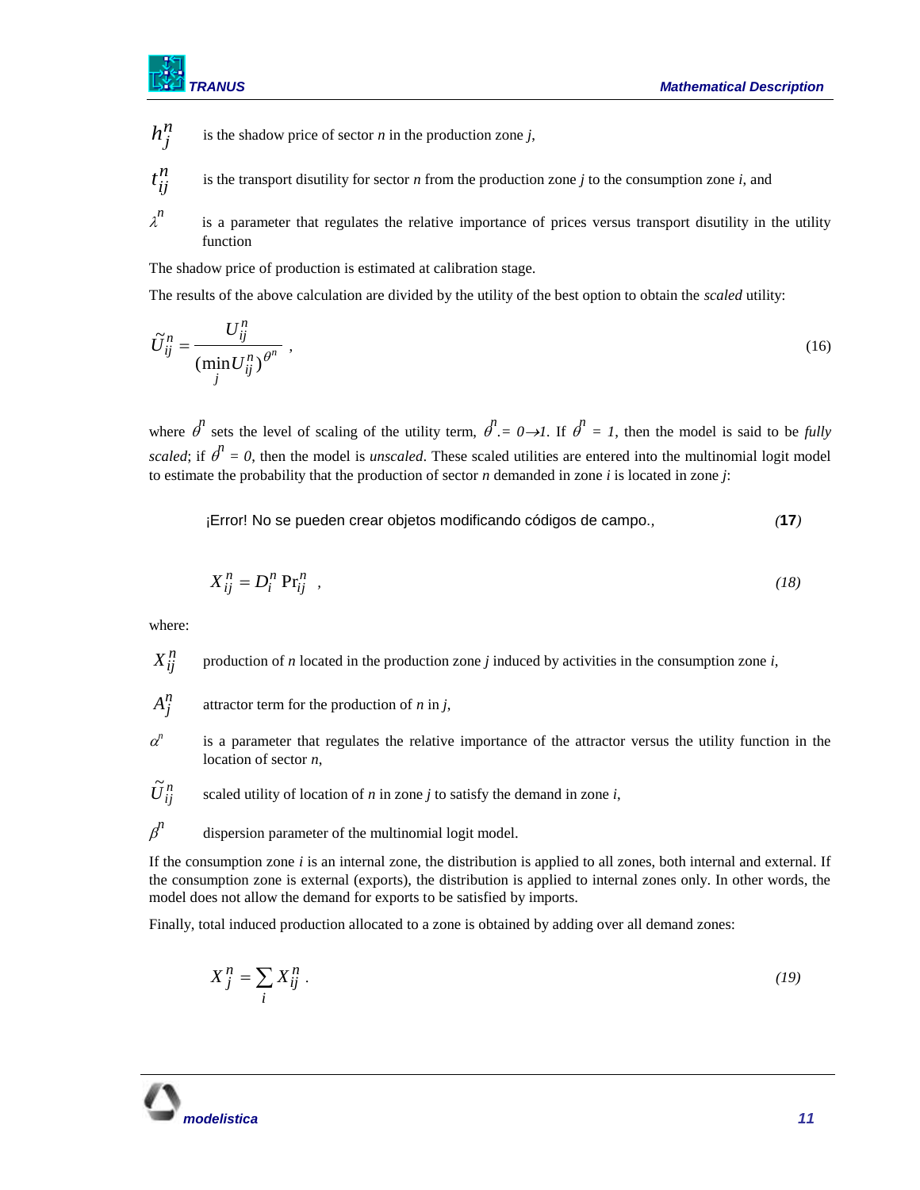

*t ij*

 $h_j^n$ is the shadow price of sector *n* in the production zone *j*,

- *n* is the transport disutility for sector *n* from the production zone *j* to the consumption zone *i*, and
- $\lambda^n$ is a parameter that regulates the relative importance of prices versus transport disutility in the utility function

The shadow price of production is estimated at calibration stage.

The results of the above calculation are divided by the utility of the best option to obtain the *scaled* utility:

$$
h_j^H
$$
 is the shadow price of sector *n* in the production zone *j*.  
\n $t_{ij}^H$  is the transport dissibility for sector *n* from the production zone *j* to the consumption zone *i*, and  
\n $h_d^H$  is a parameter that regulates the relative importance of prices versus transport disutility in the utility  
\nfunction  
\nThe results of the above calculation are divided by the utility of the best option to obtain the *scaled* utility:  
\n
$$
\vec{U}_{ij}^H = \frac{U_{ij}^H}{(\text{min } U_{ij}^H)^{\theta^m}},
$$
\n(16)  
\nwhere  $\vec{\theta}^T$  sets the level of scaling of the utility term,  $\vec{\theta}^T = \theta \rightarrow I$ . If  $\vec{\theta}^T = I$ , then the model is said to be *fully*  
\n*scaled*: if  $\vec{\theta}^T = 0$ , then the model is *unscaled*. These scaled utilities are entered into the multinomial logic model  
\nto estimate the probability that the production of sector *n* demanded in zone *i* is located in zone *j*:  
\n[Error! No se pueden crear objects modified in good,  $X_{ij}^H = D_i^H P Y_{ij}^H$ .  
\n(18)  
\nwhere:  
\n $X_{ij}^H = D_i^H P Y_{ij}^H$ .  
\n $X_{ij}^H$  production of *n* located in the production zone *j* induced by activities in the consumption zone *i*,  
\n $A_j^H$  attractor term for the production of *n* in *j*,  
\nis a parameter that regulates the relative importance of the attractor versus the utility function in the  
\nlocation of sector *n*,  
\n $\vec{U}_{ij}^H$  scaled utility of location of *n* in zone *j* to satisfy the demand in zone *i*,  
\n $\vec{U}_{ij}^H$  scaled utility of location of *n* in zone *j* to satisfy the demand in zone *i*,  
\n $\vec{U}_{ij}^H$  and *l* is the assumption zone is estimated (seps not allowed to a zone is obtained by adding over all demand zones:  
\n
$$
X_{ij}^H = \sum_j X_{ij}^H
$$
.  
\n(19)  
\n**Model** does not allow the demand for exports to be satisfied by imports.  
\nFinally, total induced

where  $\theta^l$  sets the level of scaling of the utility term,  $\theta^l = 0 \rightarrow l$ . If  $\theta^l = 1$ , then the model is said to be *fully scaled*; if  $\hat{\theta}^n = 0$ , then the model is *unscaled*. These scaled utilities are entered into the multinomial logit model to estimate the probability that the production of sector *n* demanded in zone *i* is located in zone *j*:

¡Error! No se pueden crear objetos modificando códigos de campo.*, (***17***)*

$$
X_{ij}^n = D_i^n \Pr_{ij}^n \tag{18}
$$

where:

- *Xij n* production of *n* located in the production zone *j* induced by activities in the consumption zone *i*,
- $A_j^n$ attractor term for the production of *n* in *j*,
- *n* is a parameter that regulates the relative importance of the attractor versus the utility function in the location of sector *n*,

 $\tilde{U}_{ij}^n$ scaled utility of location of *n* in zone *j* to satisfy the demand in zone *i*,

 $\beta$ <sup>n</sup> dispersion parameter of the multinomial logit model.

If the consumption zone *i* is an internal zone, the distribution is applied to all zones, both internal and external. If the consumption zone is external (exports), the distribution is applied to internal zones only. In other words, the model does not allow the demand for exports to be satisfied by imports.

Finally, total induced production allocated to a zone is obtained by adding over all demand zones:

$$
X_j^n = \sum_i X_{ij}^n \tag{19}
$$

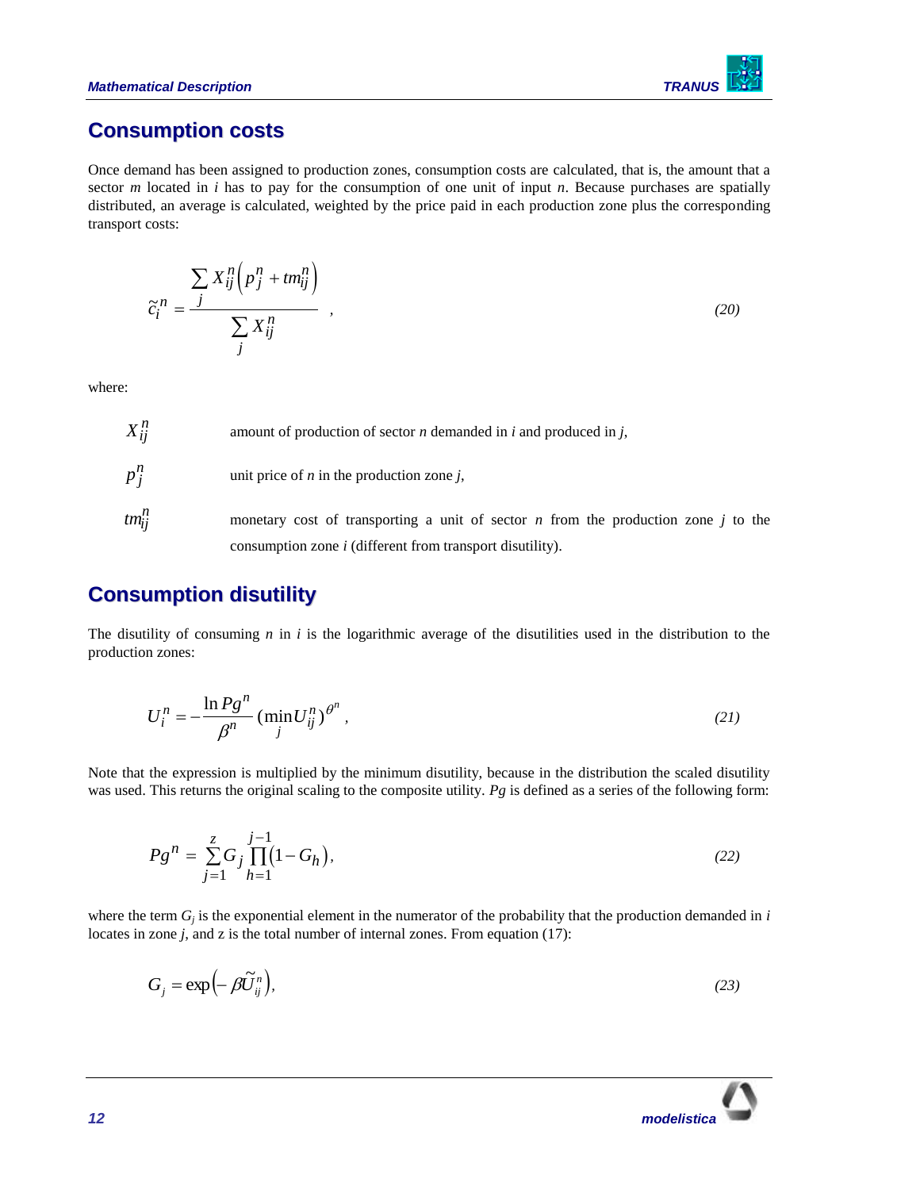

# <span id="page-13-0"></span>**Consumption costs**

Once demand has been assigned to production zones, consumption costs are calculated, that is, the amount that a sector *m* located in *i* has to pay for the consumption of one unit of input *n*. Because purchases are spatially distributed, an average is calculated, weighted by the price paid in each production zone plus the corresponding transport costs:

$$
\widetilde{c}_i^n = \frac{\sum_{j} X_{ij}^n \left( p_j^n + t m_{ij}^n \right)}{\sum_{j} X_{ij}^n} \tag{20}
$$

where:

| $X_{ii}^h$  | amount of production of sector $n$ demanded in $i$ and produced in $j$ ,               |
|-------------|----------------------------------------------------------------------------------------|
| $p_i^n$     | unit price of $n$ in the production zone $j$ ,                                         |
| $tm_{ii}^n$ | monetary cost of transporting a unit of sector $n$ from the production zone $j$ to the |
|             | consumption zone <i>i</i> (different from transport disutility).                       |

# <span id="page-13-1"></span>**Consumption disutility**

The disutility of consuming *n* in *i* is the logarithmic average of the disutilities used in the distribution to the production zones:

$$
U_i^n = -\frac{\ln P g^n}{\beta^n} \left( \min_j U_{ij}^n \right)^{\theta^n},\tag{21}
$$

Note that the expression is multiplied by the minimum disutility, because in the distribution the scaled disutility was used. This returns the original scaling to the composite utility. *Pg* is defined as a series of the following form:

$$
Pg^{n} = \sum_{j=1}^{z} G_j \prod_{h=1}^{j-1} (1 - G_h),
$$
\n(22)

where the term  $G_j$  is the exponential element in the numerator of the probability that the production demanded in *i* locates in zone *j*, and *z* is the total number of internal zones. From equation (17):

$$
G_j = \exp\left(-\beta \widetilde{U}_{ij}^n\right),\tag{23}
$$

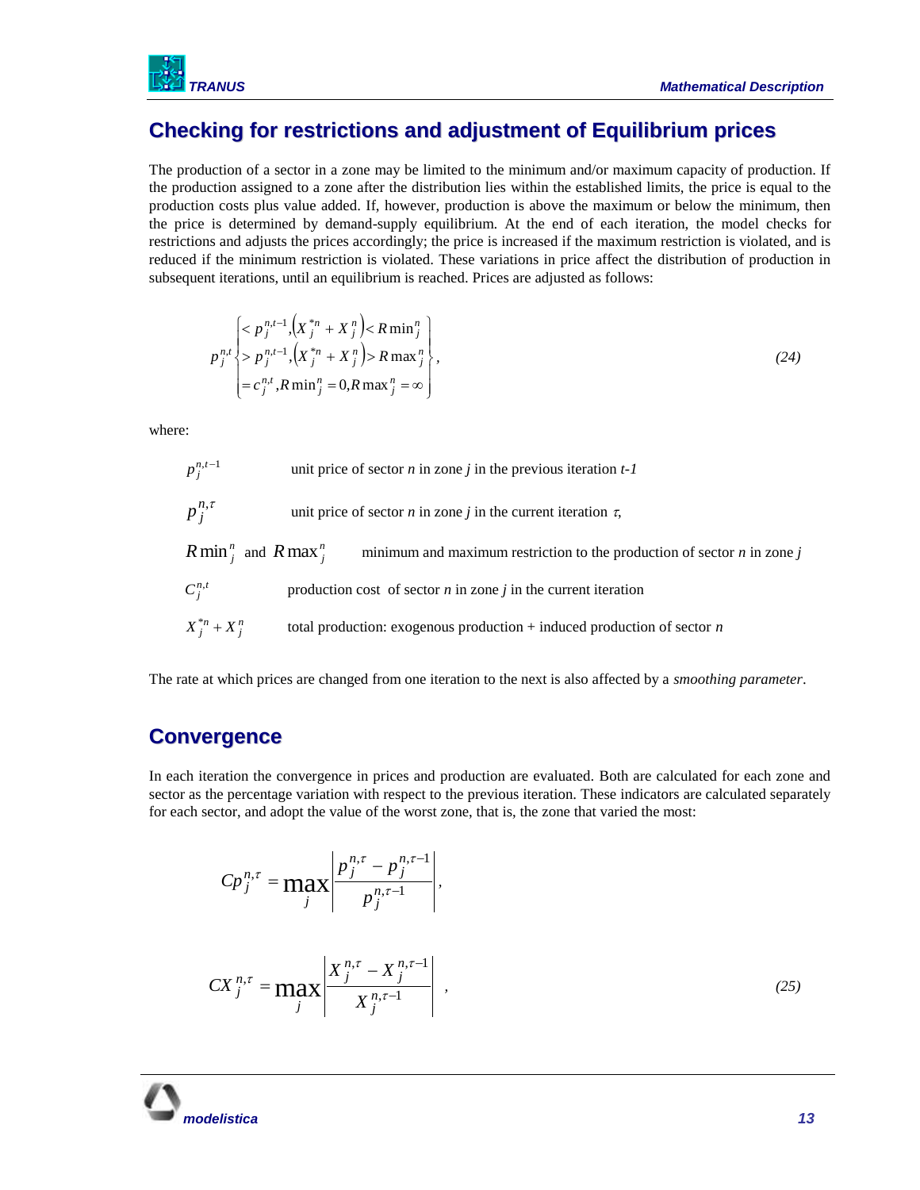

# <span id="page-14-0"></span>**Checking for restrictions and adjustment of Equilibrium prices**

The production of a sector in a zone may be limited to the minimum and/or maximum capacity of production. If the production assigned to a zone after the distribution lies within the established limits, the price is equal to the production costs plus value added. If, however, production is above the maximum or below the minimum, then the price is determined by demand-supply equilibrium. At the end of each iteration, the model checks for restrictions and adjusts the prices accordingly; the price is increased if the maximum restriction is violated, and is reduced if the minimum restriction is violated. These variations in price affect the distribution of production in subsequent iterations, until an equilibrium is reached. Prices are adjusted as follows:

$$
p_j^{n,t} \begin{cases} < p_j^{n,t-1}, \left( X_j^{*n} + X_j^{n} \right) < R \min_j^{n} \\ > p_j^{n,t-1}, \left( X_j^{*n} + X_j^{n} \right) > R \max_j^{n} \\ < c_j^{n,t}, R \min_j^{n} = 0, R \max_j^{n,t} = \infty \end{cases}, \tag{24}
$$

where:

$$
p_j^{n,t-1}
$$
 unit price of sector *n* in zone *j* in the previous iteration *t-1*  
\n
$$
p_j^{n,\tau}
$$
 unit price of sector *n* in zone *j* in the current iteration  $\tau$ ,  
\n
$$
R \min_j^n
$$
 and 
$$
R \max_j^n
$$
 minimum and maximum restriction to the production of sector *n* in zone *j*  
\n
$$
C_j^{n,t}
$$
 production cost of sector *n* in zone *j* in the current iteration  
\n
$$
X_j^{*n} + X_j^n
$$
 total production: exogenous production + induced production of sector *n*

<span id="page-14-1"></span>The rate at which prices are changed from one iteration to the next is also affected by a *smoothing parameter*.

### **Convergence**

In each iteration the convergence in prices and production are evaluated. Both are calculated for each zone and sector as the percentage variation with respect to the previous iteration. These indicators are calculated separately for each sector, and adopt the value of the worst zone, that is, the zone that varied the most:

$$
C p_j^{n,\tau} = \max_{j} \left| \frac{p_j^{n,\tau} - p_j^{n,\tau-1}}{p_j^{n,\tau-1}} \right|,
$$
  

$$
C X_j^{n,\tau} = \max_{j} \left| \frac{X_j^{n,\tau} - X_j^{n,\tau-1}}{X_j^{n,\tau-1}} \right|,
$$
 (25)

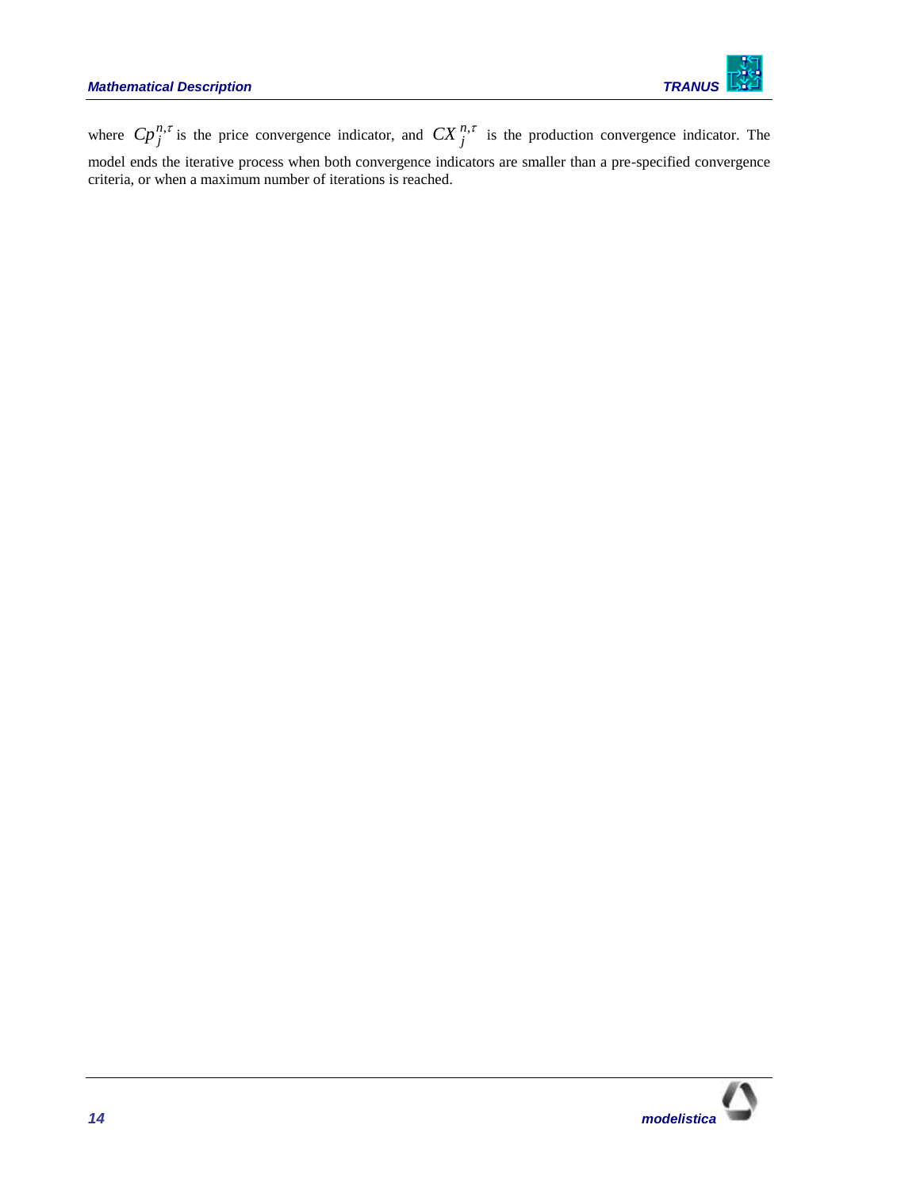

where  $C p_j^{n,\tau}$  is the price convergence indicator, and  $CX_j^{n,\tau}$  is the production convergence indicator. The model ends the iterative process when both convergence indicators are smaller than a pre-specified convergence criteria, or when a maximum number of iterations is reached.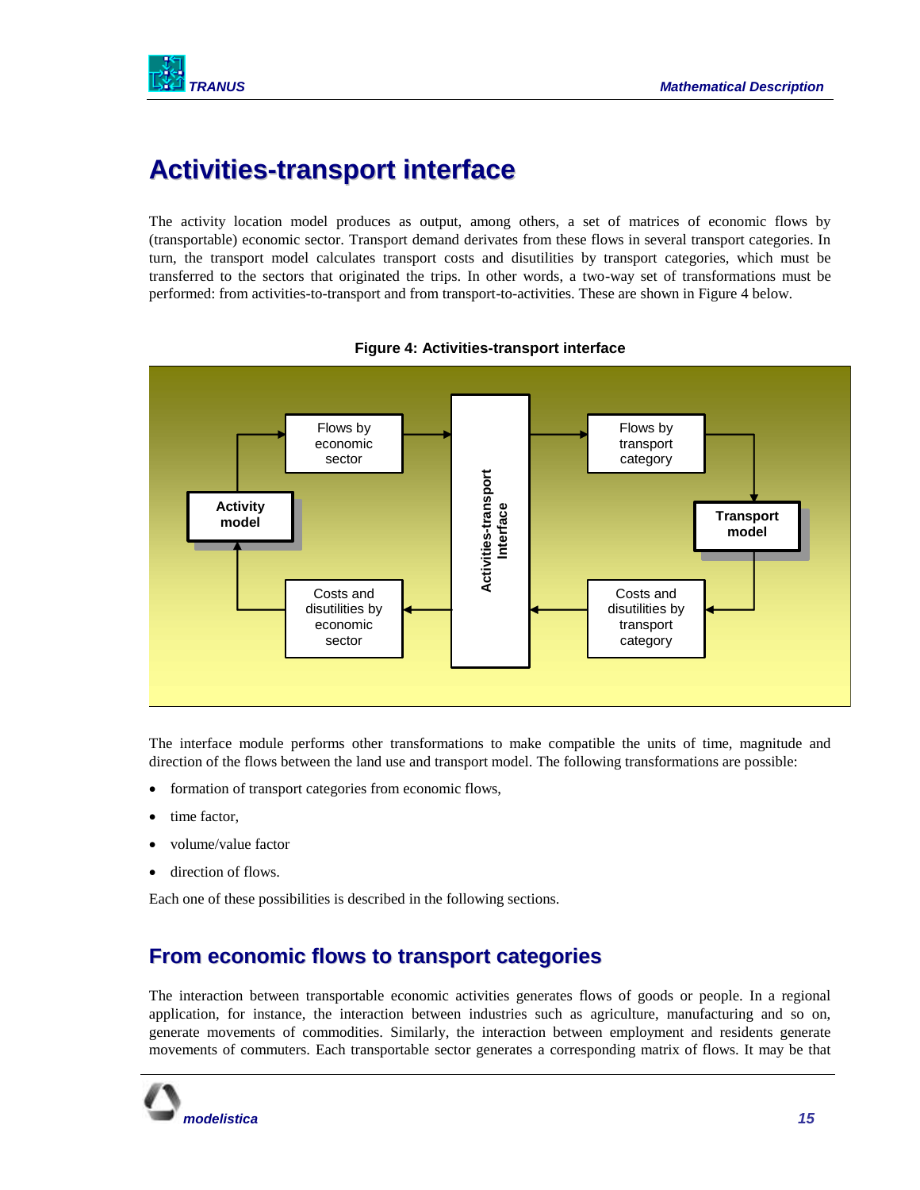

# <span id="page-16-0"></span>**Activities-transport interface**

The activity location model produces as output, among others, a set of matrices of economic flows by (transportable) economic sector. Transport demand derivates from these flows in several transport categories. In turn, the transport model calculates transport costs and disutilities by transport categories, which must be transferred to the sectors that originated the trips. In other words, a two-way set of transformations must be performed: from activities-to-transport and from transport-to-activities. These are shown in [Figure 4](#page-16-2) below.

<span id="page-16-2"></span>

### **Figure 4: Activities-transport interface**

The interface module performs other transformations to make compatible the units of time, magnitude and direction of the flows between the land use and transport model. The following transformations are possible:

- formation of transport categories from economic flows,
- time factor,
- volume/value factor
- direction of flows.

<span id="page-16-1"></span>Each one of these possibilities is described in the following sections.

# **From economic flows to transport categories**

The interaction between transportable economic activities generates flows of goods or people. In a regional application, for instance, the interaction between industries such as agriculture, manufacturing and so on, generate movements of commodities. Similarly, the interaction between employment and residents generate movements of commuters. Each transportable sector generates a corresponding matrix of flows. It may be that

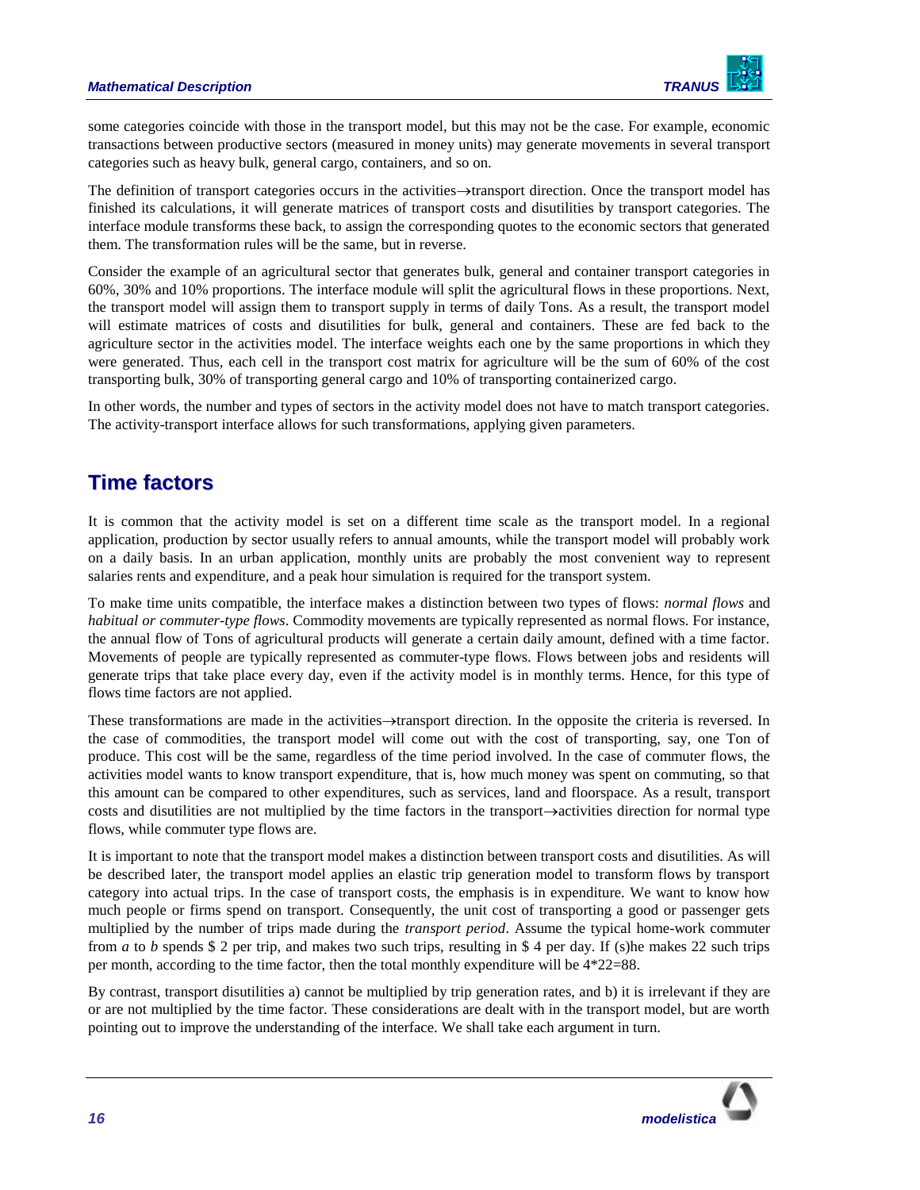

some categories coincide with those in the transport model, but this may not be the case. For example, economic transactions between productive sectors (measured in money units) may generate movements in several transport categories such as heavy bulk, general cargo, containers, and so on.

The definition of transport categories occurs in the activities  $\rightarrow$ transport direction. Once the transport model has finished its calculations, it will generate matrices of transport costs and disutilities by transport categories. The interface module transforms these back, to assign the corresponding quotes to the economic sectors that generated them. The transformation rules will be the same, but in reverse.

Consider the example of an agricultural sector that generates bulk, general and container transport categories in 60%, 30% and 10% proportions. The interface module will split the agricultural flows in these proportions. Next, the transport model will assign them to transport supply in terms of daily Tons. As a result, the transport model will estimate matrices of costs and disutilities for bulk, general and containers. These are fed back to the agriculture sector in the activities model. The interface weights each one by the same proportions in which they were generated. Thus, each cell in the transport cost matrix for agriculture will be the sum of 60% of the cost transporting bulk, 30% of transporting general cargo and 10% of transporting containerized cargo.

In other words, the number and types of sectors in the activity model does not have to match transport categories. The activity-transport interface allows for such transformations, applying given parameters.

# <span id="page-17-0"></span>**Time factors**

It is common that the activity model is set on a different time scale as the transport model. In a regional application, production by sector usually refers to annual amounts, while the transport model will probably work on a daily basis. In an urban application, monthly units are probably the most convenient way to represent salaries rents and expenditure, and a peak hour simulation is required for the transport system.

To make time units compatible, the interface makes a distinction between two types of flows: *normal flows* and *habitual or commuter-type flows*. Commodity movements are typically represented as normal flows. For instance, the annual flow of Tons of agricultural products will generate a certain daily amount, defined with a time factor. Movements of people are typically represented as commuter-type flows. Flows between jobs and residents will generate trips that take place every day, even if the activity model is in monthly terms. Hence, for this type of flows time factors are not applied.

These transformations are made in the activities $\rightarrow$ transport direction. In the opposite the criteria is reversed. In the case of commodities, the transport model will come out with the cost of transporting, say, one Ton of produce. This cost will be the same, regardless of the time period involved. In the case of commuter flows, the activities model wants to know transport expenditure, that is, how much money was spent on commuting, so that this amount can be compared to other expenditures, such as services, land and floorspace. As a result, transport costs and disutilities are not multiplied by the time factors in the transport $\rightarrow$ activities direction for normal type flows, while commuter type flows are.

It is important to note that the transport model makes a distinction between transport costs and disutilities. As will be described later, the transport model applies an elastic trip generation model to transform flows by transport category into actual trips. In the case of transport costs, the emphasis is in expenditure. We want to know how much people or firms spend on transport. Consequently, the unit cost of transporting a good or passenger gets multiplied by the number of trips made during the *transport period*. Assume the typical home-work commuter from *a* to *b* spends \$ 2 per trip, and makes two such trips, resulting in \$ 4 per day. If (s)he makes 22 such trips per month, according to the time factor, then the total monthly expenditure will be 4\*22=88.

By contrast, transport disutilities a) cannot be multiplied by trip generation rates, and b) it is irrelevant if they are or are not multiplied by the time factor. These considerations are dealt with in the transport model, but are worth pointing out to improve the understanding of the interface. We shall take each argument in turn.

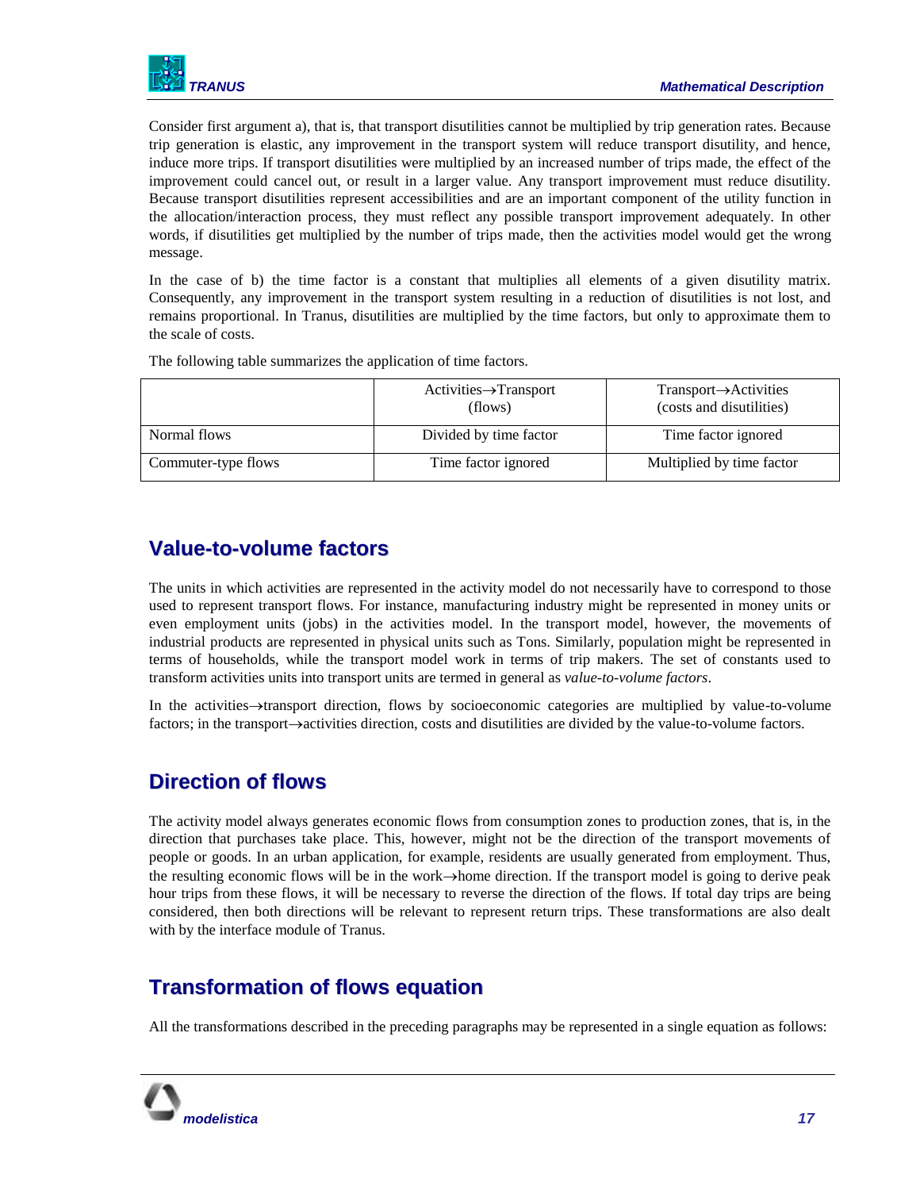

Consider first argument a), that is, that transport disutilities cannot be multiplied by trip generation rates. Because trip generation is elastic, any improvement in the transport system will reduce transport disutility, and hence, induce more trips. If transport disutilities were multiplied by an increased number of trips made, the effect of the improvement could cancel out, or result in a larger value. Any transport improvement must reduce disutility. Because transport disutilities represent accessibilities and are an important component of the utility function in the allocation/interaction process, they must reflect any possible transport improvement adequately. In other words, if disutilities get multiplied by the number of trips made, then the activities model would get the wrong message.

In the case of b) the time factor is a constant that multiplies all elements of a given disutility matrix. Consequently, any improvement in the transport system resulting in a reduction of disutilities is not lost, and remains proportional. In Tranus, disutilities are multiplied by the time factors, but only to approximate them to the scale of costs.

 $Activities \rightarrow Transport$ (flows)  $Transport \rightarrow$ Activities (costs and disutilities) Normal flows Divided by time factor Time factor Time factor ignored Commuter-type flows Time factor ignored Multiplied by time factor

The following table summarizes the application of time factors.

# <span id="page-18-0"></span>**Value-to-volume factors**

The units in which activities are represented in the activity model do not necessarily have to correspond to those used to represent transport flows. For instance, manufacturing industry might be represented in money units or even employment units (jobs) in the activities model. In the transport model, however, the movements of industrial products are represented in physical units such as Tons. Similarly, population might be represented in terms of households, while the transport model work in terms of trip makers. The set of constants used to transform activities units into transport units are termed in general as *value-to-volume factors*.

In the activities $\rightarrow$ transport direction, flows by socioeconomic categories are multiplied by value-to-volume factors; in the transport $\rightarrow$ activities direction, costs and disutilities are divided by the value-to-volume factors.

# <span id="page-18-1"></span>**Direction of flows**

The activity model always generates economic flows from consumption zones to production zones, that is, in the direction that purchases take place. This, however, might not be the direction of the transport movements of people or goods. In an urban application, for example, residents are usually generated from employment. Thus, the resulting economic flows will be in the work $\rightarrow$ home direction. If the transport model is going to derive peak hour trips from these flows, it will be necessary to reverse the direction of the flows. If total day trips are being considered, then both directions will be relevant to represent return trips. These transformations are also dealt with by the interface module of Tranus.

# <span id="page-18-2"></span>**Transformation of flows equation**

All the transformations described in the preceding paragraphs may be represented in a single equation as follows:

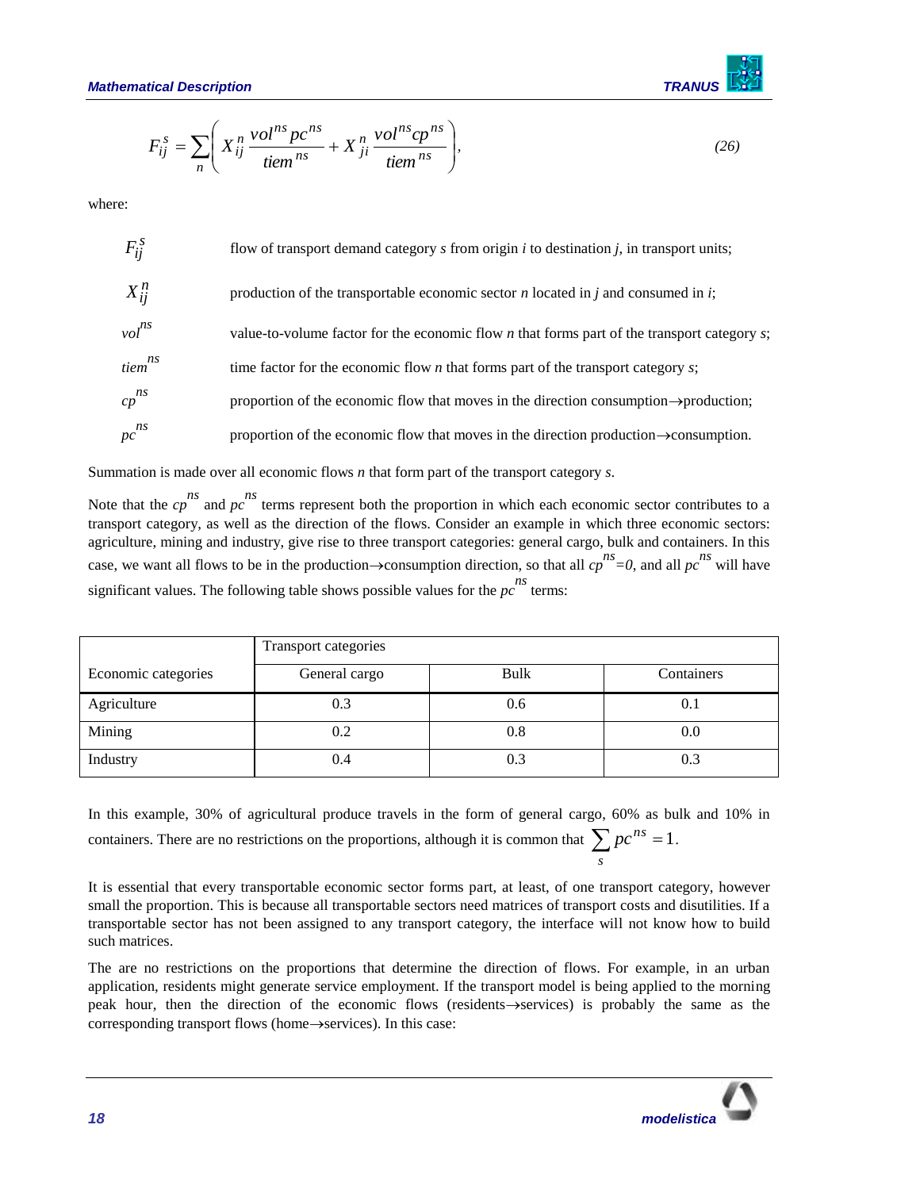

$$
F_{ij}^s = \sum_{n} \left( X_{ij}^n \frac{vol^{ns} pc^{ns}}{item^{ns}} + X_{ji}^n \frac{vol^{ns} cp^{ns}}{item^{ns}} \right), \tag{26}
$$

|                     | $F_{ij}^s = \sum_{n} \left[ X_{ij}^n \frac{V \cdot U}{t \cdot E} \frac{p c}{r} + X_{ji}^n \frac{V \cdot U}{t \cdot E} \frac{C p}{r} \right],$                                                                                                                                                                                                                                                                                                                                                                                                                                                                                                                                                                                                                                                                                                                                                                                                                                                        |             | (26)        |
|---------------------|------------------------------------------------------------------------------------------------------------------------------------------------------------------------------------------------------------------------------------------------------------------------------------------------------------------------------------------------------------------------------------------------------------------------------------------------------------------------------------------------------------------------------------------------------------------------------------------------------------------------------------------------------------------------------------------------------------------------------------------------------------------------------------------------------------------------------------------------------------------------------------------------------------------------------------------------------------------------------------------------------|-------------|-------------|
| where:              |                                                                                                                                                                                                                                                                                                                                                                                                                                                                                                                                                                                                                                                                                                                                                                                                                                                                                                                                                                                                      |             |             |
| $F_{ij}^{\,s}$      | flow of transport demand category $s$ from origin $i$ to destination $j$ , in transport units;                                                                                                                                                                                                                                                                                                                                                                                                                                                                                                                                                                                                                                                                                                                                                                                                                                                                                                       |             |             |
| $X_{ij}^n$          | production of the transportable economic sector $n$ located in $j$ and consumed in $i$ ;                                                                                                                                                                                                                                                                                                                                                                                                                                                                                                                                                                                                                                                                                                                                                                                                                                                                                                             |             |             |
| $vol^{ns}$          | value-to-volume factor for the economic flow $n$ that forms part of the transport category $s$ ;                                                                                                                                                                                                                                                                                                                                                                                                                                                                                                                                                                                                                                                                                                                                                                                                                                                                                                     |             |             |
| $\lim^{ns}$         | time factor for the economic flow $n$ that forms part of the transport category $s$ ;                                                                                                                                                                                                                                                                                                                                                                                                                                                                                                                                                                                                                                                                                                                                                                                                                                                                                                                |             |             |
| $cp^{ns}$           | proportion of the economic flow that moves in the direction consumption $\rightarrow$ production;                                                                                                                                                                                                                                                                                                                                                                                                                                                                                                                                                                                                                                                                                                                                                                                                                                                                                                    |             |             |
| $p c \sp{ns}$       | proportion of the economic flow that moves in the direction production->consumption.                                                                                                                                                                                                                                                                                                                                                                                                                                                                                                                                                                                                                                                                                                                                                                                                                                                                                                                 |             |             |
|                     | Summation is made over all economic flows $n$ that form part of the transport category $s$ .                                                                                                                                                                                                                                                                                                                                                                                                                                                                                                                                                                                                                                                                                                                                                                                                                                                                                                         |             |             |
|                     | Note that the $cp^{ns}$ and $pc^{ns}$ terms represent both the proportion in which each economic sector contributes to a<br>transport category, as well as the direction of the flows. Consider an example in which three economic sectors:<br>agriculture, mining and industry, give rise to three transport categories: general cargo, bulk and containers. In this<br>case, we want all flows to be in the production->consumption direction, so that all $cp^{ns}=0$ , and all $pc^{ns}$ will have<br>significant values. The following table shows possible values for the $pc^{ns}$ terms:                                                                                                                                                                                                                                                                                                                                                                                                     |             |             |
|                     | <b>Transport categories</b>                                                                                                                                                                                                                                                                                                                                                                                                                                                                                                                                                                                                                                                                                                                                                                                                                                                                                                                                                                          |             |             |
| Economic categories | General cargo                                                                                                                                                                                                                                                                                                                                                                                                                                                                                                                                                                                                                                                                                                                                                                                                                                                                                                                                                                                        | <b>Bulk</b> | Containers  |
| Agriculture         | 0.3                                                                                                                                                                                                                                                                                                                                                                                                                                                                                                                                                                                                                                                                                                                                                                                                                                                                                                                                                                                                  | 0.6         | 0.1         |
| Mining              | 0.2                                                                                                                                                                                                                                                                                                                                                                                                                                                                                                                                                                                                                                                                                                                                                                                                                                                                                                                                                                                                  | 0.8         | 0.0         |
| Industry            | 0.4                                                                                                                                                                                                                                                                                                                                                                                                                                                                                                                                                                                                                                                                                                                                                                                                                                                                                                                                                                                                  | 0.3         | 0.3         |
| such matrices.      | In this example, 30% of agricultural produce travels in the form of general cargo, 60% as bulk and 10% in<br>containers. There are no restrictions on the proportions, although it is common that $\sum pc^{ns} = 1$ .<br>It is essential that every transportable economic sector forms part, at least, of one transport category, however<br>small the proportion. This is because all transportable sectors need matrices of transport costs and disutilities. If a<br>transportable sector has not been assigned to any transport category, the interface will not know how to build<br>The are no restrictions on the proportions that determine the direction of flows. For example, in an urban<br>application, residents might generate service employment. If the transport model is being applied to the morning<br>peak hour, then the direction of the economic flows (residents->services) is probably the same as the<br>corresponding transport flows (home->services). In this case: |             |             |
| 18                  |                                                                                                                                                                                                                                                                                                                                                                                                                                                                                                                                                                                                                                                                                                                                                                                                                                                                                                                                                                                                      |             | modelistica |

|                     | Transport categories |      |            |
|---------------------|----------------------|------|------------|
| Economic categories | General cargo        | Bulk | Containers |
| Agriculture         | 0.3                  | 0.6  | 0.1        |
| Mining              | 0.2                  | 0.8  | 0.0        |
| Industry            | 0.4                  | 0.3  | 0.3        |

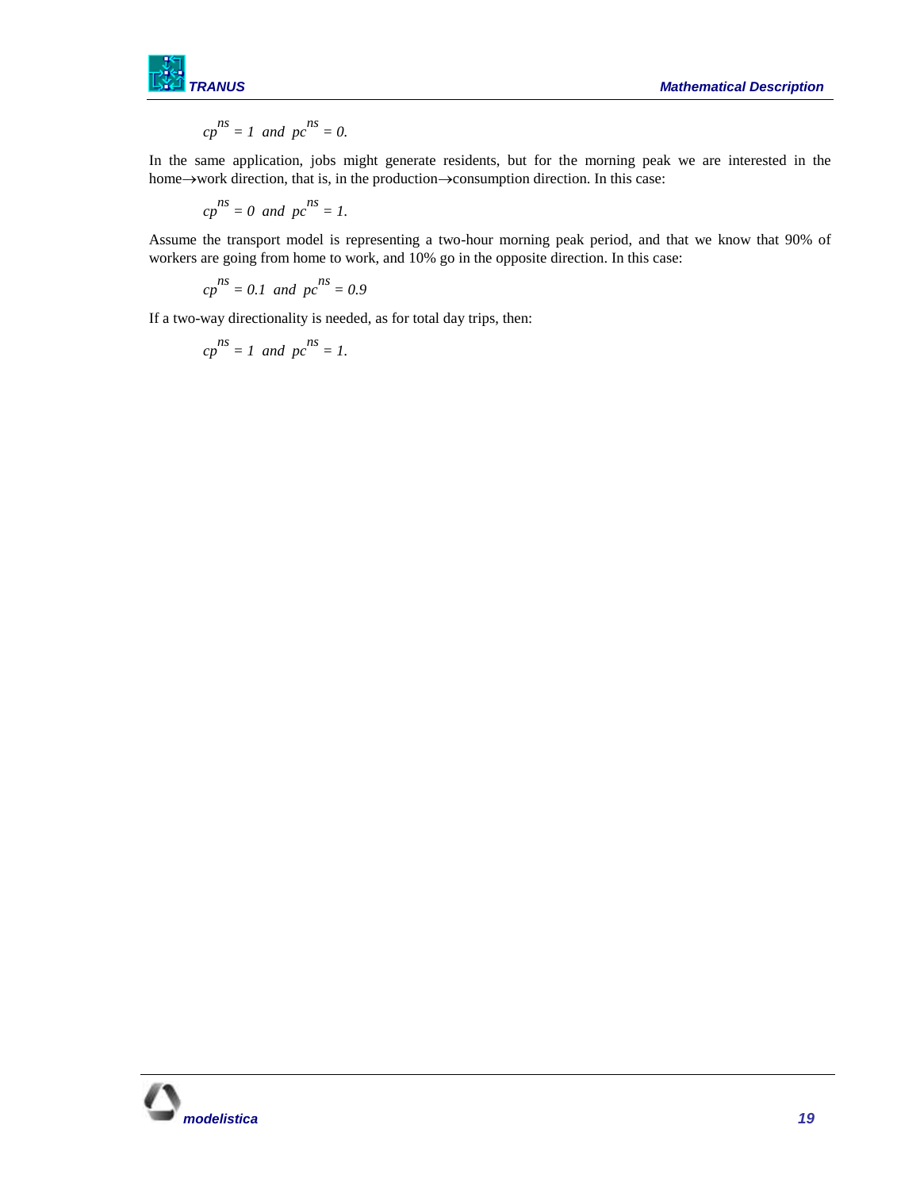

$$
cp^{ns}=1 \ \ and \ \ pc^{ns}=0.
$$

In the same application, jobs might generate residents, but for the morning peak we are interested in the home $\rightarrow$ work direction, that is, in the production $\rightarrow$ consumption direction. In this case:

$$
cp^{ns}=0 \text{ and } pc^{ns}=1.
$$

Assume the transport model is representing a two-hour morning peak period, and that we know that 90% of workers are going from home to work, and 10% go in the opposite direction. In this case:

$$
cp^{ns} = 0.1 \text{ and } pc^{ns} = 0.9
$$

If a two-way directionality is needed, as for total day trips, then:

$$
cp^{ns}=1 \ \ and \ \ pc^{ns}=1.
$$

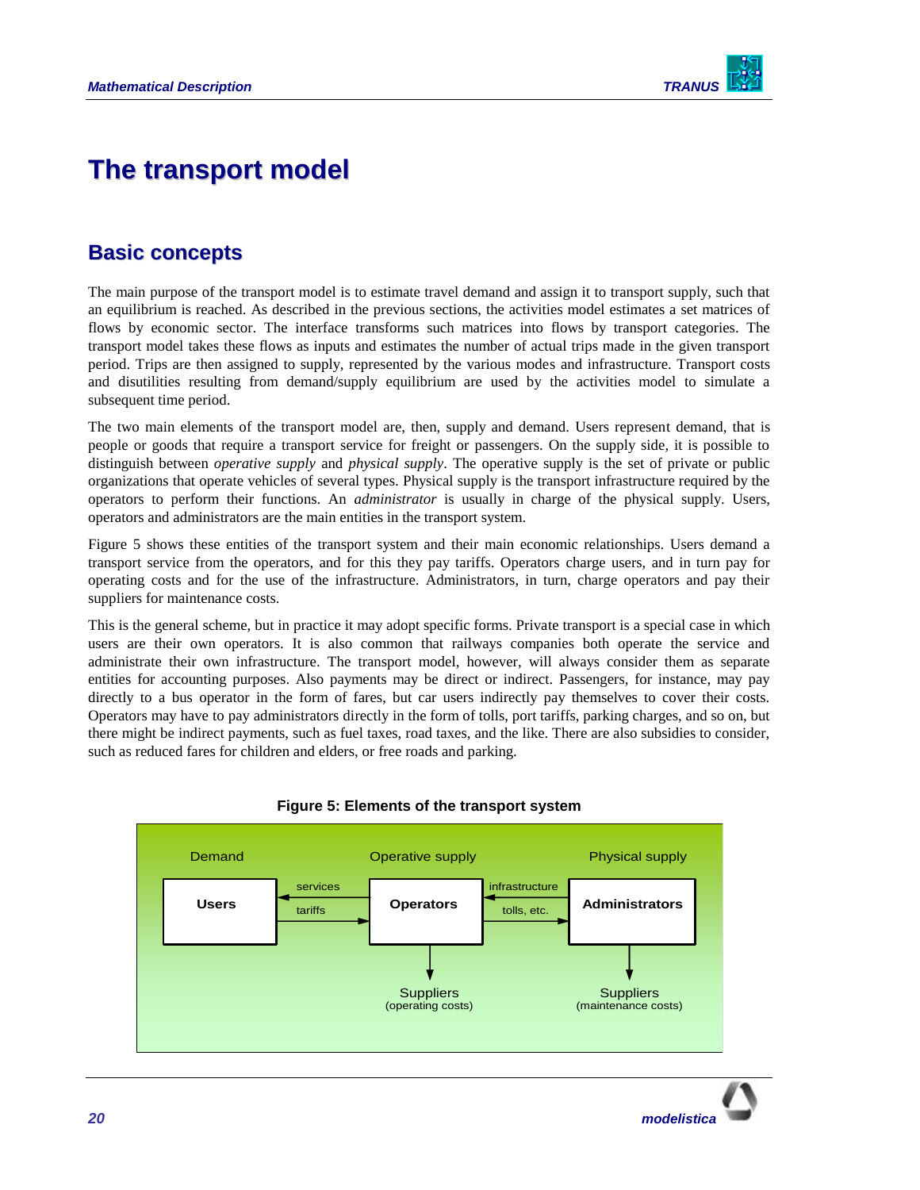

# <span id="page-21-0"></span>**The transport model**

# <span id="page-21-1"></span>**Basic concepts**

The main purpose of the transport model is to estimate travel demand and assign it to transport supply, such that an equilibrium is reached. As described in the previous sections, the activities model estimates a set matrices of flows by economic sector. The interface transforms such matrices into flows by transport categories. The transport model takes these flows as inputs and estimates the number of actual trips made in the given transport period. Trips are then assigned to supply, represented by the various modes and infrastructure. Transport costs and disutilities resulting from demand/supply equilibrium are used by the activities model to simulate a subsequent time period.

The two main elements of the transport model are, then, supply and demand. Users represent demand, that is people or goods that require a transport service for freight or passengers. On the supply side, it is possible to distinguish between *operative supply* and *physical supply*. The operative supply is the set of private or public organizations that operate vehicles of several types. Physical supply is the transport infrastructure required by the operators to perform their functions. An *administrator* is usually in charge of the physical supply. Users, operators and administrators are the main entities in the transport system.

Figure 5 shows these entities of the transport system and their main economic relationships. Users demand a transport service from the operators, and for this they pay tariffs. Operators charge users, and in turn pay for operating costs and for the use of the infrastructure. Administrators, in turn, charge operators and pay their suppliers for maintenance costs.

This is the general scheme, but in practice it may adopt specific forms. Private transport is a special case in which users are their own operators. It is also common that railways companies both operate the service and administrate their own infrastructure. The transport model, however, will always consider them as separate entities for accounting purposes. Also payments may be direct or indirect. Passengers, for instance, may pay directly to a bus operator in the form of fares, but car users indirectly pay themselves to cover their costs. Operators may have to pay administrators directly in the form of tolls, port tariffs, parking charges, and so on, but there might be indirect payments, such as fuel taxes, road taxes, and the like. There are also subsidies to consider, such as reduced fares for children and elders, or free roads and parking.

<span id="page-21-2"></span>

#### **Figure 5: Elements of the transport system**

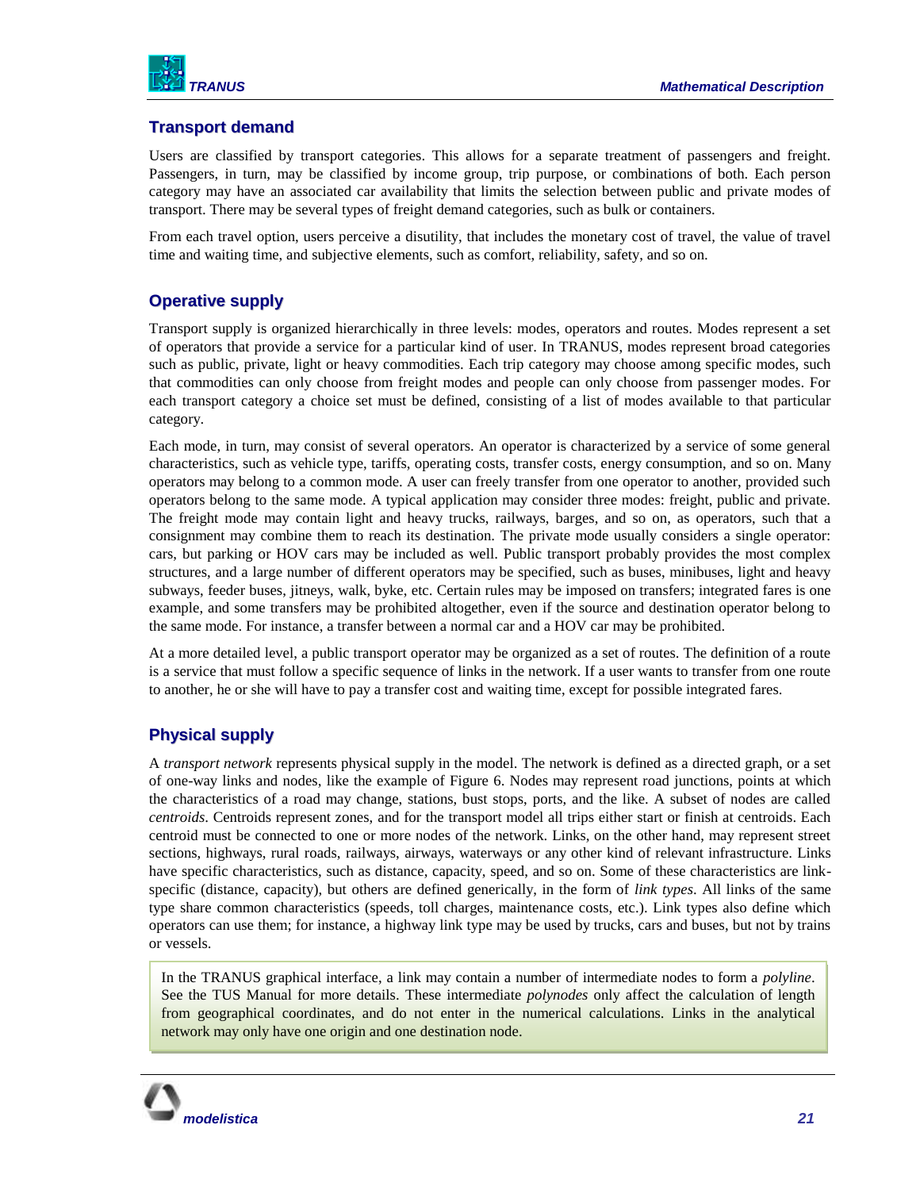

### **Transport demand**

Users are classified by transport categories. This allows for a separate treatment of passengers and freight. Passengers, in turn, may be classified by income group, trip purpose, or combinations of both. Each person category may have an associated car availability that limits the selection between public and private modes of transport. There may be several types of freight demand categories, such as bulk or containers.

From each travel option, users perceive a disutility, that includes the monetary cost of travel, the value of travel time and waiting time, and subjective elements, such as comfort, reliability, safety, and so on.

### **Operative supply**

Transport supply is organized hierarchically in three levels: modes, operators and routes. Modes represent a set of operators that provide a service for a particular kind of user. In TRANUS, modes represent broad categories such as public, private, light or heavy commodities. Each trip category may choose among specific modes, such that commodities can only choose from freight modes and people can only choose from passenger modes. For each transport category a choice set must be defined, consisting of a list of modes available to that particular category.

Each mode, in turn, may consist of several operators. An operator is characterized by a service of some general characteristics, such as vehicle type, tariffs, operating costs, transfer costs, energy consumption, and so on. Many operators may belong to a common mode. A user can freely transfer from one operator to another, provided such operators belong to the same mode. A typical application may consider three modes: freight, public and private. The freight mode may contain light and heavy trucks, railways, barges, and so on, as operators, such that a consignment may combine them to reach its destination. The private mode usually considers a single operator: cars, but parking or HOV cars may be included as well. Public transport probably provides the most complex structures, and a large number of different operators may be specified, such as buses, minibuses, light and heavy subways, feeder buses, jitneys, walk, byke, etc. Certain rules may be imposed on transfers; integrated fares is one example, and some transfers may be prohibited altogether, even if the source and destination operator belong to the same mode. For instance, a transfer between a normal car and a HOV car may be prohibited.

At a more detailed level, a public transport operator may be organized as a set of routes. The definition of a route is a service that must follow a specific sequence of links in the network. If a user wants to transfer from one route to another, he or she will have to pay a transfer cost and waiting time, except for possible integrated fares.

### **Physical supply**

A *transport network* represents physical supply in the model. The network is defined as a directed graph, or a set of one-way links and nodes, like the example of Figure 6. Nodes may represent road junctions, points at which the characteristics of a road may change, stations, bust stops, ports, and the like. A subset of nodes are called *centroids*. Centroids represent zones, and for the transport model all trips either start or finish at centroids. Each centroid must be connected to one or more nodes of the network. Links, on the other hand, may represent street sections, highways, rural roads, railways, airways, waterways or any other kind of relevant infrastructure. Links have specific characteristics, such as distance, capacity, speed, and so on. Some of these characteristics are linkspecific (distance, capacity), but others are defined generically, in the form of *link types*. All links of the same type share common characteristics (speeds, toll charges, maintenance costs, etc.). Link types also define which operators can use them; for instance, a highway link type may be used by trucks, cars and buses, but not by trains or vessels.

In the TRANUS graphical interface, a link may contain a number of intermediate nodes to form a *polyline*. See the TUS Manual for more details. These intermediate *polynodes* only affect the calculation of length from geographical coordinates, and do not enter in the numerical calculations. Links in the analytical network may only have one origin and one destination node.

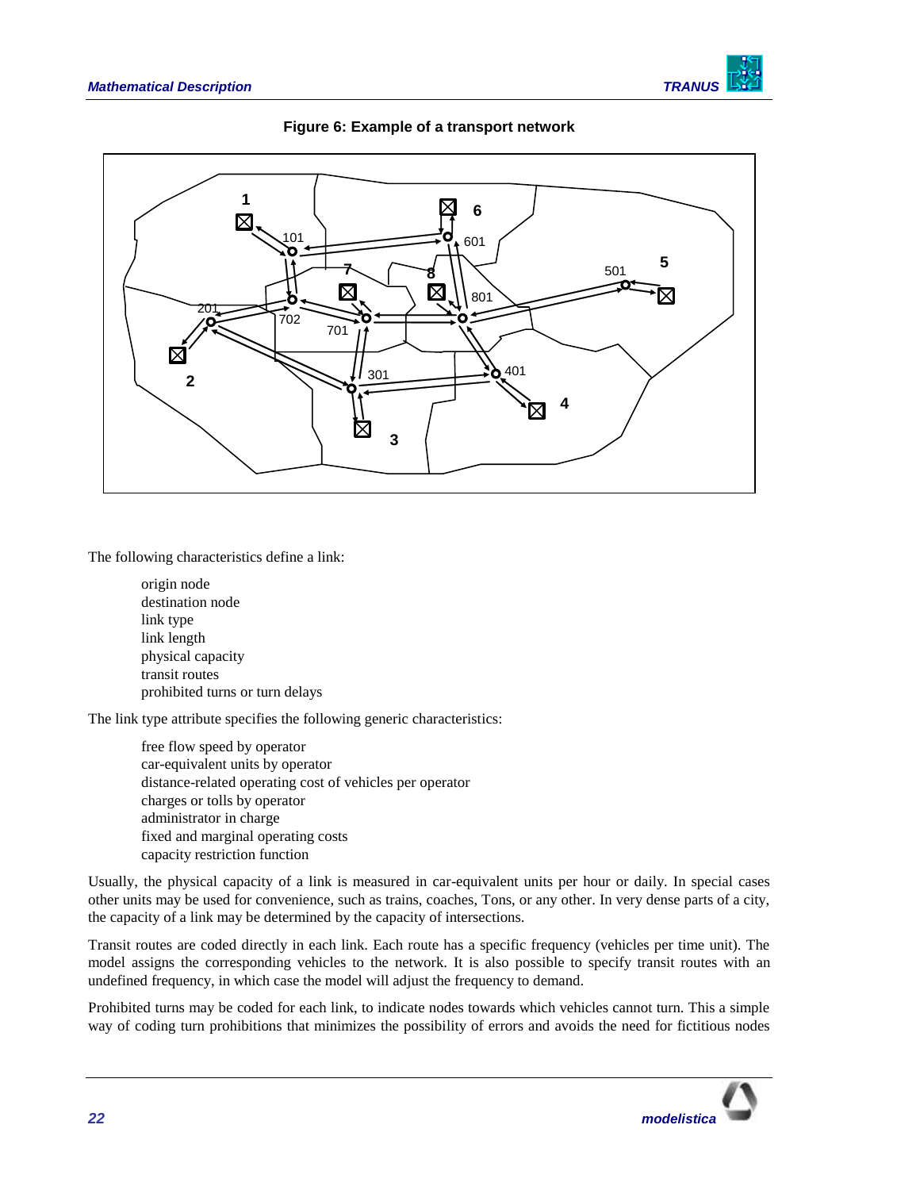

**Figure 6: Example of a transport network**



The following characteristics define a link:

origin node destination node link type link length physical capacity transit routes prohibited turns or turn delays

The link type attribute specifies the following generic characteristics:

free flow speed by operator car-equivalent units by operator distance-related operating cost of vehicles per operator charges or tolls by operator administrator in charge fixed and marginal operating costs capacity restriction function

Usually, the physical capacity of a link is measured in car-equivalent units per hour or daily. In special cases other units may be used for convenience, such as trains, coaches, Tons, or any other. In very dense parts of a city, the capacity of a link may be determined by the capacity of intersections.

Transit routes are coded directly in each link. Each route has a specific frequency (vehicles per time unit). The model assigns the corresponding vehicles to the network. It is also possible to specify transit routes with an undefined frequency, in which case the model will adjust the frequency to demand.

Prohibited turns may be coded for each link, to indicate nodes towards which vehicles cannot turn. This a simple way of coding turn prohibitions that minimizes the possibility of errors and avoids the need for fictitious nodes

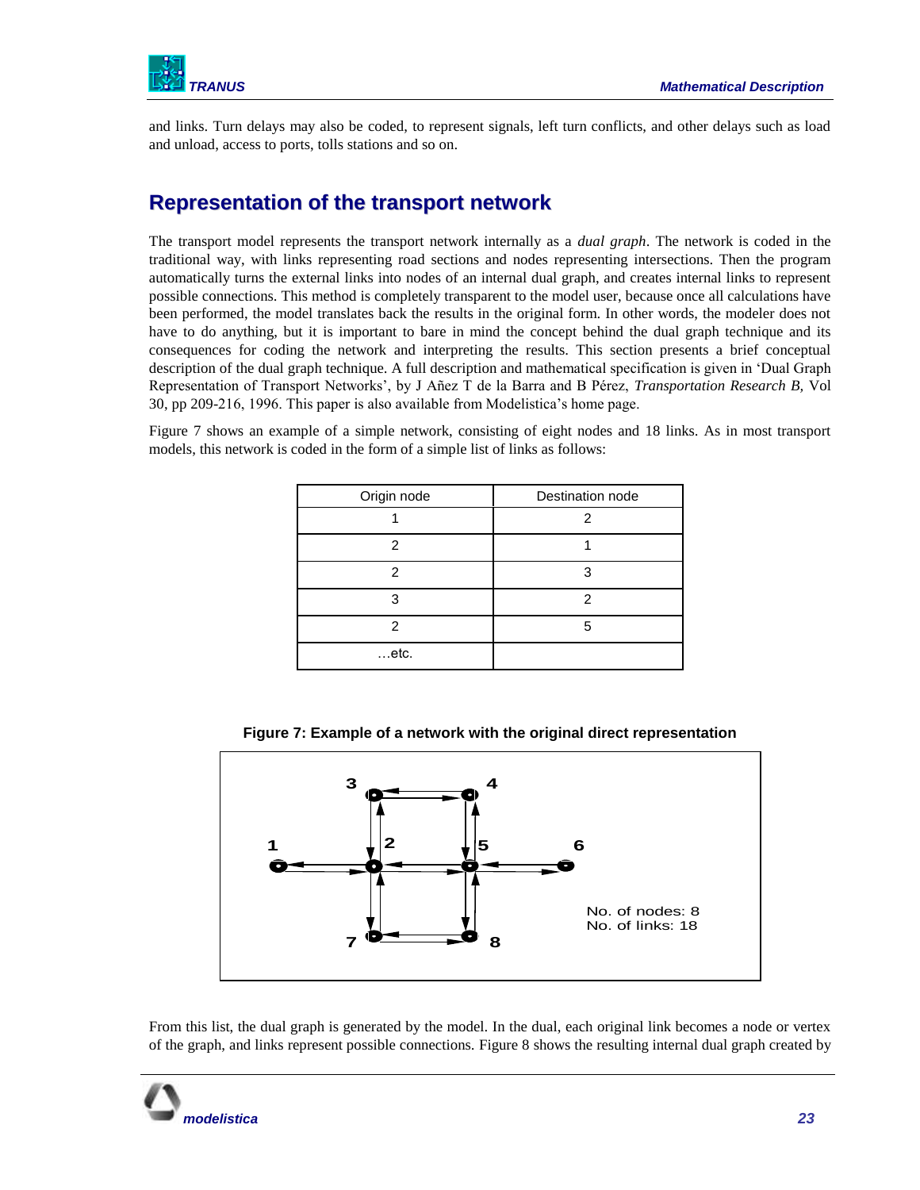

and links. Turn delays may also be coded, to represent signals, left turn conflicts, and other delays such as load and unload, access to ports, tolls stations and so on.

# <span id="page-24-0"></span>**Representation of the transport network**

The transport model represents the transport network internally as a *dual graph*. The network is coded in the traditional way, with links representing road sections and nodes representing intersections. Then the program automatically turns the external links into nodes of an internal dual graph, and creates internal links to represent possible connections. This method is completely transparent to the model user, because once all calculations have been performed, the model translates back the results in the original form. In other words, the modeler does not have to do anything, but it is important to bare in mind the concept behind the dual graph technique and its consequences for coding the network and interpreting the results. This section presents a brief conceptual description of the dual graph technique. A full description and mathematical specification is given in 'Dual Graph Representation of Transport Networks', by J Añez T de la Barra and B Pérez, *Transportation Research B,* Vol 30, pp 209-216, 1996. This paper is also available from Modelistica's home page.

Figure 7 shows an example of a simple network, consisting of eight nodes and 18 links. As in most transport models, this network is coded in the form of a simple list of links as follows:

| Origin node | Destination node |
|-------------|------------------|
|             | 2                |
| 2           |                  |
| 2           | З                |
| 3           | 2                |
| 2           | 5                |
| $$ etc.     |                  |

**Figure 7: Example of a network with the original direct representation**



From this list, the dual graph is generated by the model. In the dual, each original link becomes a node or vertex of the graph, and links represent possible connections. [Figure 8](#page-25-0) shows the resulting internal dual graph created by

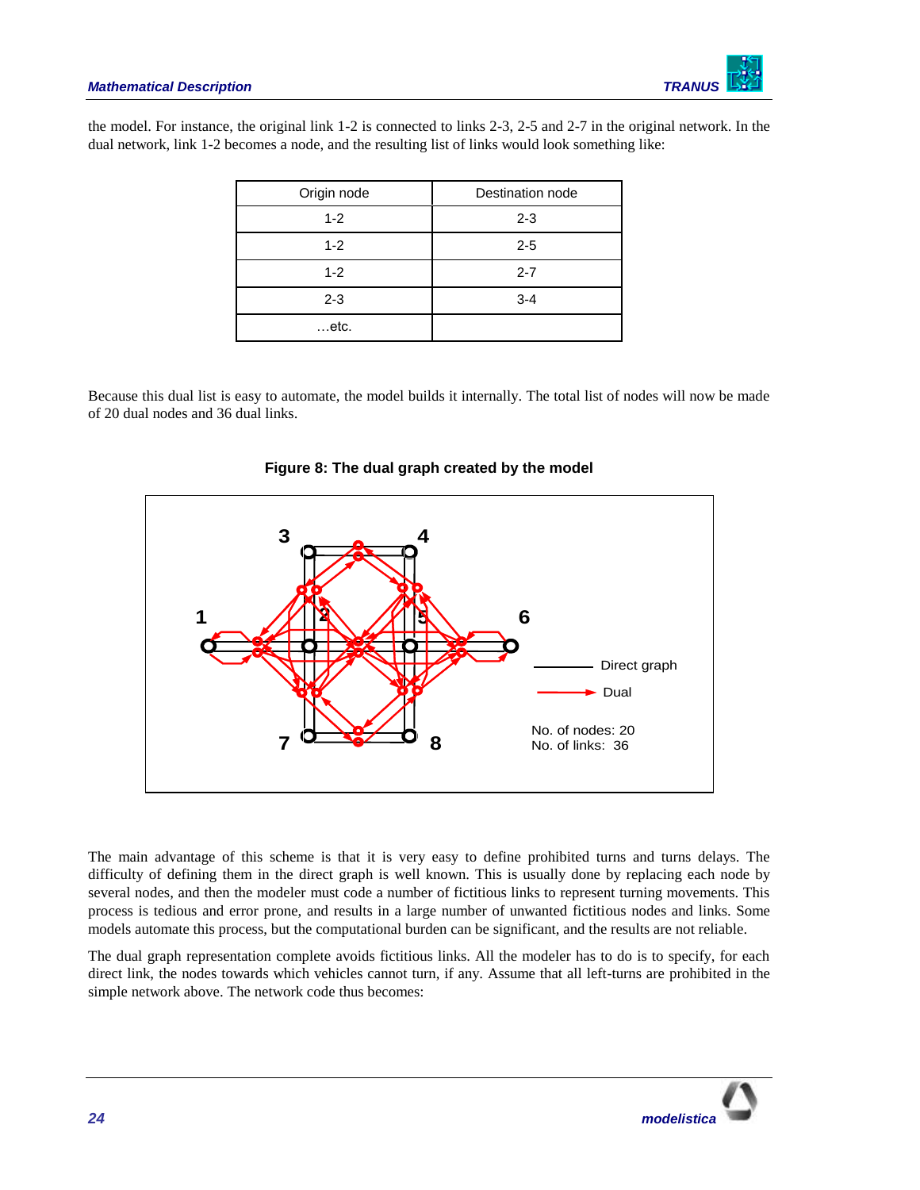

the model. For instance, the original link 1-2 is connected to links 2-3, 2-5 and 2-7 in the original network. In the dual network, link 1-2 becomes a node, and the resulting list of links would look something like:

| Origin node | Destination node |
|-------------|------------------|
| $1 - 2$     | $2 - 3$          |
| $1 - 2$     | $2 - 5$          |
| $1 - 2$     | $2 - 7$          |
| $2 - 3$     | $3 - 4$          |
| $$ etc.     |                  |

<span id="page-25-0"></span>Because this dual list is easy to automate, the model builds it internally. The total list of nodes will now be made of 20 dual nodes and 36 dual links.



**Figure 8: The dual graph created by the model**

The main advantage of this scheme is that it is very easy to define prohibited turns and turns delays. The difficulty of defining them in the direct graph is well known. This is usually done by replacing each node by several nodes, and then the modeler must code a number of fictitious links to represent turning movements. This process is tedious and error prone, and results in a large number of unwanted fictitious nodes and links. Some models automate this process, but the computational burden can be significant, and the results are not reliable.

The dual graph representation complete avoids fictitious links. All the modeler has to do is to specify, for each direct link, the nodes towards which vehicles cannot turn, if any. Assume that all left-turns are prohibited in the simple network above. The network code thus becomes:

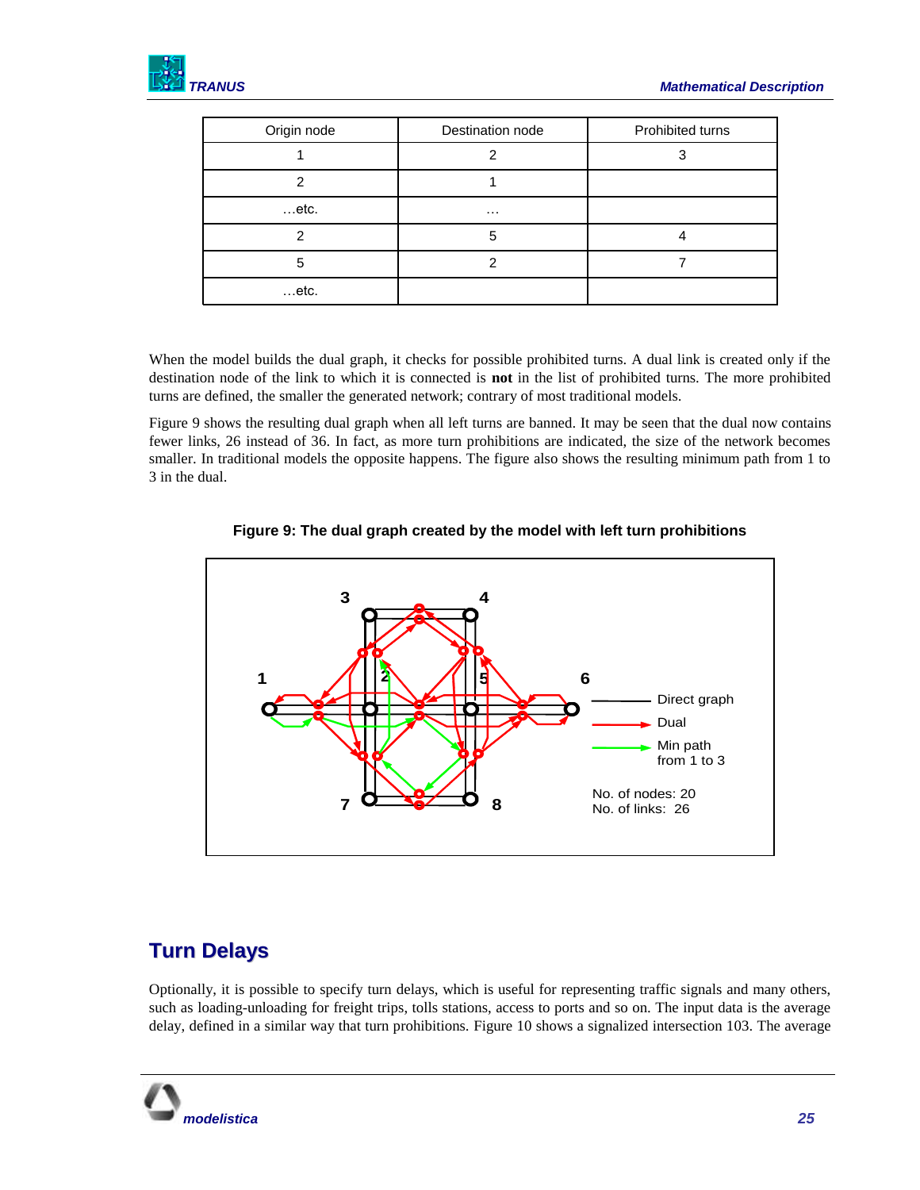

| Origin node | Destination node     | Prohibited turns |
|-------------|----------------------|------------------|
|             |                      |                  |
| っ           |                      |                  |
| $$ etc.     | $\sim$ $\sim$ $\sim$ |                  |
| っ           | 5                    |                  |
| 5           |                      |                  |
| $$ etc.     |                      |                  |

When the model builds the dual graph, it checks for possible prohibited turns. A dual link is created only if the destination node of the link to which it is connected is **not** in the list of prohibited turns. The more prohibited turns are defined, the smaller the generated network; contrary of most traditional models.

<span id="page-26-1"></span>[Figure 9](#page-26-1) shows the resulting dual graph when all left turns are banned. It may be seen that the dual now contains fewer links, 26 instead of 36. In fact, as more turn prohibitions are indicated, the size of the network becomes smaller. In traditional models the opposite happens. The figure also shows the resulting minimum path from 1 to 3 in the dual.





# <span id="page-26-0"></span>**Turn Delays**

Optionally, it is possible to specify turn delays, which is useful for representing traffic signals and many others, such as loading-unloading for freight trips, tolls stations, access to ports and so on. The input data is the average delay, defined in a similar way that turn prohibitions. [Figure 10](#page-27-0) shows a signalized intersection 103. The average

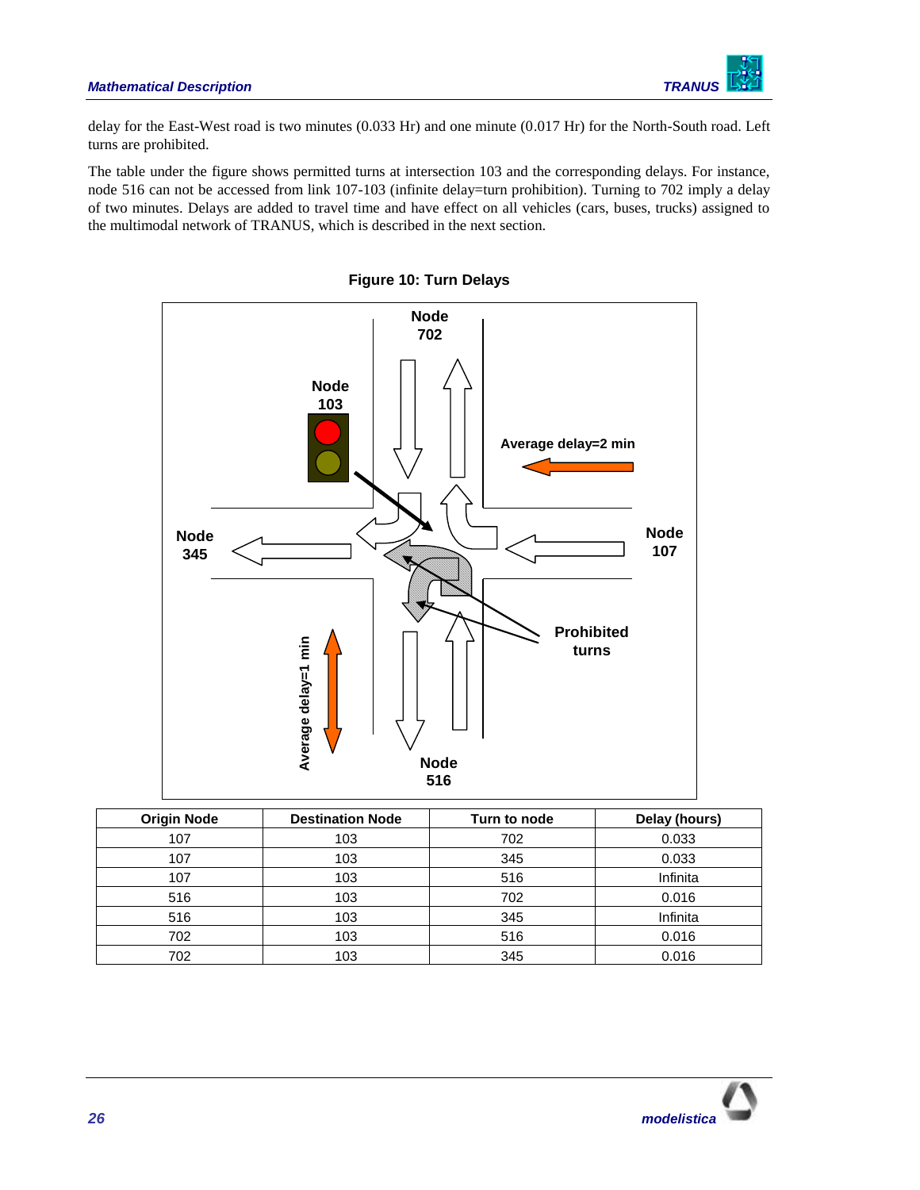

delay for the East-West road is two minutes (0.033 Hr) and one minute (0.017 Hr) for the North-South road. Left turns are prohibited.

<span id="page-27-0"></span>The table under the figure shows permitted turns at intersection 103 and the corresponding delays. For instance, node 516 can not be accessed from link 107-103 (infinite delay=turn prohibition). Turning to 702 imply a delay of two minutes. Delays are added to travel time and have effect on all vehicles (cars, buses, trucks) assigned to the multimodal network of TRANUS, which is described in the next section.



**Figure 10: Turn Delays**

| <b>Origin Node</b> | <b>Destination Node</b> | Turn to node | Delay (hours) |
|--------------------|-------------------------|--------------|---------------|
| 107                | 103                     | 702          | 0.033         |
| 107                | 103                     | 345          | 0.033         |
| 107                | 103                     | 516          | Infinita      |
| 516                | 103                     | 702          | 0.016         |
| 516                | 103                     | 345          | Infinita      |
| 702                | 103                     | 516          | 0.016         |
| 702                | 103                     | 345          | 0.016         |

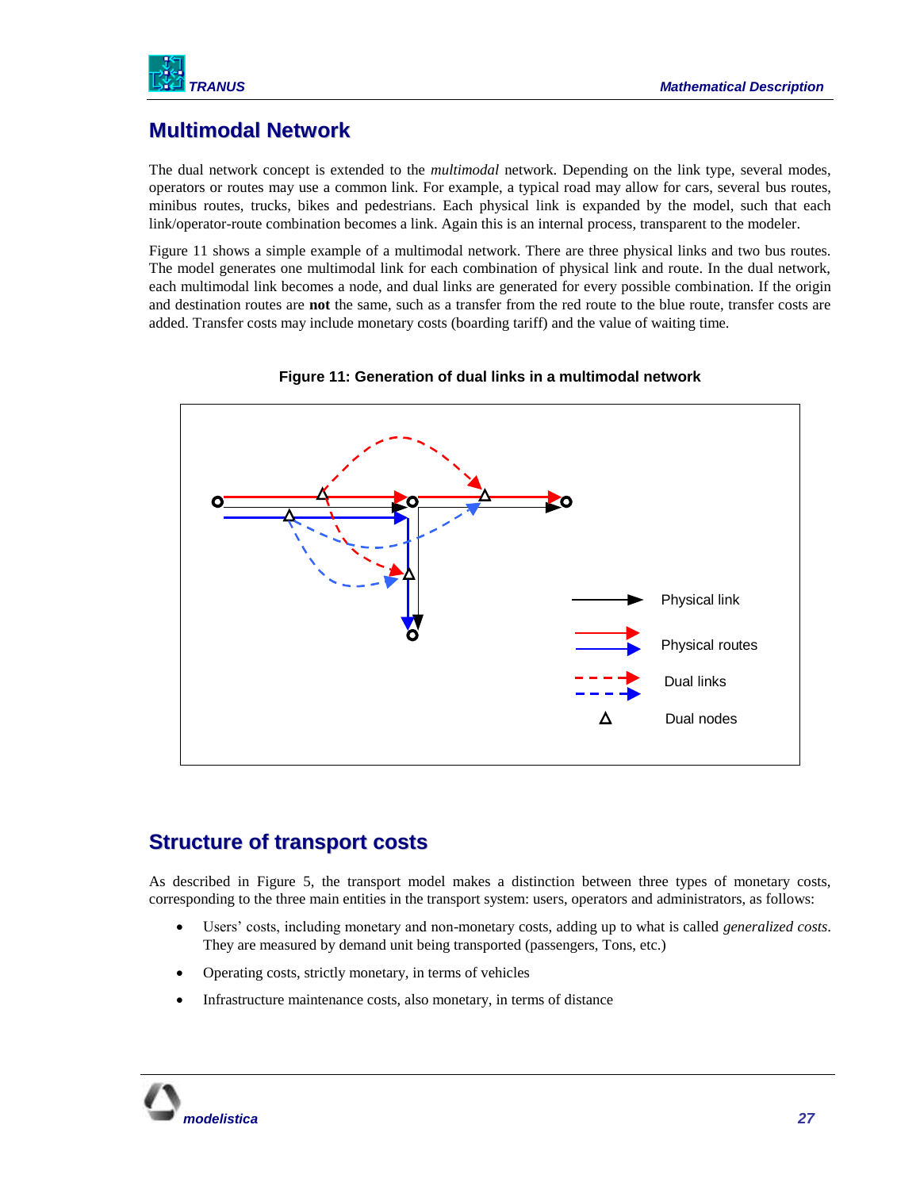

# <span id="page-28-0"></span>**Multimodal Network**

The dual network concept is extended to the *multimodal* network. Depending on the link type, several modes, operators or routes may use a common link. For example, a typical road may allow for cars, several bus routes, minibus routes, trucks, bikes and pedestrians. Each physical link is expanded by the model, such that each link/operator-route combination becomes a link. Again this is an internal process, transparent to the modeler.

Figure 11 shows a simple example of a multimodal network. There are three physical links and two bus routes. The model generates one multimodal link for each combination of physical link and route. In the dual network, each multimodal link becomes a node, and dual links are generated for every possible combination. If the origin and destination routes are **not** the same, such as a transfer from the red route to the blue route, transfer costs are added. Transfer costs may include monetary costs (boarding tariff) and the value of waiting time.



**Figure 11: Generation of dual links in a multimodal network**

# <span id="page-28-1"></span>**Structure of transport costs**

As described in [Figure 5,](#page-21-2) the transport model makes a distinction between three types of monetary costs, corresponding to the three main entities in the transport system: users, operators and administrators, as follows:

- Users' costs, including monetary and non-monetary costs, adding up to what is called *generalized costs*. They are measured by demand unit being transported (passengers, Tons, etc.)
- Operating costs, strictly monetary, in terms of vehicles
- Infrastructure maintenance costs, also monetary, in terms of distance

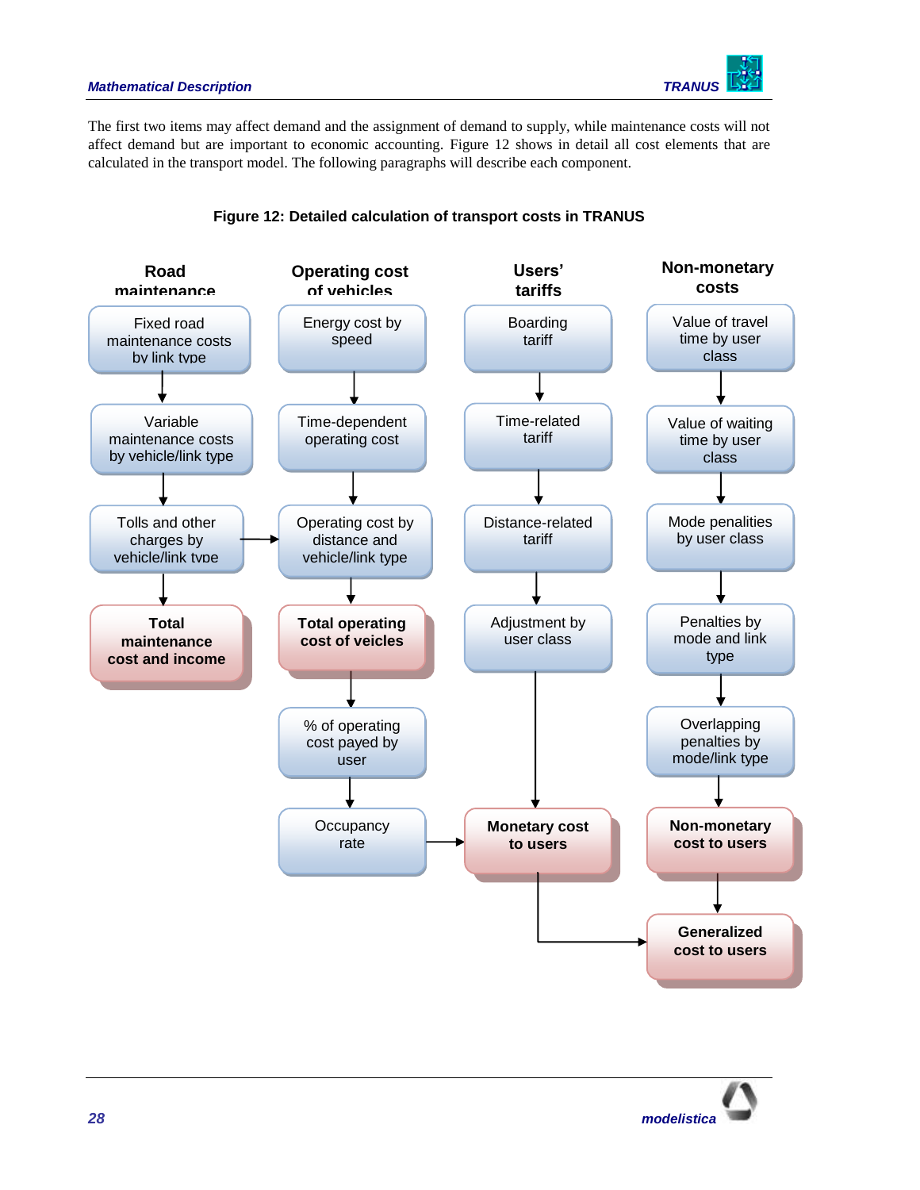

The first two items may affect demand and the assignment of demand to supply, while maintenance costs will not affect demand but are important to economic accounting. [Figure 12](#page-29-0) shows in detail all cost elements that are calculated in the transport model. The following paragraphs will describe each component.

<span id="page-29-0"></span>

### **Figure 12: Detailed calculation of transport costs in TRANUS**

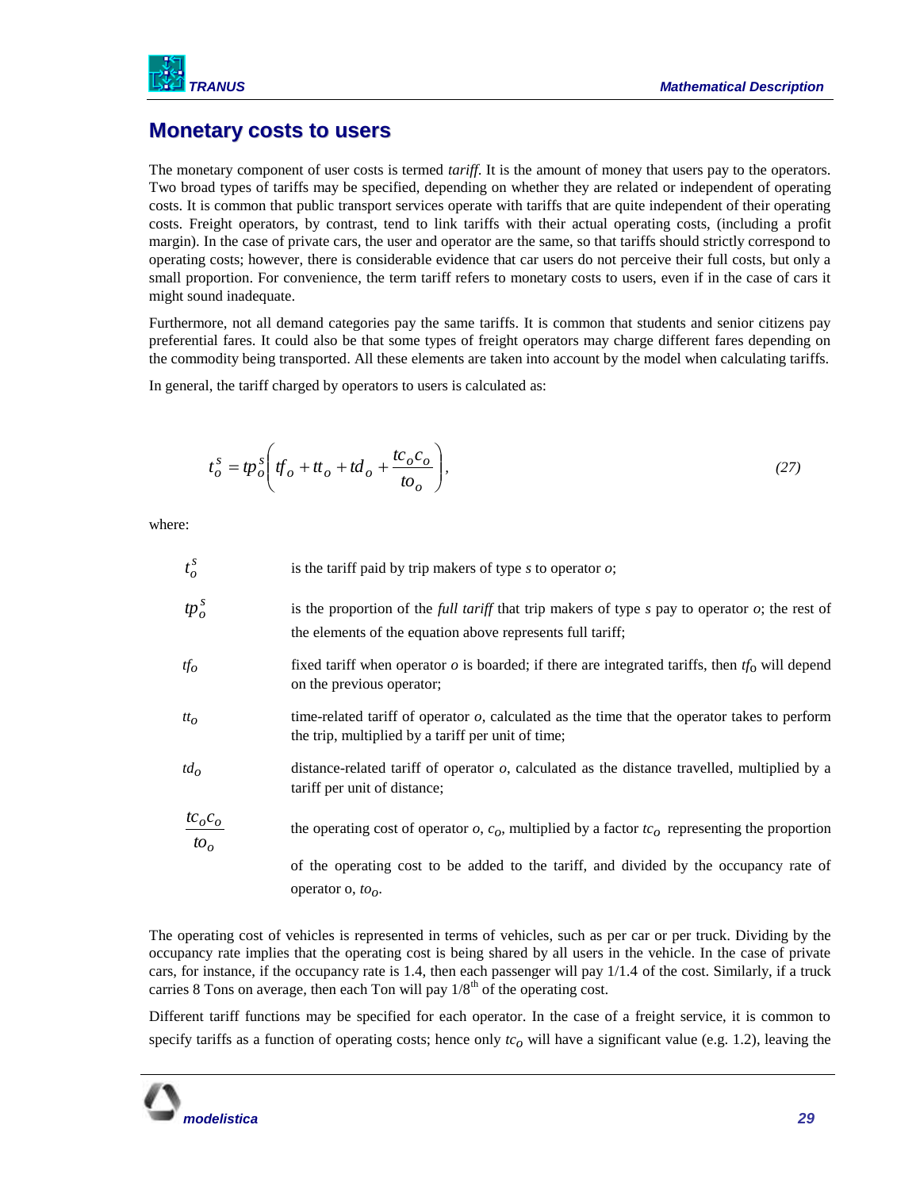

# <span id="page-30-0"></span>**Monetary costs to users**

The monetary component of user costs is termed *tariff*. It is the amount of money that users pay to the operators. Two broad types of tariffs may be specified, depending on whether they are related or independent of operating costs. It is common that public transport services operate with tariffs that are quite independent of their operating costs. Freight operators, by contrast, tend to link tariffs with their actual operating costs, (including a profit margin). In the case of private cars, the user and operator are the same, so that tariffs should strictly correspond to operating costs; however, there is considerable evidence that car users do not perceive their full costs, but only a small proportion. For convenience, the term tariff refers to monetary costs to users, even if in the case of cars it might sound inadequate.

Furthermore, not all demand categories pay the same tariffs. It is common that students and senior citizens pay preferential fares. It could also be that some types of freight operators may charge different fares depending on the commodity being transported. All these elements are taken into account by the model when calculating tariffs.

In general, the tariff charged by operators to users is calculated as:

$$
t_o^s = tp_o^s \left( tf_o + tt_o + td_o + \frac{tc_o c_o}{to_o} \right),\tag{27}
$$

where:

| is the proportion of the <i>full tariff</i> that trip makers of type $s$ pay to operator $o$ ; the rest of<br>the elements of the equation above represents full tariff;<br>fixed tariff when operator o is boarded; if there are integrated tariffs, then $t f_0$ will depend<br>on the previous operator;<br>time-related tariff of operator $o$ , calculated as the time that the operator takes to perform<br>the trip, multiplied by a tariff per unit of time;<br>distance-related tariff of operator $o$ , calculated as the distance travelled, multiplied by a<br>tariff per unit of distance;<br>the operating cost of operator o, $c_0$ , multiplied by a factor $tc_0$ representing the proportion<br>of the operating cost to be added to the tariff, and divided by the occupancy rate of<br>operator o, $too$ . | $t_o^s$                      | is the tariff paid by trip makers of type s to operator $\sigma$ ; |
|--------------------------------------------------------------------------------------------------------------------------------------------------------------------------------------------------------------------------------------------------------------------------------------------------------------------------------------------------------------------------------------------------------------------------------------------------------------------------------------------------------------------------------------------------------------------------------------------------------------------------------------------------------------------------------------------------------------------------------------------------------------------------------------------------------------------------------|------------------------------|--------------------------------------------------------------------|
|                                                                                                                                                                                                                                                                                                                                                                                                                                                                                                                                                                                                                                                                                                                                                                                                                                | $tp_o^s$                     |                                                                    |
|                                                                                                                                                                                                                                                                                                                                                                                                                                                                                                                                                                                                                                                                                                                                                                                                                                | tf $_o$                      |                                                                    |
|                                                                                                                                                                                                                                                                                                                                                                                                                                                                                                                                                                                                                                                                                                                                                                                                                                | $tt_0$                       |                                                                    |
|                                                                                                                                                                                                                                                                                                                                                                                                                                                                                                                                                                                                                                                                                                                                                                                                                                | $td_0$                       |                                                                    |
|                                                                                                                                                                                                                                                                                                                                                                                                                                                                                                                                                                                                                                                                                                                                                                                                                                | $\frac{tc_{o}c_{o}}{to_{o}}$ |                                                                    |
|                                                                                                                                                                                                                                                                                                                                                                                                                                                                                                                                                                                                                                                                                                                                                                                                                                |                              |                                                                    |

The operating cost of vehicles is represented in terms of vehicles, such as per car or per truck. Dividing by the occupancy rate implies that the operating cost is being shared by all users in the vehicle. In the case of private cars, for instance, if the occupancy rate is 1.4, then each passenger will pay 1/1.4 of the cost. Similarly, if a truck carries 8 Tons on average, then each Ton will pay  $1/8<sup>th</sup>$  of the operating cost.

Different tariff functions may be specified for each operator. In the case of a freight service, it is common to specify tariffs as a function of operating costs; hence only  $tc<sub>o</sub>$  will have a significant value (e.g. 1.2), leaving the

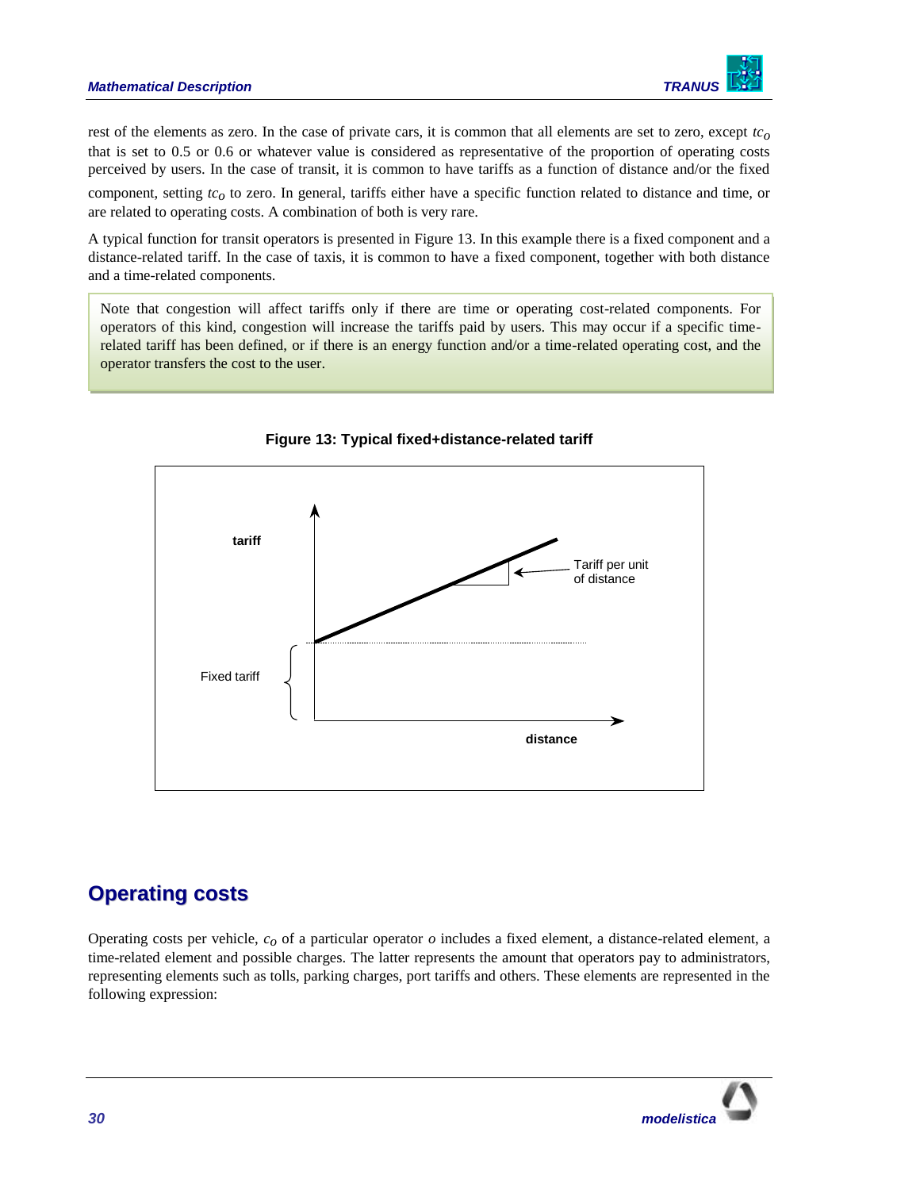

rest of the elements as zero. In the case of private cars, it is common that all elements are set to zero, except *tco* that is set to 0.5 or 0.6 or whatever value is considered as representative of the proportion of operating costs perceived by users. In the case of transit, it is common to have tariffs as a function of distance and/or the fixed

component, setting *tco* to zero. In general, tariffs either have a specific function related to distance and time, or are related to operating costs. A combination of both is very rare.

A typical function for transit operators is presented in [Figure 13.](#page-31-1) In this example there is a fixed component and a distance-related tariff. In the case of taxis, it is common to have a fixed component, together with both distance and a time-related components.

Note that congestion will affect tariffs only if there are time or operating cost-related components. For operators of this kind, congestion will increase the tariffs paid by users. This may occur if a specific timerelated tariff has been defined, or if there is an energy function and/or a time-related operating cost, and the operator transfers the cost to the user.

<span id="page-31-1"></span>

**Figure 13: Typical fixed+distance-related tariff**

# <span id="page-31-0"></span>**Operating costs**

Operating costs per vehicle,  $c<sub>o</sub>$  of a particular operator  $o$  includes a fixed element, a distance-related element, a time-related element and possible charges. The latter represents the amount that operators pay to administrators, representing elements such as tolls, parking charges, port tariffs and others. These elements are represented in the following expression: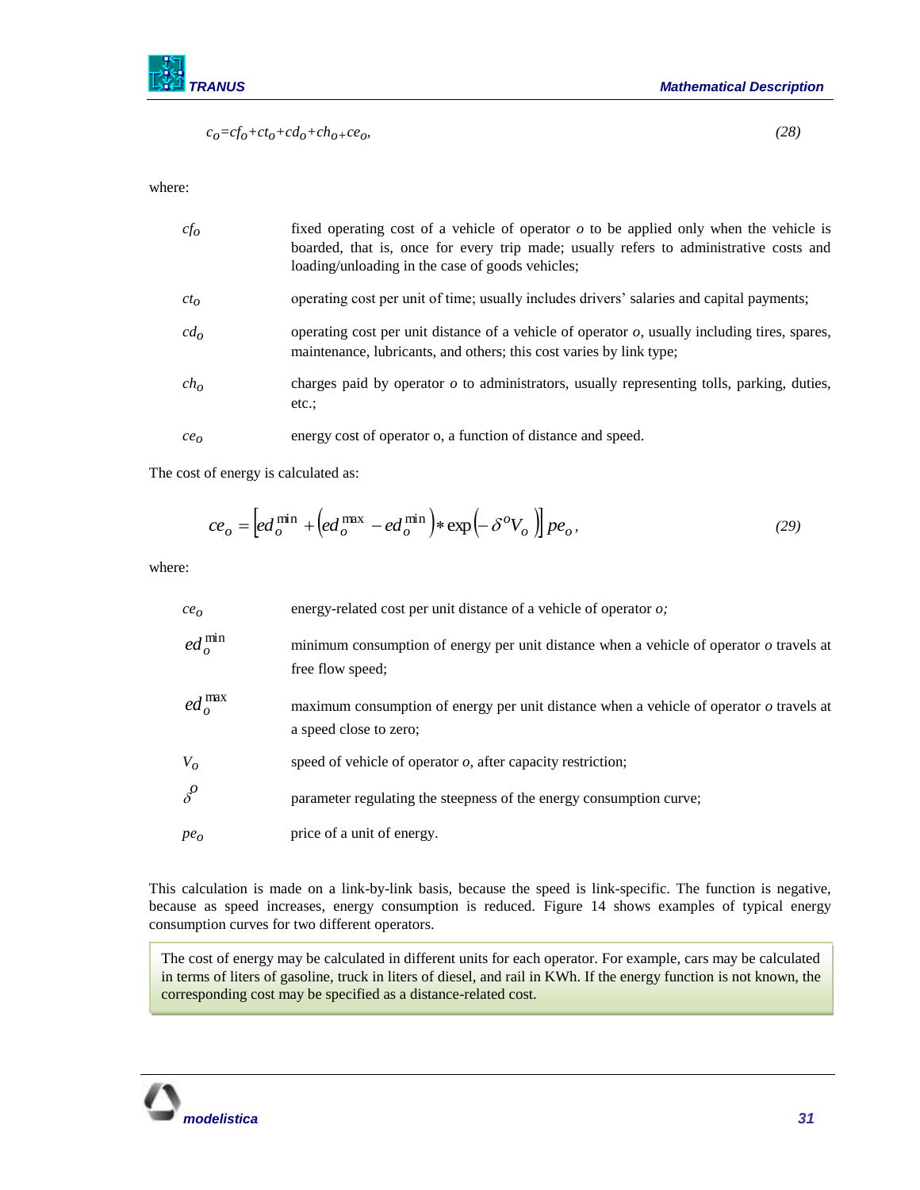

 $c_0 = cf_0 + ct_0 + cd_0 + ch_{0+}ce_0$ , (28)

#### where:

| $cf_o$          | fixed operating cost of a vehicle of operator $\sigma$ to be applied only when the vehicle is<br>boarded, that is, once for every trip made; usually refers to administrative costs and<br>loading/unloading in the case of goods vehicles; |
|-----------------|---------------------------------------------------------------------------------------------------------------------------------------------------------------------------------------------------------------------------------------------|
| $ct_0$          | operating cost per unit of time; usually includes drivers' salaries and capital payments;                                                                                                                                                   |
| $cd_{\alpha}$   | operating cost per unit distance of a vehicle of operator $o$ , usually including tires, spares,<br>maintenance, lubricants, and others; this cost varies by link type;                                                                     |
| ch <sub>O</sub> | charges paid by operator $\sigma$ to administrators, usually representing tolls, parking, duties,<br>etc.:                                                                                                                                  |
| ce <sub>o</sub> | energy cost of operator o, a function of distance and speed.                                                                                                                                                                                |

The cost of energy is calculated as:

$$
ce_{o} = \left[ ed_{o}^{\min} + \left( ed_{o}^{\max} - ed_{o}^{\min} \right) * \exp\left(-\delta^{o} V_{o} \right) \right] pe_{o},\tag{29}
$$

where:

| ce <sub>o</sub>      | energy-related cost per unit distance of a vehicle of operator $\alpha$ .                                                |
|----------------------|--------------------------------------------------------------------------------------------------------------------------|
| $ed_c^{\min}$        | minimum consumption of energy per unit distance when a vehicle of operator $\sigma$ travels at<br>free flow speed;       |
| $ed_{\alpha}^{\max}$ | maximum consumption of energy per unit distance when a vehicle of operator $\sigma$ travels at<br>a speed close to zero; |
| $V_o$                | speed of vehicle of operator $o$ , after capacity restriction;                                                           |
| $\delta^{\rho}$      | parameter regulating the steepness of the energy consumption curve;                                                      |
| pe <sub>o</sub>      | price of a unit of energy.                                                                                               |

This calculation is made on a link-by-link basis, because the speed is link-specific. The function is negative, because as speed increases, energy consumption is reduced. Figure 14 shows examples of typical energy consumption curves for two different operators.

The cost of energy may be calculated in different units for each operator. For example, cars may be calculated in terms of liters of gasoline, truck in liters of diesel, and rail in KWh. If the energy function is not known, the corresponding cost may be specified as a distance-related cost.

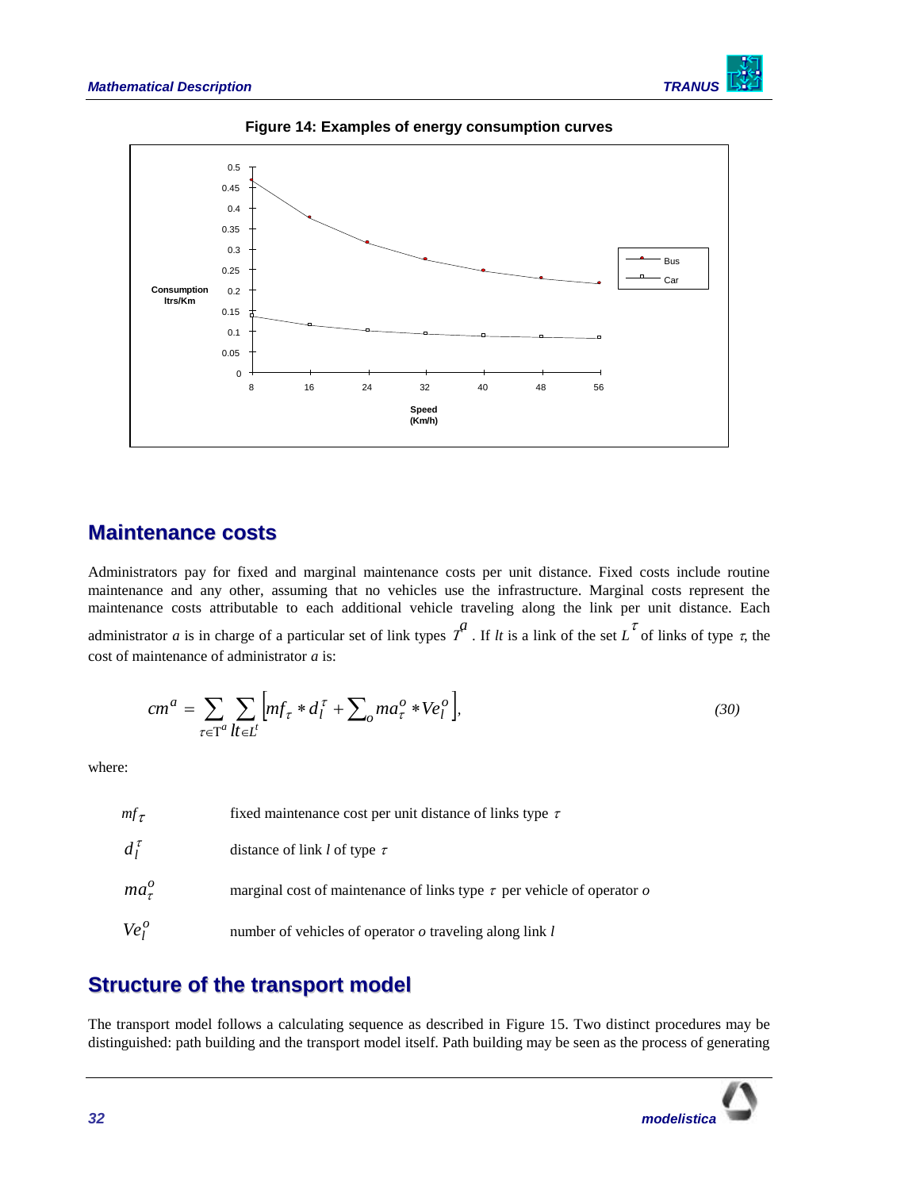





### <span id="page-33-0"></span>**Maintenance costs**

Administrators pay for fixed and marginal maintenance costs per unit distance. Fixed costs include routine maintenance and any other, assuming that no vehicles use the infrastructure. Marginal costs represent the maintenance costs attributable to each additional vehicle traveling along the link per unit distance. Each administrator *a* is in charge of a particular set of link types  $\overline{I}^a$ . If *lt* is a link of the set  $\overline{L}^{\tau}$  of links of type  $\tau$ , the cost of maintenance of administrator *a* is:

$$
cm^{a} = \sum_{\tau \in \mathcal{T}^{a}} \sum_{l t \in L^{t}} \left[ mf_{\tau} * d_{l}^{\tau} + \sum_{o} ma_{\tau}^{o} * Ve_{l}^{o} \right],
$$
\n(30)

where:

| mf $_{\tau}$ | fixed maintenance cost per unit distance of links type $\tau$               |  |
|--------------|-----------------------------------------------------------------------------|--|
| $d_1^{\tau}$ | distance of link l of type $\tau$                                           |  |
| $ma^o_\tau$  | marginal cost of maintenance of links type $\tau$ per vehicle of operator o |  |
| $Ve^o_1$     | number of vehicles of operator $\sigma$ traveling along link $l$            |  |

# <span id="page-33-1"></span>**Structure of the transport model**

The transport model follows a calculating sequence as described in Figure 15. Two distinct procedures may be distinguished: path building and the transport model itself. Path building may be seen as the process of generating

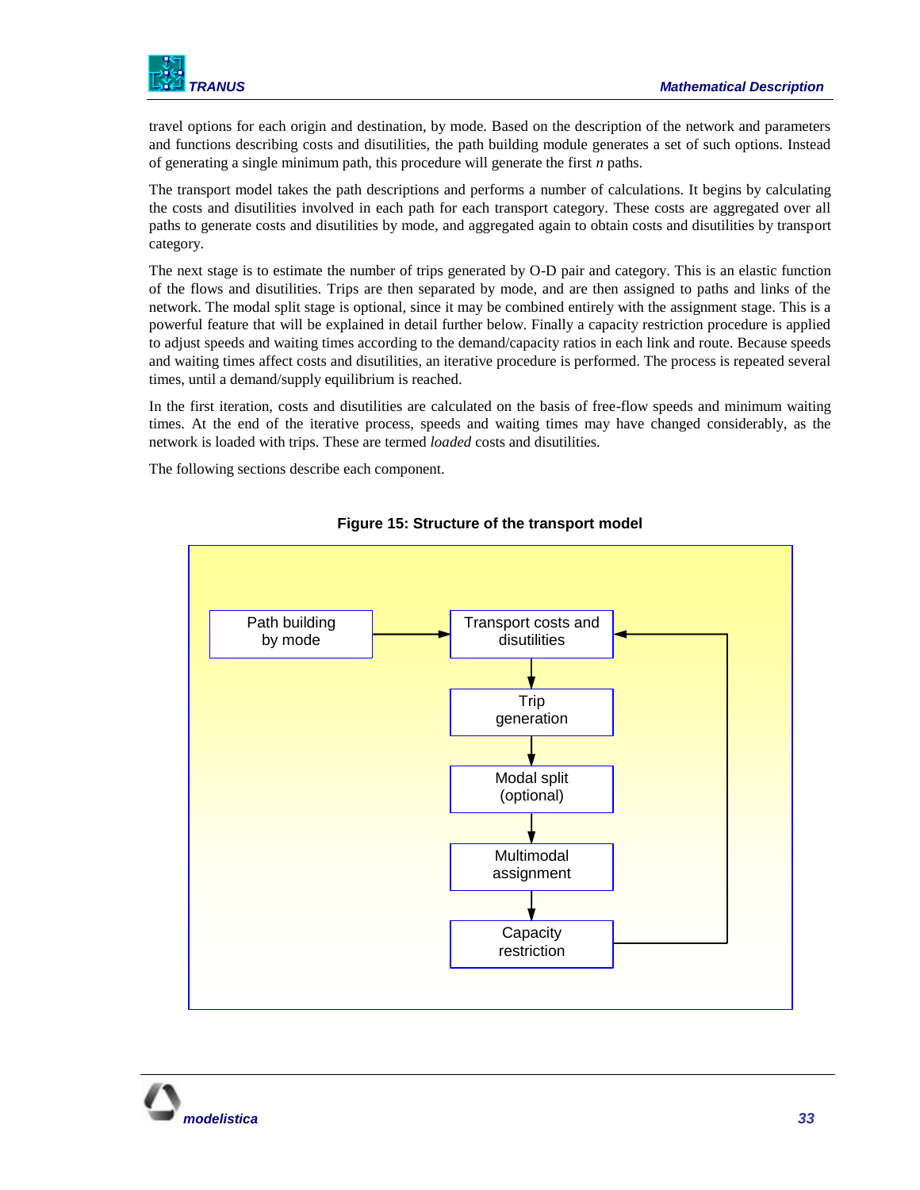travel options for each origin and destination, by mode. Based on the description of the network and parameters and functions describing costs and disutilities, the path building module generates a set of such options. Instead of generating a single minimum path, this procedure will generate the first *n* paths.

The transport model takes the path descriptions and performs a number of calculations. It begins by calculating the costs and disutilities involved in each path for each transport category. These costs are aggregated over all paths to generate costs and disutilities by mode, and aggregated again to obtain costs and disutilities by transport category.

The next stage is to estimate the number of trips generated by O-D pair and category. This is an elastic function of the flows and disutilities. Trips are then separated by mode, and are then assigned to paths and links of the network. The modal split stage is optional, since it may be combined entirely with the assignment stage. This is a powerful feature that will be explained in detail further below. Finally a capacity restriction procedure is applied to adjust speeds and waiting times according to the demand/capacity ratios in each link and route. Because speeds and waiting times affect costs and disutilities, an iterative procedure is performed. The process is repeated several times, until a demand/supply equilibrium is reached.

In the first iteration, costs and disutilities are calculated on the basis of free-flow speeds and minimum waiting times. At the end of the iterative process, speeds and waiting times may have changed considerably, as the network is loaded with trips. These are termed *loaded* costs and disutilities.

The following sections describe each component.



**Figure 15: Structure of the transport model**

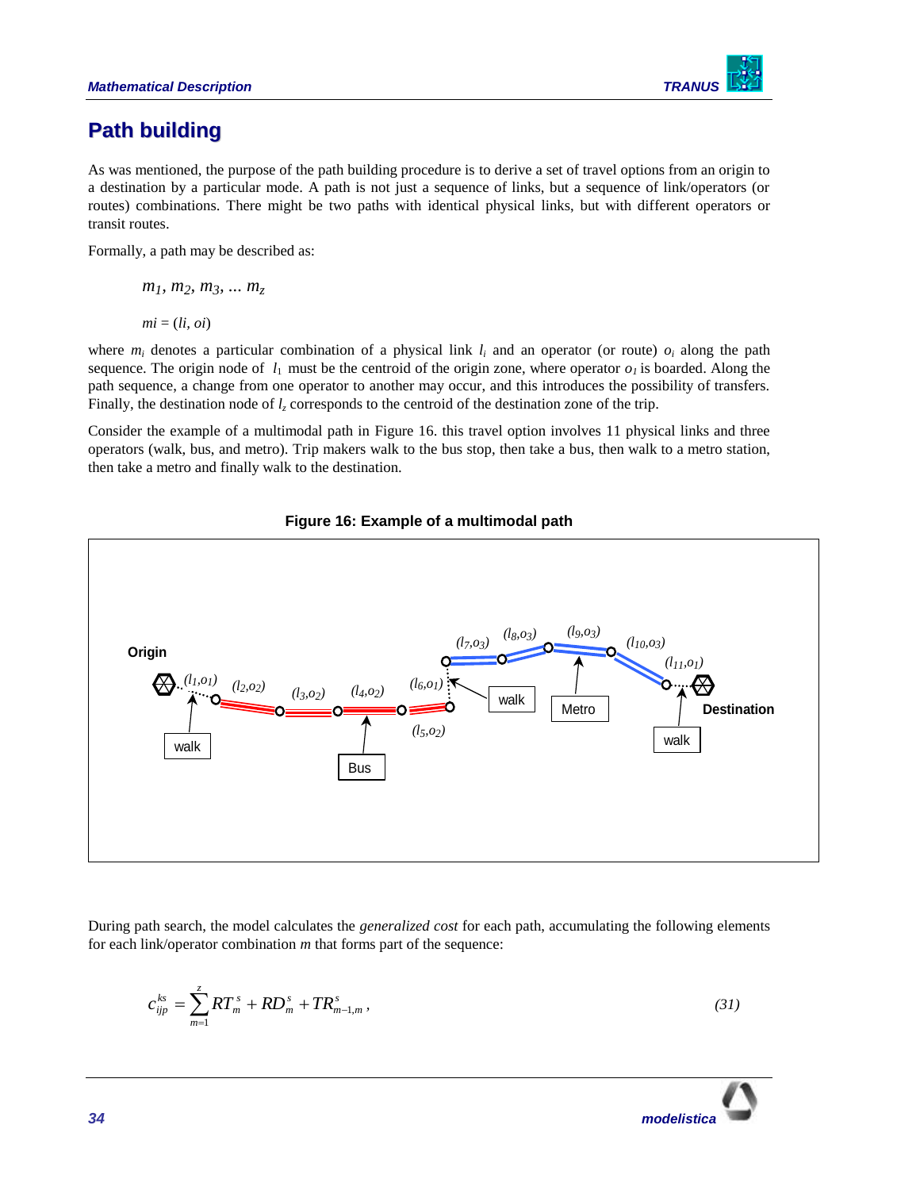

# <span id="page-35-0"></span>**Path building**

As was mentioned, the purpose of the path building procedure is to derive a set of travel options from an origin to a destination by a particular mode. A path is not just a sequence of links, but a sequence of link/operators (or routes) combinations. There might be two paths with identical physical links, but with different operators or transit routes.

Formally, a path may be described as:

*m1, m2, m3, ... m<sup>z</sup>* 

 $mi = (li, oli)$ 

where  $m_i$  denotes a particular combination of a physical link  $l_i$  and an operator (or route)  $o_i$  along the path sequence. The origin node of  $l_1$  must be the centroid of the origin zone, where operator  $o_1$  is boarded. Along the path sequence, a change from one operator to another may occur, and this introduces the possibility of transfers. Finally, the destination node of *l<sup>z</sup>* corresponds to the centroid of the destination zone of the trip.

Consider the example of a multimodal path in Figure 16. this travel option involves 11 physical links and three operators (walk, bus, and metro). Trip makers walk to the bus stop, then take a bus, then walk to a metro station, then take a metro and finally walk to the destination.

### **Figure 16: Example of a multimodal path**



During path search, the model calculates the *generalized cost* for each path, accumulating the following elements for each link/operator combination *m* that forms part of the sequence:

$$
c_{ijp}^{ks} = \sum_{m=1}^{z} RT_m^s + RD_m^s + TR_{m-1,m}^s,
$$
\n(31)

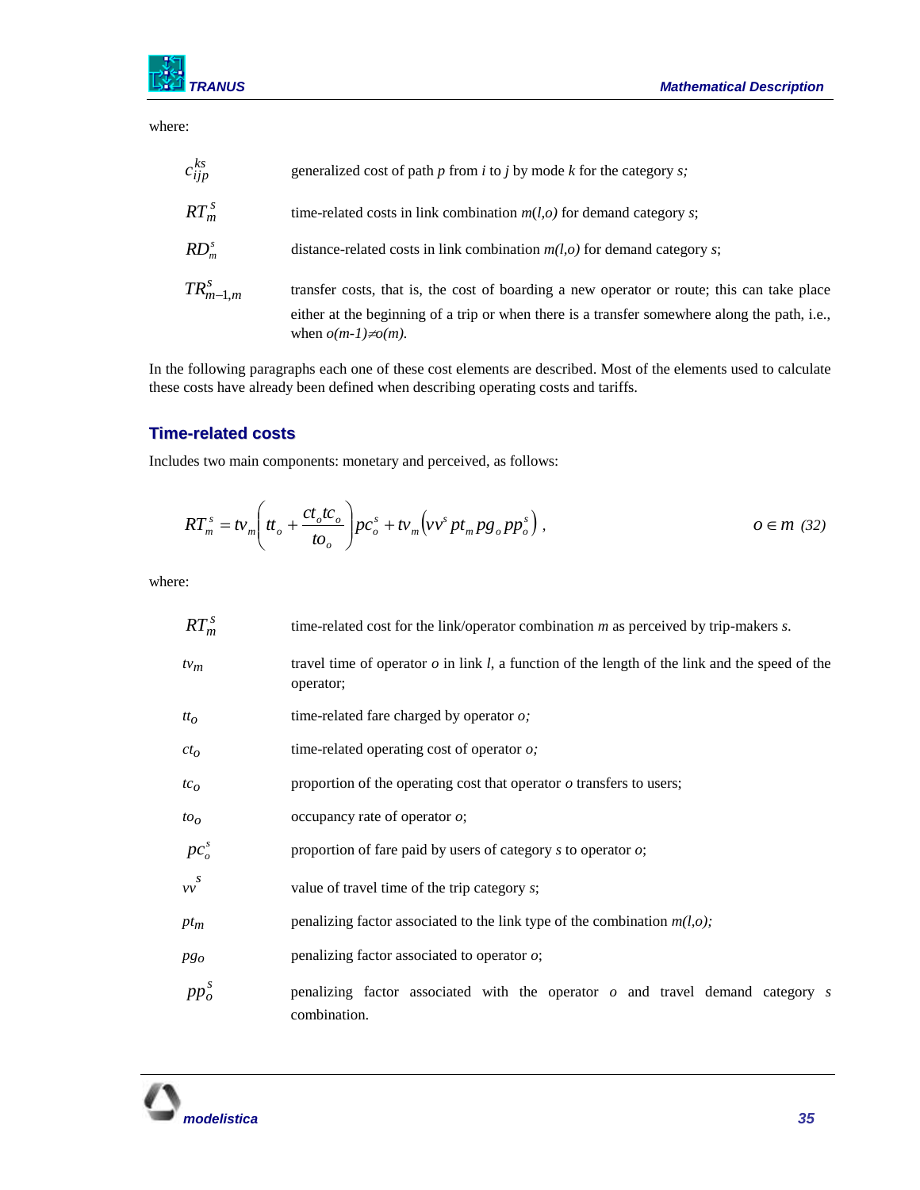where:

| $c_{ijp}^{ks}$ | generalized cost of path $p$ from $i$ to $j$ by mode $k$ for the category $s$ ;                                                                                                                                         |
|----------------|-------------------------------------------------------------------------------------------------------------------------------------------------------------------------------------------------------------------------|
| $RT_m^s$       | time-related costs in link combination $m(l, o)$ for demand category s;                                                                                                                                                 |
| $RD_m^s$       | distance-related costs in link combination $m(l, o)$ for demand category s;                                                                                                                                             |
| $TR_{m-1,m}^s$ | transfer costs, that is, the cost of boarding a new operator or route; this can take place<br>either at the beginning of a trip or when there is a transfer somewhere along the path, i.e.,<br>when $o(m-1)\neq o(m)$ . |

In the following paragraphs each one of these cost elements are described. Most of the elements used to calculate these costs have already been defined when describing operating costs and tariffs.

### **Time-related costs**

Includes two main components: monetary and perceived, as follows:

$$
RT_m^s = tv_m \left( t_o + \frac{ct_o tc_o}{t o_o} \right) pc_o^s + tv_m \left( vv^s pt_m pg_o pp_o^s \right),
$$
 
$$
o \in m \ (32)
$$

where:

 $RT_m^s$ time-related cost for the link/operator combination *m* as perceived by trip-makers *s*. *tvm* travel time of operator *o* in link *l*, a function of the length of the link and the speed of the operator; *tto* time-related fare charged by operator *o; cto* time-related operating cost of operator *o; tc*<sub>o</sub> proportion of the operating cost that operator *o* transfers to users; *too* occupancy rate of operator *o*; *s pc<sup>o</sup>* proportion of fare paid by users of category *s* to operator *o*; *vv s* value of travel time of the trip category *s*; *ptm* penalizing factor associated to the link type of the combination *m(l,o); pgo* penalizing factor associated to operator *o*; *s pp<sup>o</sup>* penalizing factor associated with the operator *o* and travel demand category *s* combination.

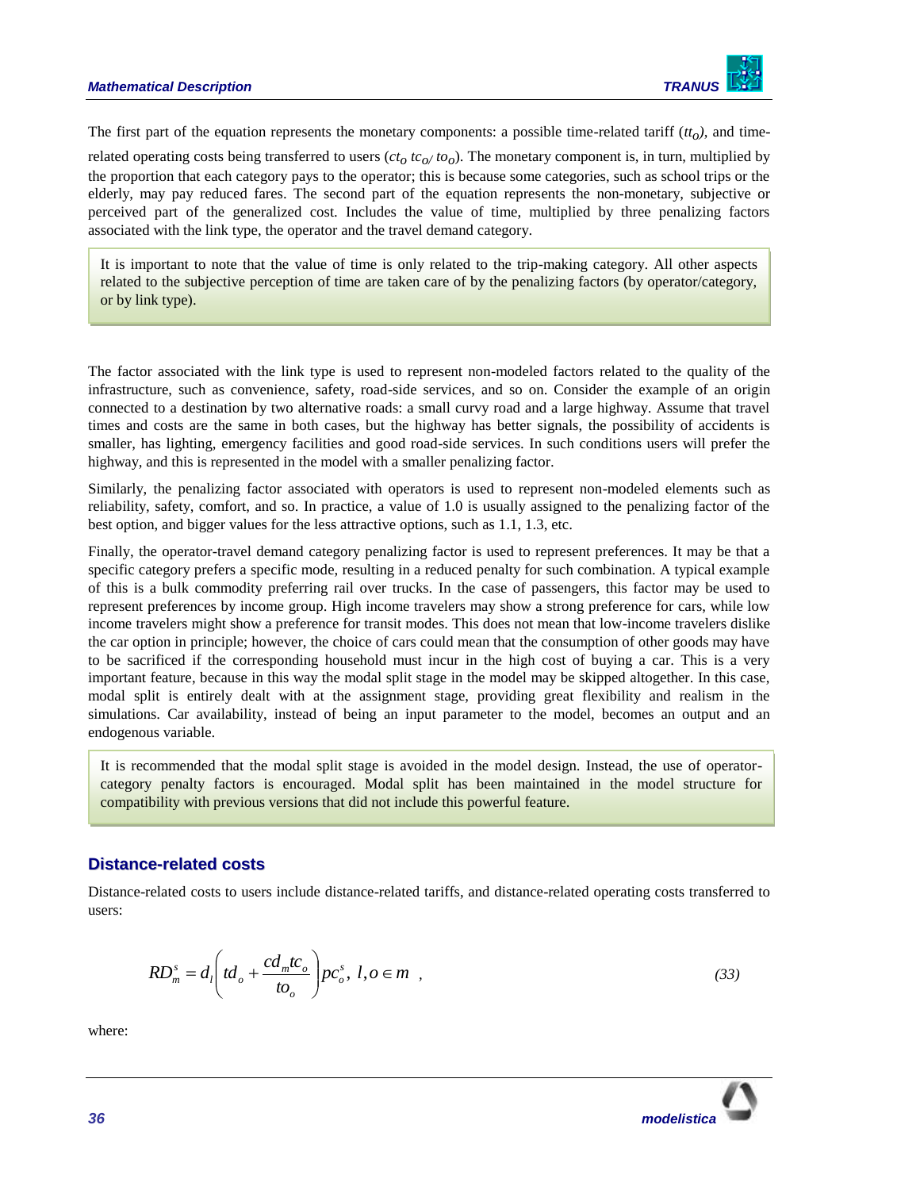### *Mathematical Description TRANUS*



The first part of the equation represents the monetary components: a possible time-related tariff  $(t<sub>t</sub>)$ , and time-

related operating costs being transferred to users  $(ct_0, tc_0/ to_0)$ . The monetary component is, in turn, multiplied by the proportion that each category pays to the operator; this is because some categories, such as school trips or the elderly, may pay reduced fares. The second part of the equation represents the non-monetary, subjective or perceived part of the generalized cost. Includes the value of time, multiplied by three penalizing factors associated with the link type, the operator and the travel demand category.

It is important to note that the value of time is only related to the trip-making category. All other aspects related to the subjective perception of time are taken care of by the penalizing factors (by operator/category, or by link type).

The factor associated with the link type is used to represent non-modeled factors related to the quality of the infrastructure, such as convenience, safety, road-side services, and so on. Consider the example of an origin connected to a destination by two alternative roads: a small curvy road and a large highway. Assume that travel times and costs are the same in both cases, but the highway has better signals, the possibility of accidents is smaller, has lighting, emergency facilities and good road-side services. In such conditions users will prefer the highway, and this is represented in the model with a smaller penalizing factor.

Similarly, the penalizing factor associated with operators is used to represent non-modeled elements such as reliability, safety, comfort, and so. In practice, a value of 1.0 is usually assigned to the penalizing factor of the best option, and bigger values for the less attractive options, such as 1.1, 1.3, etc.

Finally, the operator-travel demand category penalizing factor is used to represent preferences. It may be that a specific category prefers a specific mode, resulting in a reduced penalty for such combination. A typical example of this is a bulk commodity preferring rail over trucks. In the case of passengers, this factor may be used to represent preferences by income group. High income travelers may show a strong preference for cars, while low income travelers might show a preference for transit modes. This does not mean that low-income travelers dislike the car option in principle; however, the choice of cars could mean that the consumption of other goods may have to be sacrificed if the corresponding household must incur in the high cost of buying a car. This is a very important feature, because in this way the modal split stage in the model may be skipped altogether. In this case, modal split is entirely dealt with at the assignment stage, providing great flexibility and realism in the simulations. Car availability, instead of being an input parameter to the model, becomes an output and an endogenous variable.

It is recommended that the modal split stage is avoided in the model design. Instead, the use of operatorcategory penalty factors is encouraged. Modal split has been maintained in the model structure for compatibility with previous versions that did not include this powerful feature.

### **Distance-related costs**

Distance-related costs to users include distance-related tariffs, and distance-related operating costs transferred to users:

$$
RD_m^s = d_l \left( td_o + \frac{cd_m tc_o}{to_o} \right) pc_o^s, l, o \in m ,
$$
\n(33)

where:

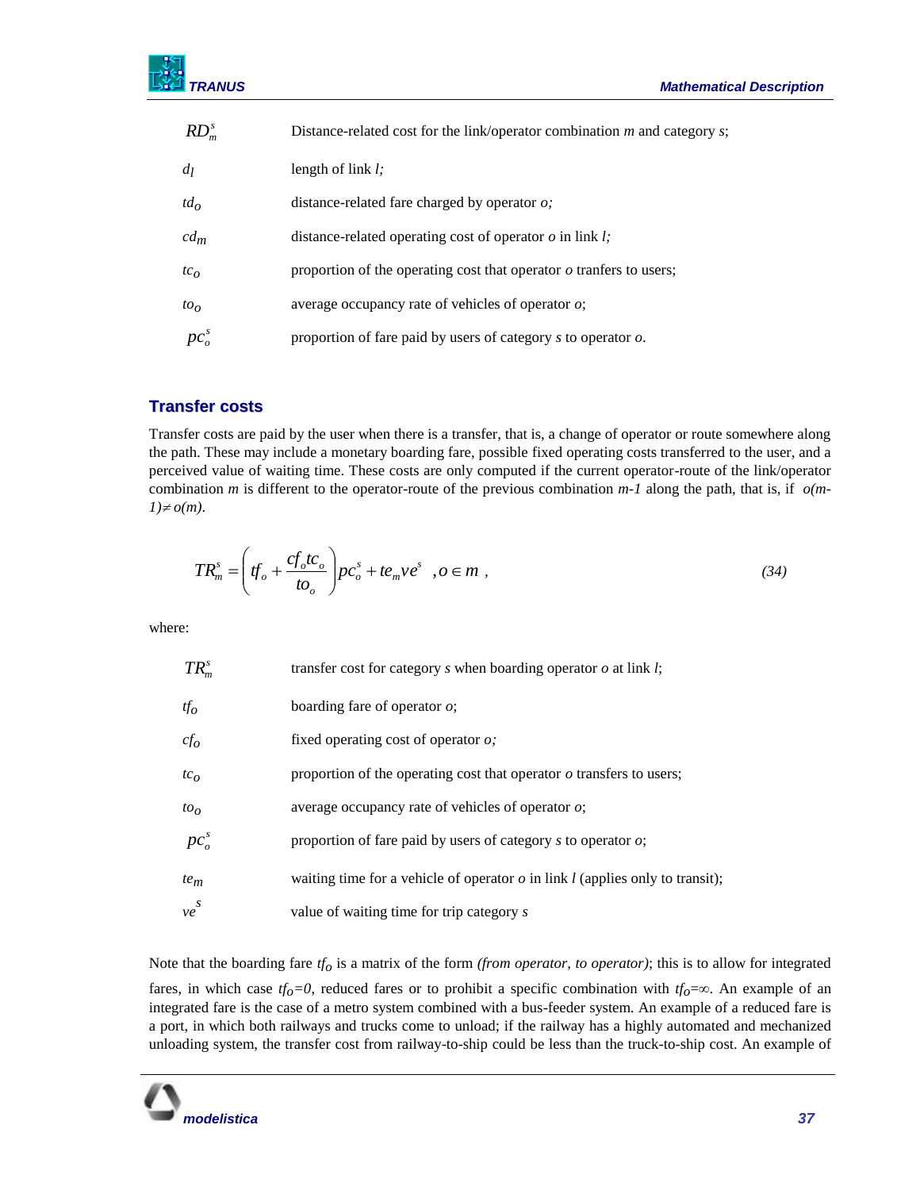| $RD_m^s$                     | Distance-related cost for the link/operator combination $m$ and category $s$ ; |  |
|------------------------------|--------------------------------------------------------------------------------|--|
| di                           | length of link $l$ ;                                                           |  |
| td <sub>O</sub>              | distance-related fare charged by operator o;                                   |  |
| $cd_m$                       | distance-related operating cost of operator $\sigma$ in link l;                |  |
| tc <sub>O</sub>              | proportion of the operating cost that operator $\sigma$ transfers to users;    |  |
| $to$ <sub>0</sub>            | average occupancy rate of vehicles of operator $o$ ;                           |  |
| pc <sub>o</sub> <sup>s</sup> | proportion of fare paid by users of category $s$ to operator $o$ .             |  |

### **Transfer costs**

Transfer costs are paid by the user when there is a transfer, that is, a change of operator or route somewhere along the path. These may include a monetary boarding fare, possible fixed operating costs transferred to the user, and a perceived value of waiting time. These costs are only computed if the current operator-route of the link/operator combination *m* is different to the operator-route of the previous combination *m-1* along the path, that is, if *o(m-* $1) \neq o(m)$ .

$$
TR_m^s = \left( tf_o + \frac{cf_o tc_o}{to_o} \right) pc_o^s + te_m ve^s \quad , o \in m \tag{34}
$$

where:

| $RD_m^s$                     | Distance-related cost for the link/operator combination $m$ and category $s$ ;                                                                                                                                                                                                                                                                                                                                                                              |
|------------------------------|-------------------------------------------------------------------------------------------------------------------------------------------------------------------------------------------------------------------------------------------------------------------------------------------------------------------------------------------------------------------------------------------------------------------------------------------------------------|
| $d_l$                        | length of link $l$ ;                                                                                                                                                                                                                                                                                                                                                                                                                                        |
| t $d_o$                      | distance-related fare charged by operator $o$ ;                                                                                                                                                                                                                                                                                                                                                                                                             |
| сd <sub>m</sub>              | distance-related operating cost of operator $o$ in link $l$ ;                                                                                                                                                                                                                                                                                                                                                                                               |
| tc <sub>O</sub>              | proportion of the operating cost that operator $\sigma$ transfers to users;                                                                                                                                                                                                                                                                                                                                                                                 |
| to <sub>o</sub>              | average occupancy rate of vehicles of operator $o$ ;                                                                                                                                                                                                                                                                                                                                                                                                        |
| $pc_o^s$                     | proportion of fare paid by users of category $s$ to operator $o$ .                                                                                                                                                                                                                                                                                                                                                                                          |
| <b>ISfer costs</b>           |                                                                                                                                                                                                                                                                                                                                                                                                                                                             |
| (m).                         | fer costs are paid by the user when there is a transfer, that is, a change of operator or route somewhere alo<br>th. These may include a monetary boarding fare, possible fixed operating costs transferred to the user, an<br>ived value of waiting time. These costs are only computed if the current operator-route of the link/opera<br>ination m is different to the operator-route of the previous combination $m-1$ along the path, that is, if $o($ |
|                              | $TR_m^s = \left( \frac{df_o + c f_o/c_o}{t o_o} \right) pc_o^s + t e_m v e^s$ , $o \in m$ ,<br>(34)                                                                                                                                                                                                                                                                                                                                                         |
|                              |                                                                                                                                                                                                                                                                                                                                                                                                                                                             |
| $TR_m^s$                     | transfer cost for category $s$ when boarding operator $o$ at link $l$ ;                                                                                                                                                                                                                                                                                                                                                                                     |
| tf $_o$                      | boarding fare of operator $o$ ;                                                                                                                                                                                                                                                                                                                                                                                                                             |
| $c f_o$                      | fixed operating cost of operator $o$ ;                                                                                                                                                                                                                                                                                                                                                                                                                      |
| $tc_o$                       | proportion of the operating cost that operator $o$ transfers to users;                                                                                                                                                                                                                                                                                                                                                                                      |
| $to_o$                       | average occupancy rate of vehicles of operator $o$ ;                                                                                                                                                                                                                                                                                                                                                                                                        |
| pc <sub>o</sub> <sup>s</sup> | proportion of fare paid by users of category $s$ to operator $o$ ;                                                                                                                                                                                                                                                                                                                                                                                          |
| te <sub>m</sub>              | waiting time for a vehicle of operator $o$ in link $l$ (applies only to transit);                                                                                                                                                                                                                                                                                                                                                                           |
| $ve^S$                       | value of waiting time for trip category s                                                                                                                                                                                                                                                                                                                                                                                                                   |
|                              | that the boarding fare $tf_0$ is a matrix of the form (from operator, to operator); this is to allow for integra                                                                                                                                                                                                                                                                                                                                            |
|                              | in which case $tf_0=0$ , reduced fares or to prohibit a specific combination with $tf_0=\infty$ . An example of<br>ated fare is the case of a metro system combined with a bus-feeder system. An example of a reduced fare<br>t, in which both railways and trucks come to unload; if the railway has a highly automated and mechaniz<br>ding system, the transfer cost from railway-to-ship could be less than the truck-to-ship cost. An example          |
| modelistica                  | 37                                                                                                                                                                                                                                                                                                                                                                                                                                                          |
|                              |                                                                                                                                                                                                                                                                                                                                                                                                                                                             |

Note that the boarding fare *tfo* is a matrix of the form *(from operator, to operator)*; this is to allow for integrated fares, in which case  $tf_0=0$ , reduced fares or to prohibit a specific combination with  $tf_0=\infty$ . An example of an integrated fare is the case of a metro system combined with a bus-feeder system. An example of a reduced fare is a port, in which both railways and trucks come to unload; if the railway has a highly automated and mechanized unloading system, the transfer cost from railway-to-ship could be less than the truck-to-ship cost. An example of

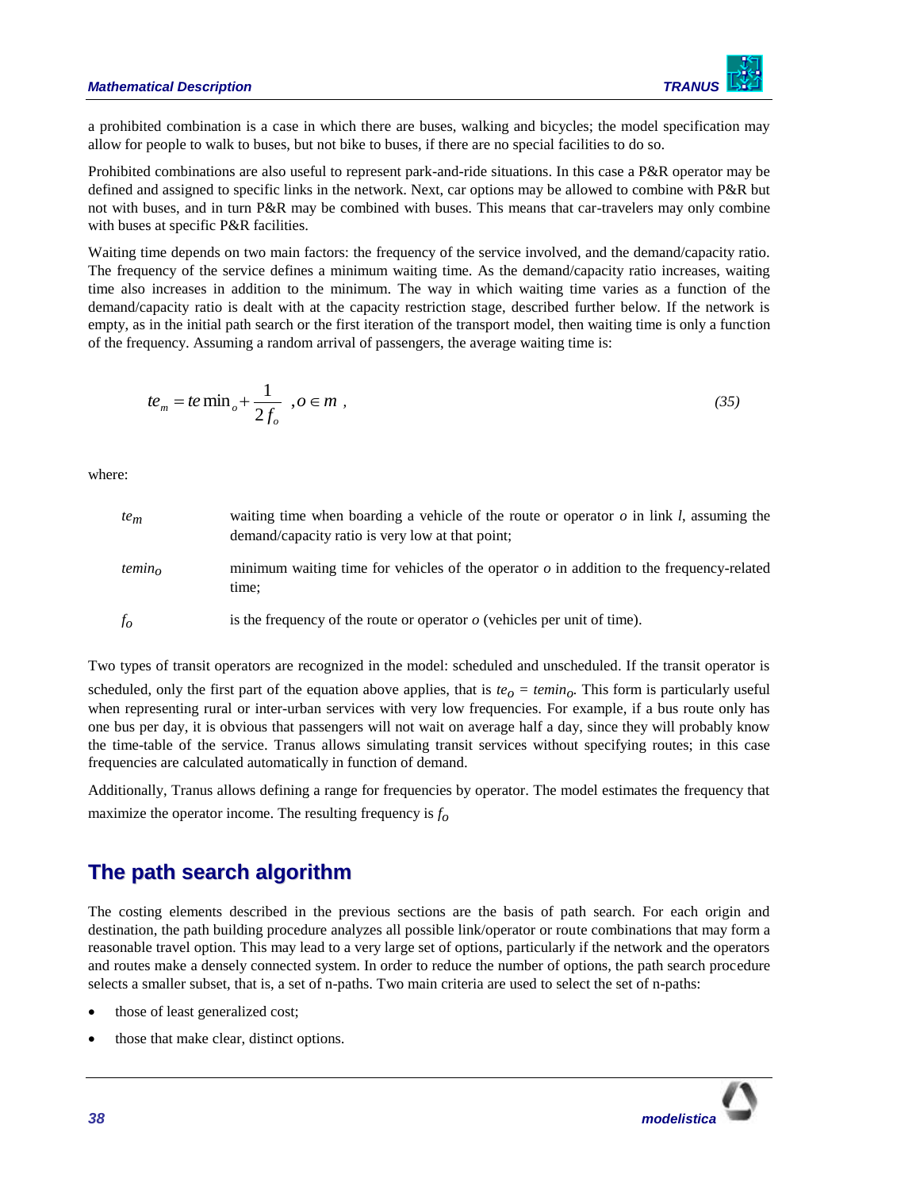### *Mathematical Description TRANUS*



a prohibited combination is a case in which there are buses, walking and bicycles; the model specification may allow for people to walk to buses, but not bike to buses, if there are no special facilities to do so.

Prohibited combinations are also useful to represent park-and-ride situations. In this case a P&R operator may be defined and assigned to specific links in the network. Next, car options may be allowed to combine with P&R but not with buses, and in turn P&R may be combined with buses. This means that car-travelers may only combine with buses at specific P&R facilities.

Waiting time depends on two main factors: the frequency of the service involved, and the demand/capacity ratio. The frequency of the service defines a minimum waiting time. As the demand/capacity ratio increases, waiting time also increases in addition to the minimum. The way in which waiting time varies as a function of the demand/capacity ratio is dealt with at the capacity restriction stage, described further below. If the network is empty, as in the initial path search or the first iteration of the transport model, then waiting time is only a function of the frequency. Assuming a random arrival of passengers, the average waiting time is:

$$
te_m = te \min_o + \frac{1}{2f_o}, o \in m,
$$
\n(35)

where:

| $te_m$           | waiting time when boarding a vehicle of the route or operator $\sigma$ in link l, assuming the<br>demand/capacity ratio is very low at that point; |
|------------------|----------------------------------------------------------------------------------------------------------------------------------------------------|
| $temin_{\alpha}$ | minimum waiting time for vehicles of the operator $\sigma$ in addition to the frequency-related<br>time:                                           |
|                  | is the frequency of the route or operator $\rho$ (vehicles per unit of time).                                                                      |

Two types of transit operators are recognized in the model: scheduled and unscheduled. If the transit operator is scheduled, only the first part of the equation above applies, that is  $te_0 = temin_0$ . This form is particularly useful when representing rural or inter-urban services with very low frequencies. For example, if a bus route only has one bus per day, it is obvious that passengers will not wait on average half a day, since they will probably know the time-table of the service. Tranus allows simulating transit services without specifying routes; in this case frequencies are calculated automatically in function of demand.

Additionally, Tranus allows defining a range for frequencies by operator. The model estimates the frequency that maximize the operator income. The resulting frequency is *fo*

# <span id="page-39-0"></span>**The path search algorithm**

The costing elements described in the previous sections are the basis of path search. For each origin and destination, the path building procedure analyzes all possible link/operator or route combinations that may form a reasonable travel option. This may lead to a very large set of options, particularly if the network and the operators and routes make a densely connected system. In order to reduce the number of options, the path search procedure selects a smaller subset, that is, a set of n-paths. Two main criteria are used to select the set of n-paths:

- those of least generalized cost;
- those that make clear, distinct options.

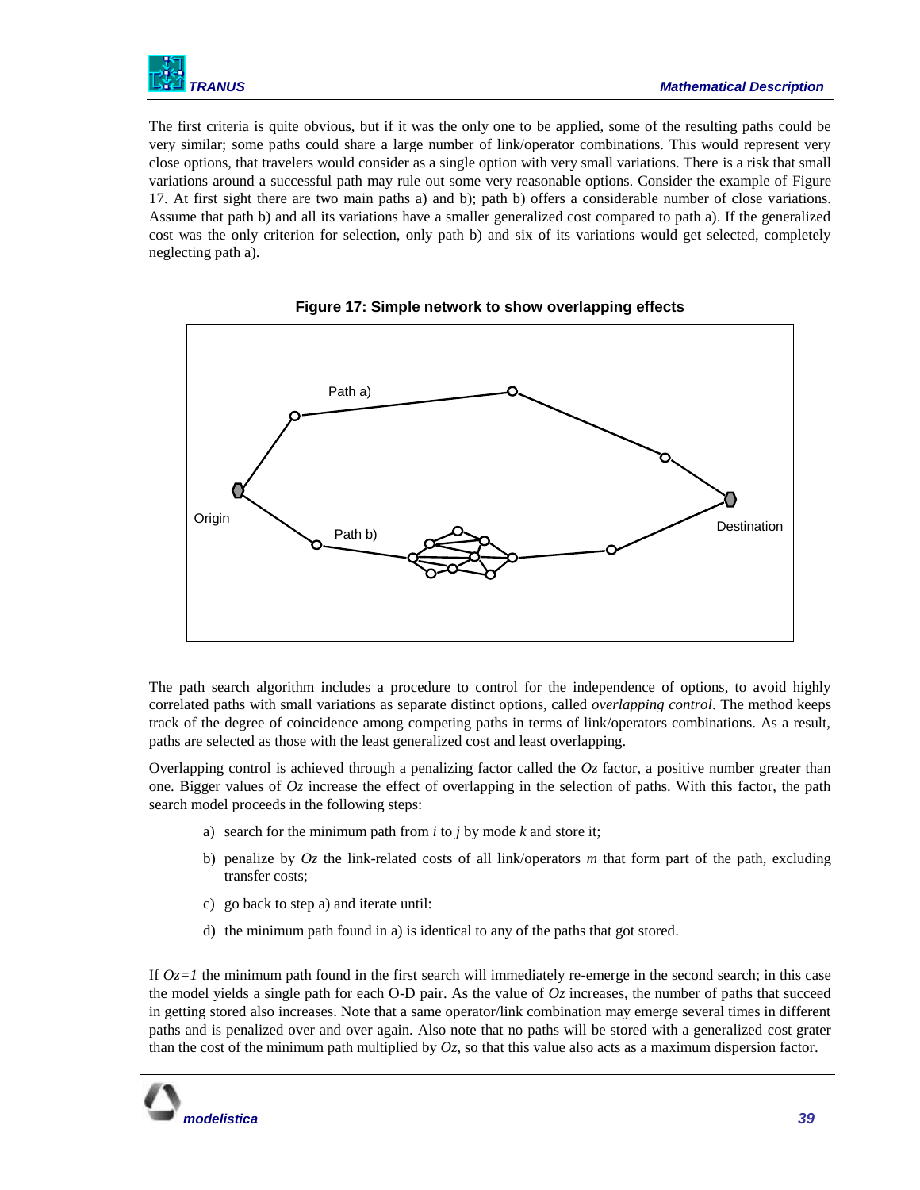

The first criteria is quite obvious, but if it was the only one to be applied, some of the resulting paths could be very similar; some paths could share a large number of link/operator combinations. This would represent very close options, that travelers would consider as a single option with very small variations. There is a risk that small variations around a successful path may rule out some very reasonable options. Consider the example of Figure 17. At first sight there are two main paths a) and b); path b) offers a considerable number of close variations. Assume that path b) and all its variations have a smaller generalized cost compared to path a). If the generalized cost was the only criterion for selection, only path b) and six of its variations would get selected, completely neglecting path a).





The path search algorithm includes a procedure to control for the independence of options, to avoid highly correlated paths with small variations as separate distinct options, called *overlapping control*. The method keeps track of the degree of coincidence among competing paths in terms of link/operators combinations. As a result, paths are selected as those with the least generalized cost and least overlapping.

Overlapping control is achieved through a penalizing factor called the *Oz* factor, a positive number greater than one. Bigger values of *Oz* increase the effect of overlapping in the selection of paths. With this factor, the path search model proceeds in the following steps:

- a) search for the minimum path from *i* to *j* by mode *k* and store it;
- b) penalize by *Oz* the link-related costs of all link/operators *m* that form part of the path, excluding transfer costs;
- c) go back to step a) and iterate until:
- d) the minimum path found in a) is identical to any of the paths that got stored.

If  $Oz=1$  the minimum path found in the first search will immediately re-emerge in the second search; in this case the model yields a single path for each O-D pair. As the value of *Oz* increases, the number of paths that succeed in getting stored also increases. Note that a same operator/link combination may emerge several times in different paths and is penalized over and over again. Also note that no paths will be stored with a generalized cost grater than the cost of the minimum path multiplied by *Oz*, so that this value also acts as a maximum dispersion factor.

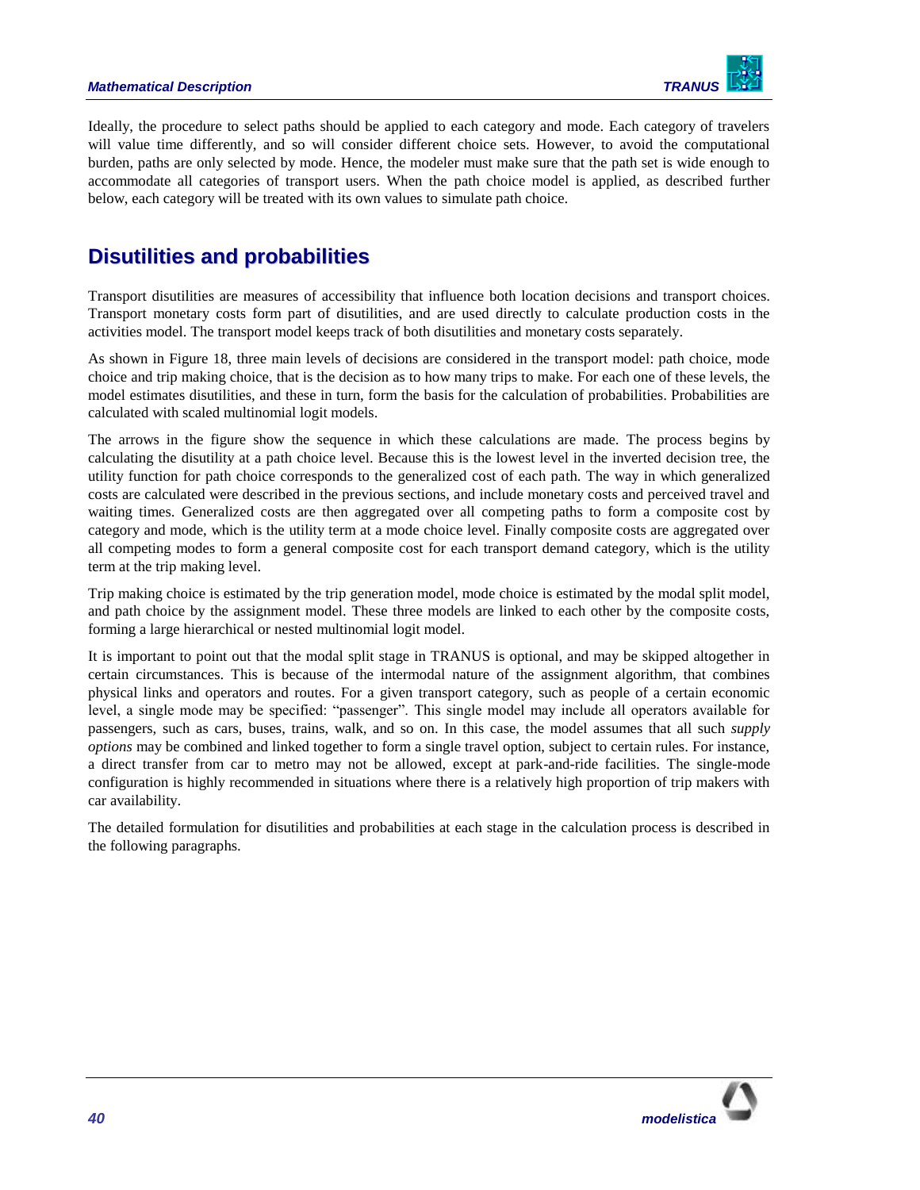### *Mathematical Description TRANUS*



Ideally, the procedure to select paths should be applied to each category and mode. Each category of travelers will value time differently, and so will consider different choice sets. However, to avoid the computational burden, paths are only selected by mode. Hence, the modeler must make sure that the path set is wide enough to accommodate all categories of transport users. When the path choice model is applied, as described further below, each category will be treated with its own values to simulate path choice.

# <span id="page-41-0"></span>**Disutilities and probabilities**

Transport disutilities are measures of accessibility that influence both location decisions and transport choices. Transport monetary costs form part of disutilities, and are used directly to calculate production costs in the activities model. The transport model keeps track of both disutilities and monetary costs separately.

As shown in [Figure 18,](#page-42-0) three main levels of decisions are considered in the transport model: path choice, mode choice and trip making choice, that is the decision as to how many trips to make. For each one of these levels, the model estimates disutilities, and these in turn, form the basis for the calculation of probabilities. Probabilities are calculated with scaled multinomial logit models.

The arrows in the figure show the sequence in which these calculations are made. The process begins by calculating the disutility at a path choice level. Because this is the lowest level in the inverted decision tree, the utility function for path choice corresponds to the generalized cost of each path. The way in which generalized costs are calculated were described in the previous sections, and include monetary costs and perceived travel and waiting times. Generalized costs are then aggregated over all competing paths to form a composite cost by category and mode, which is the utility term at a mode choice level. Finally composite costs are aggregated over all competing modes to form a general composite cost for each transport demand category, which is the utility term at the trip making level.

Trip making choice is estimated by the trip generation model, mode choice is estimated by the modal split model, and path choice by the assignment model. These three models are linked to each other by the composite costs, forming a large hierarchical or nested multinomial logit model.

It is important to point out that the modal split stage in TRANUS is optional, and may be skipped altogether in certain circumstances. This is because of the intermodal nature of the assignment algorithm, that combines physical links and operators and routes. For a given transport category, such as people of a certain economic level, a single mode may be specified: "passenger". This single model may include all operators available for passengers, such as cars, buses, trains, walk, and so on. In this case, the model assumes that all such *supply options* may be combined and linked together to form a single travel option, subject to certain rules. For instance, a direct transfer from car to metro may not be allowed, except at park-and-ride facilities. The single-mode configuration is highly recommended in situations where there is a relatively high proportion of trip makers with car availability.

The detailed formulation for disutilities and probabilities at each stage in the calculation process is described in the following paragraphs.

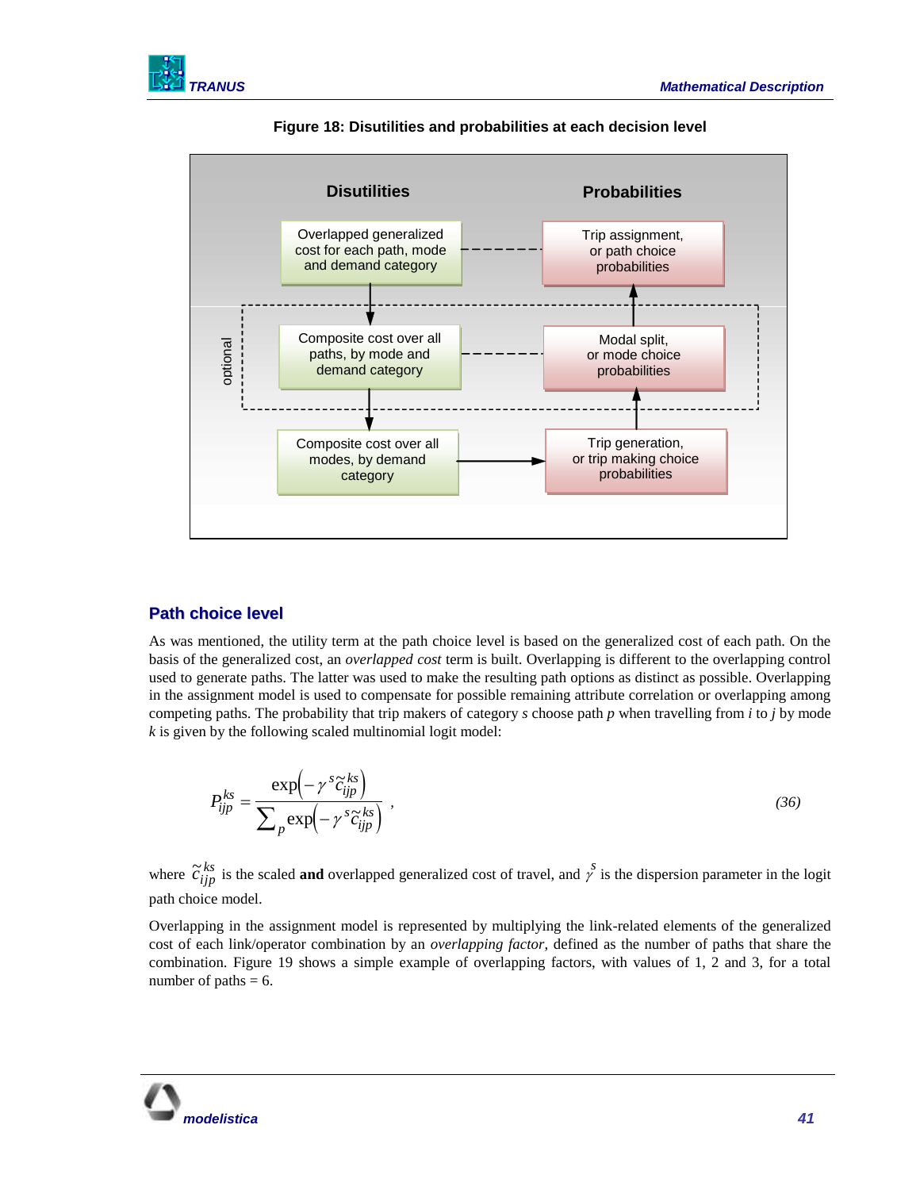

<span id="page-42-0"></span>

**Figure 18: Disutilities and probabilities at each decision level**

### **Path choice level**

As was mentioned, the utility term at the path choice level is based on the generalized cost of each path. On the basis of the generalized cost, an *overlapped cost* term is built. Overlapping is different to the overlapping control used to generate paths. The latter was used to make the resulting path options as distinct as possible. Overlapping in the assignment model is used to compensate for possible remaining attribute correlation or overlapping among competing paths. The probability that trip makers of category *s* choose path *p* when travelling from *i* to *j* by mode *k* is given by the following scaled multinomial logit model:

$$
P_{ijp}^{ks} = \frac{\exp\left(-\gamma^{s}\tilde{c}_{ijp}^{ks}\right)}{\sum_{p}\exp\left(-\gamma^{s}\tilde{c}_{ijp}^{ks}\right)}\,,\tag{36}
$$

where  $\tilde{c}_{ijp}^{ks}$  is the scaled **and** overlapped generalized cost of travel, and  $\gamma$ <sup>s</sup> is the dispersion parameter in the logit path choice model.

Overlapping in the assignment model is represented by multiplying the link-related elements of the generalized cost of each link/operator combination by an *overlapping factor*, defined as the number of paths that share the combination. [Figure 19](#page-43-0) shows a simple example of overlapping factors, with values of 1, 2 and 3, for a total number of paths  $= 6$ .

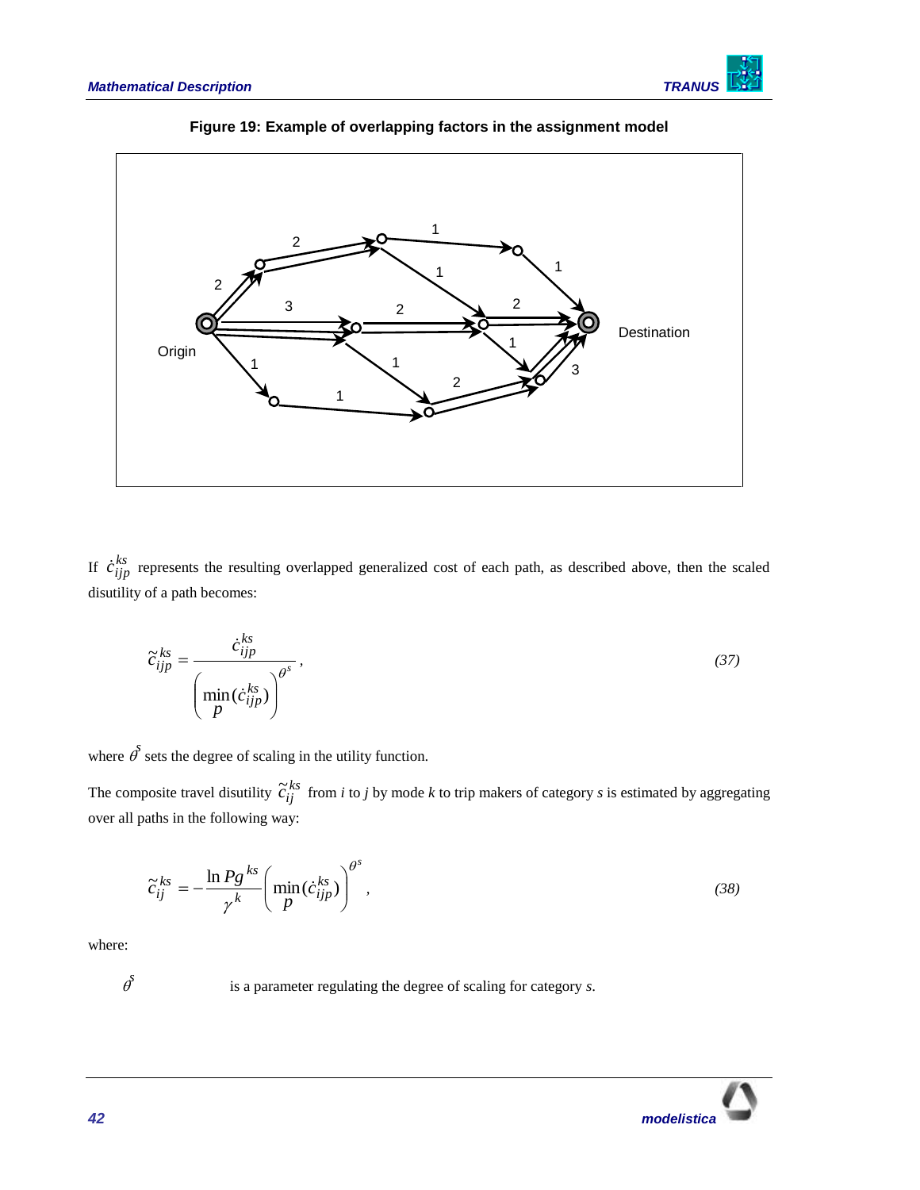

<span id="page-43-0"></span>

### **Figure 19: Example of overlapping factors in the assignment model**

If  $\dot{c}_{ijp}^{ks}$  represents the resulting overlapped generalized cost of each path, as described above, then the scaled disutility of a path becomes:

$$
\widetilde{c}_{ijp}^{ks} = \frac{\dot{c}_{ijp}^{ks}}{\left(\min_{p}(\dot{c}_{ijp}^{ks})\right)^{\theta^s}},\tag{37}
$$

where  $\hat{\theta}$  sets the degree of scaling in the utility function.

The composite travel disutility  $\tilde{c}_{ij}^{ks}$  from *i* to *j* by mode *k* to trip makers of category *s* is estimated by aggregating over all paths in the following way:

$$
\widetilde{c}_{ij}^{ks} = -\frac{\ln P g^{ks}}{\gamma^k} \left( \min_P (\dot{c}_{ijp}^{ks}) \right)^{\theta^s},\tag{38}
$$

where:

*s*

is a parameter regulating the degree of scaling for category *s*.

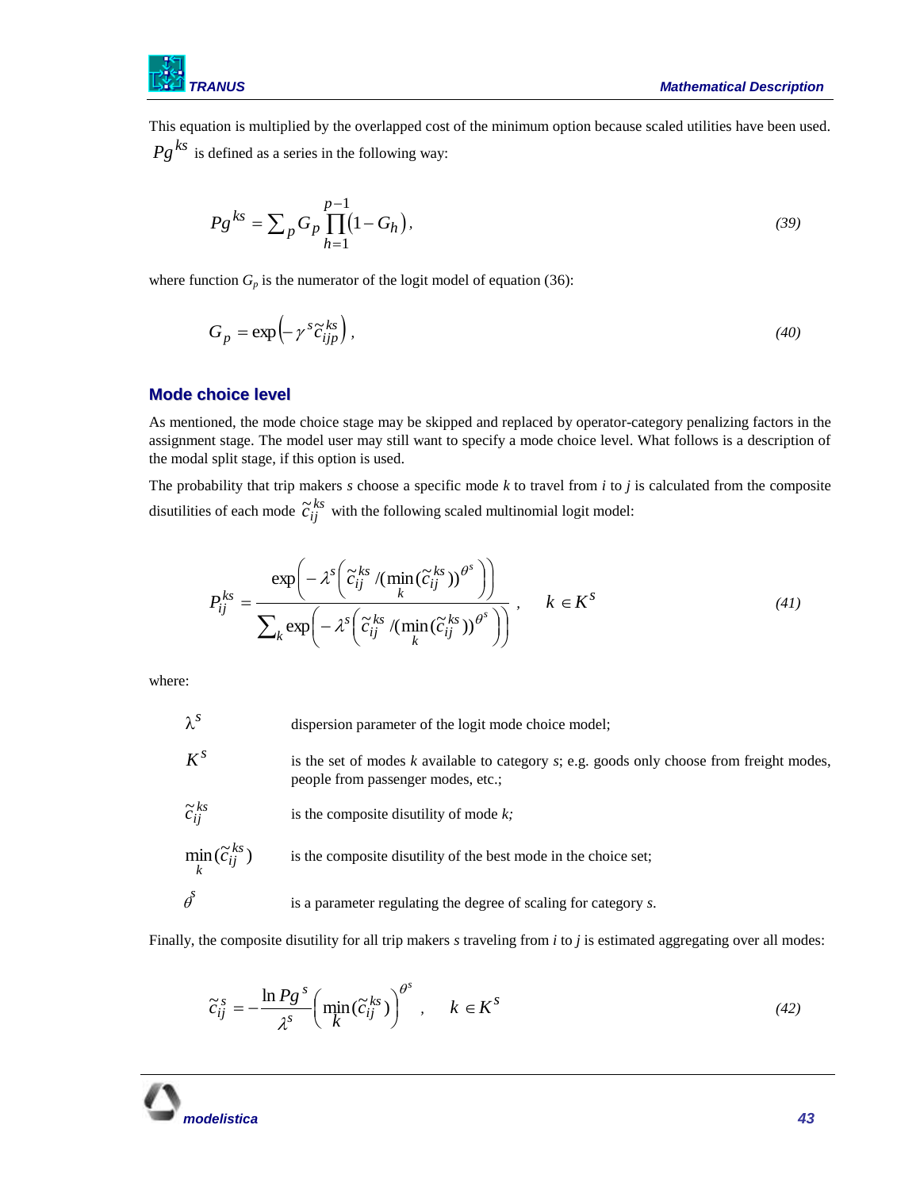

This equation is multiplied by the overlapped cost of the minimum option because scaled utilities have been used. *Pgks* is defined as a series in the following way:

$$
Pg^{ks} = \sum_{p} G_p \prod_{h=1}^{p-1} (1 - G_h),
$$
\n(39)

where function  $G_p$  is the numerator of the logit model of equation (36):

$$
G_p = \exp\left(-\gamma^s \tilde{c}_{ijp}^{ks}\right),\tag{40}
$$

### **Mode choice level**

As mentioned, the mode choice stage may be skipped and replaced by operator-category penalizing factors in the assignment stage. The model user may still want to specify a mode choice level. What follows is a description of the modal split stage, if this option is used.

The probability that trip makers *s* choose a specific mode *k* to travel from *i* to *j* is calculated from the composite disutilities of each mode  $\tilde{c}_{ij}^{ks}$  with the following scaled multinomial logit model:

$$
P_{ij}^{ks} = \frac{\exp\left(-\lambda^s \left(\tilde{c}_{ij}^{ks} / (\min_{k} (\tilde{c}_{ij}^{ks}))^{\theta^s}\right)\right)}{\sum_{k} \exp\left(-\lambda^s \left(\tilde{c}_{ij}^{ks} / (\min_{k} (\tilde{c}_{ij}^{ks}))^{\theta^s}\right)\right)}, \quad k \in K^s
$$
\n(41)

where:

- $\lambda^s$ dispersion parameter of the logit mode choice model; *K s* is the set of modes *k* available to category *s*; e.g. goods only choose from freight modes, people from passenger modes, etc.;
- $\tilde{c}^{ks}_{ij}$ is the composite disutility of mode *k;*

$$
\min_{k} (\widetilde{c}_{ij}^{ks})
$$
 is the composite distributility of the best mode in the choice set;  
\n
$$
\hat{\sigma}
$$
 is a parameter regulating the degree of scaling for category *s*.

is a parameter regulating the degree of scaling for category *s*.

Finally, the composite disutility for all trip makers *s* traveling from *i* to *j* is estimated aggregating over all modes:

$$
\widetilde{c}_{ij}^s = -\frac{\ln P g^s}{\lambda^s} \left( \min_k (\widetilde{c}_{ij}^{ks}) \right)^{\theta^s}, \quad k \in K^s \tag{42}
$$

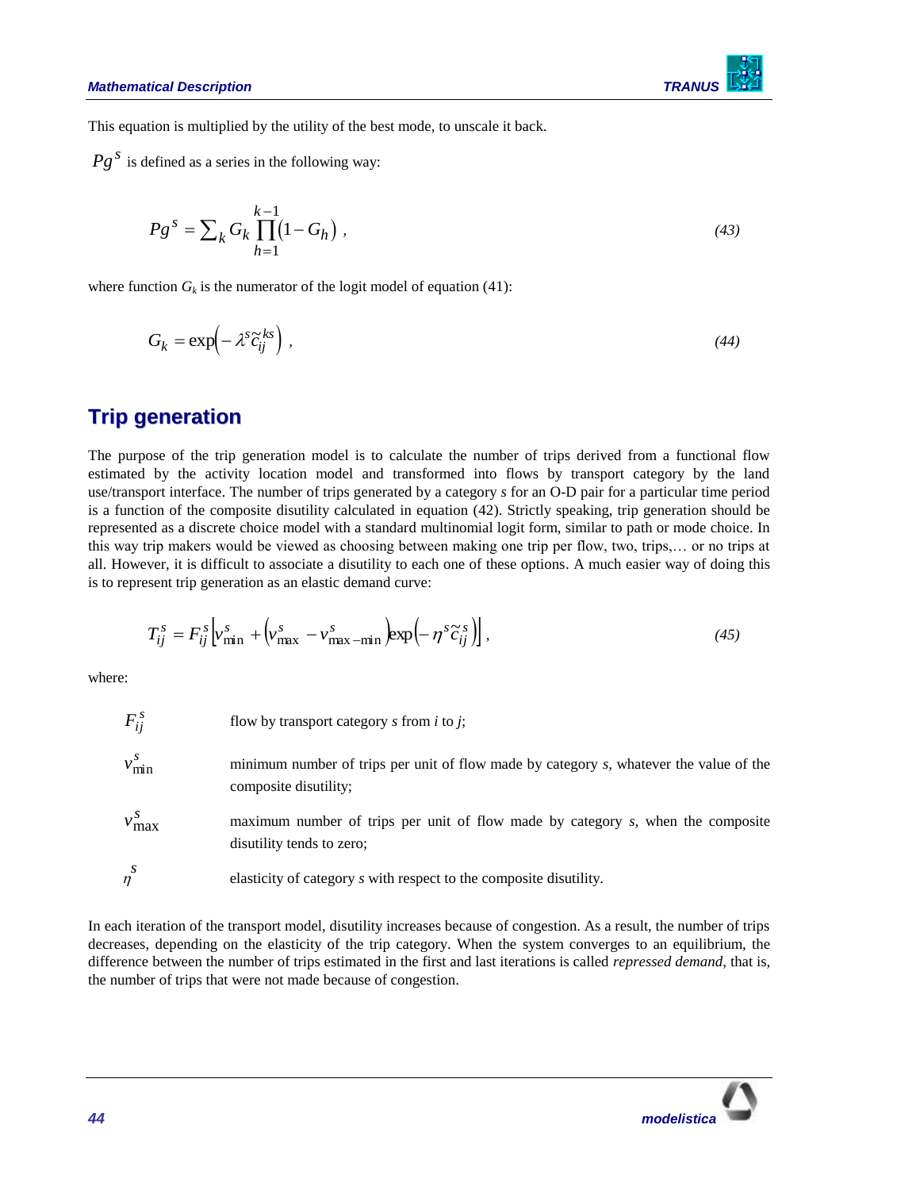

This equation is multiplied by the utility of the best mode, to unscale it back.

*Pg<sup>s</sup>* is defined as a series in the following way:

$$
Pg^s = \sum_{k} G_k \prod_{h=1}^{k-1} (1 - G_h), \qquad (43)
$$

where function  $G_k$  is the numerator of the logit model of equation (41):

$$
G_k = \exp\left(-\lambda^s \tilde{c}_{ij}^{ks}\right),\tag{44}
$$

### <span id="page-45-0"></span>**Trip generation**

The purpose of the trip generation model is to calculate the number of trips derived from a functional flow estimated by the activity location model and transformed into flows by transport category by the land use/transport interface. The number of trips generated by a category *s* for an O-D pair for a particular time period is a function of the composite disutility calculated in equation (42). Strictly speaking, trip generation should be represented as a discrete choice model with a standard multinomial logit form, similar to path or mode choice. In this way trip makers would be viewed as choosing between making one trip per flow, two, trips,… or no trips at all. However, it is difficult to associate a disutility to each one of these options. A much easier way of doing this is to represent trip generation as an elastic demand curve:

$$
T_{ij}^s = F_{ij}^s \left[ v_{\text{min}}^s + \left( v_{\text{max}}^s - v_{\text{max-min}}^s \right) \exp\left( -\eta^s \tilde{c}_{ij}^s \right) \right],\tag{45}
$$

where:

- $F_{ii}^s$ flow by transport category *s* from *i* to *j*;
- *s v*min minimum number of trips per unit of flow made by category *s,* whatever the value of the composite disutility;
- $v_n^s$ max maximum number of trips per unit of flow made by category *s,* when the composite disutility tends to zero;
- $n^s$ elasticity of category *s* with respect to the composite disutility.

In each iteration of the transport model, disutility increases because of congestion. As a result, the number of trips decreases, depending on the elasticity of the trip category. When the system converges to an equilibrium, the difference between the number of trips estimated in the first and last iterations is called *repressed demand,* that is, the number of trips that were not made because of congestion.

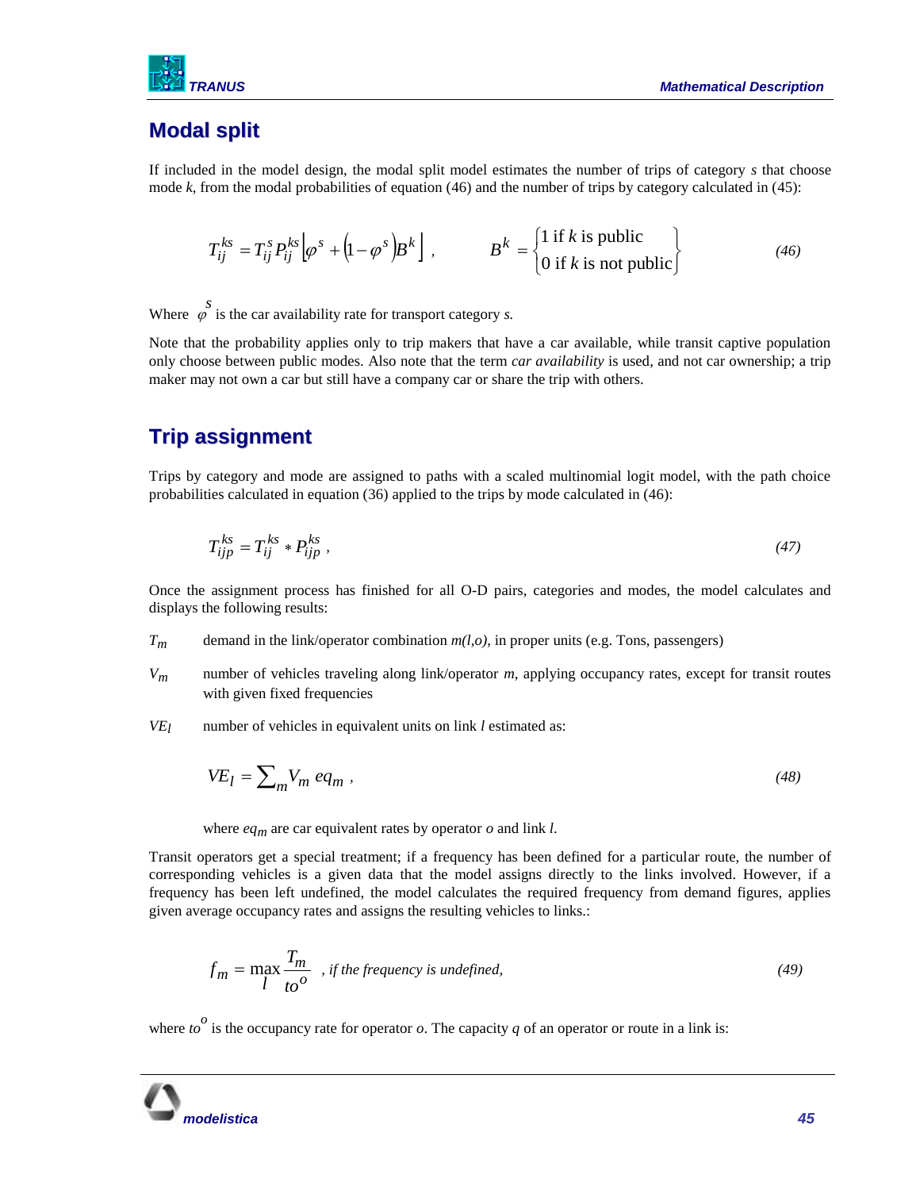

# <span id="page-46-0"></span>**Modal split**

If included in the model design, the modal split model estimates the number of trips of category *s* that choose mode *k*, from the modal probabilities of equation (46) and the number of trips by category calculated in (45):

$$
T_{ij}^{ks} = T_{ij}^{s} P_{ij}^{ks} \left[ \varphi^{s} + \left( 1 - \varphi^{s} \right) B^{k} \right], \qquad B^{k} = \begin{cases} 1 \text{ if } k \text{ is public} \\ 0 \text{ if } k \text{ is not public} \end{cases}
$$
 (46)

Where  $\varphi$ <sup>*s*</sup> is the car availability rate for transport category *s*.

Note that the probability applies only to trip makers that have a car available, while transit captive population only choose between public modes. Also note that the term *car availability* is used, and not car ownership; a trip maker may not own a car but still have a company car or share the trip with others.

# <span id="page-46-1"></span>**Trip assignment**

Trips by category and mode are assigned to paths with a scaled multinomial logit model, with the path choice probabilities calculated in equation (36) applied to the trips by mode calculated in (46):

$$
T_{ijp}^{ks} = T_{ij}^{ks} * P_{ijp}^{ks},\tag{47}
$$

Once the assignment process has finished for all O-D pairs, categories and modes, the model calculates and displays the following results:

*Tm* demand in the link/operator combination *m(l,o)*, in proper units (e.g. Tons, passengers)

- *Vm* number of vehicles traveling along link/operator *m*, applying occupancy rates, except for transit routes with given fixed frequencies
- *VEl* number of vehicles in equivalent units on link *l* estimated as:

$$
VE_l = \sum_{m} V_m \, eq_m \,, \tag{48}
$$

where  $eq<sub>m</sub>$  are car equivalent rates by operator  $o$  and link *l*.

Transit operators get a special treatment; if a frequency has been defined for a particular route, the number of corresponding vehicles is a given data that the model assigns directly to the links involved. However, if a frequency has been left undefined, the model calculates the required frequency from demand figures, applies given average occupancy rates and assigns the resulting vehicles to links.:

$$
f_m = \max_l \frac{T_m}{to^o}
$$
, if the frequency is undefined, (49)

where  $to^o$  is the occupancy rate for operator  $o$ . The capacity  $q$  of an operator or route in a link is:

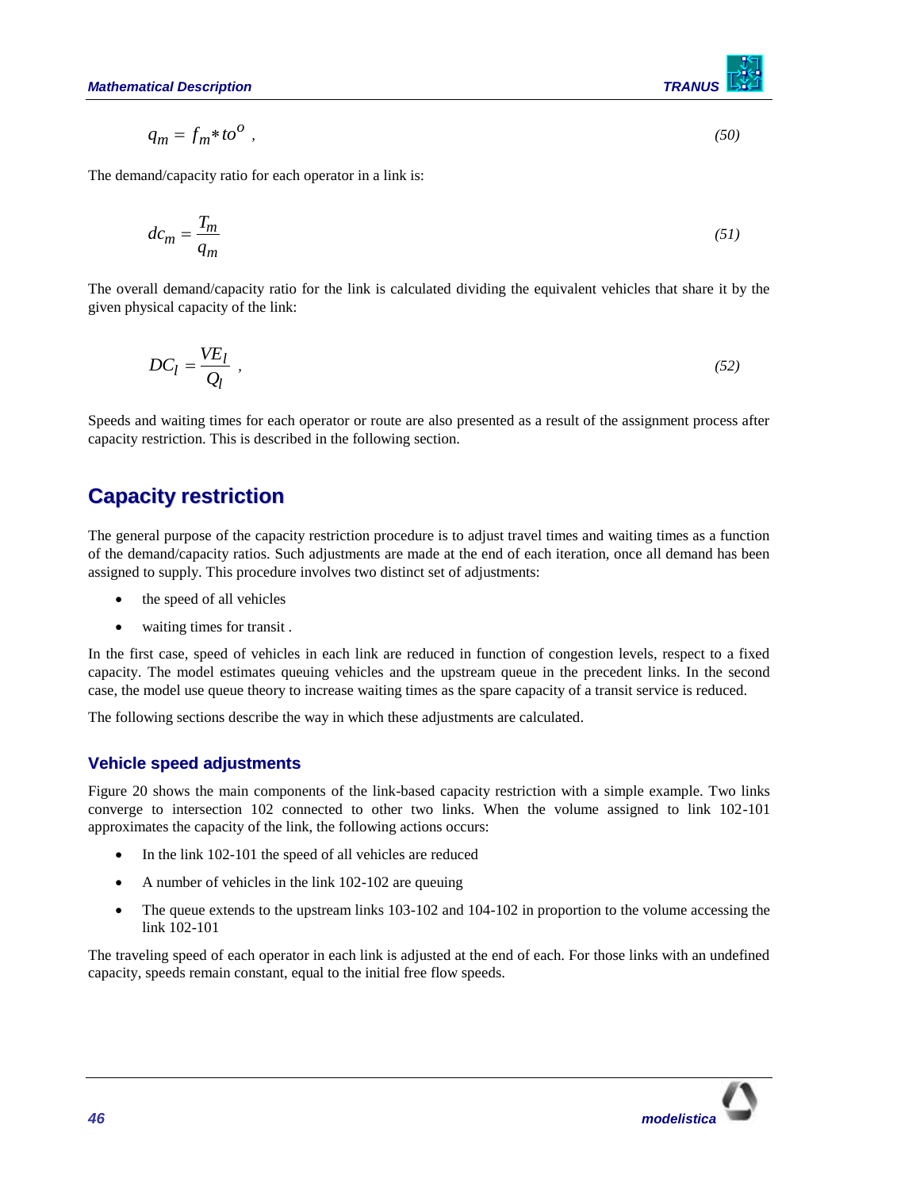$$
q_m = f_m * to^o \t\t(50)
$$

The demand/capacity ratio for each operator in a link is:

$$
dc_m = \frac{T_m}{q_m} \tag{51}
$$

The overall demand/capacity ratio for the link is calculated dividing the equivalent vehicles that share it by the given physical capacity of the link:

$$
DC_l = \frac{VE_l}{Q_l} \tag{52}
$$

Speeds and waiting times for each operator or route are also presented as a result of the assignment process after capacity restriction. This is described in the following section.

# <span id="page-47-0"></span>**Capacity restriction**

The general purpose of the capacity restriction procedure is to adjust travel times and waiting times as a function of the demand/capacity ratios. Such adjustments are made at the end of each iteration, once all demand has been assigned to supply. This procedure involves two distinct set of adjustments:

- the speed of all vehicles
- waiting times for transit .

In the first case, speed of vehicles in each link are reduced in function of congestion levels, respect to a fixed capacity. The model estimates queuing vehicles and the upstream queue in the precedent links. In the second case, the model use queue theory to increase waiting times as the spare capacity of a transit service is reduced.

The following sections describe the way in which these adjustments are calculated.

### **Vehicle speed adjustments**

[Figure 20](#page-48-0) shows the main components of the link-based capacity restriction with a simple example. Two links converge to intersection 102 connected to other two links. When the volume assigned to link 102-101 approximates the capacity of the link, the following actions occurs:

- In the link 102-101 the speed of all vehicles are reduced
- A number of vehicles in the link 102-102 are queuing
- The queue extends to the upstream links 103-102 and 104-102 in proportion to the volume accessing the link 102-101

The traveling speed of each operator in each link is adjusted at the end of each. For those links with an undefined capacity, speeds remain constant, equal to the initial free flow speeds.

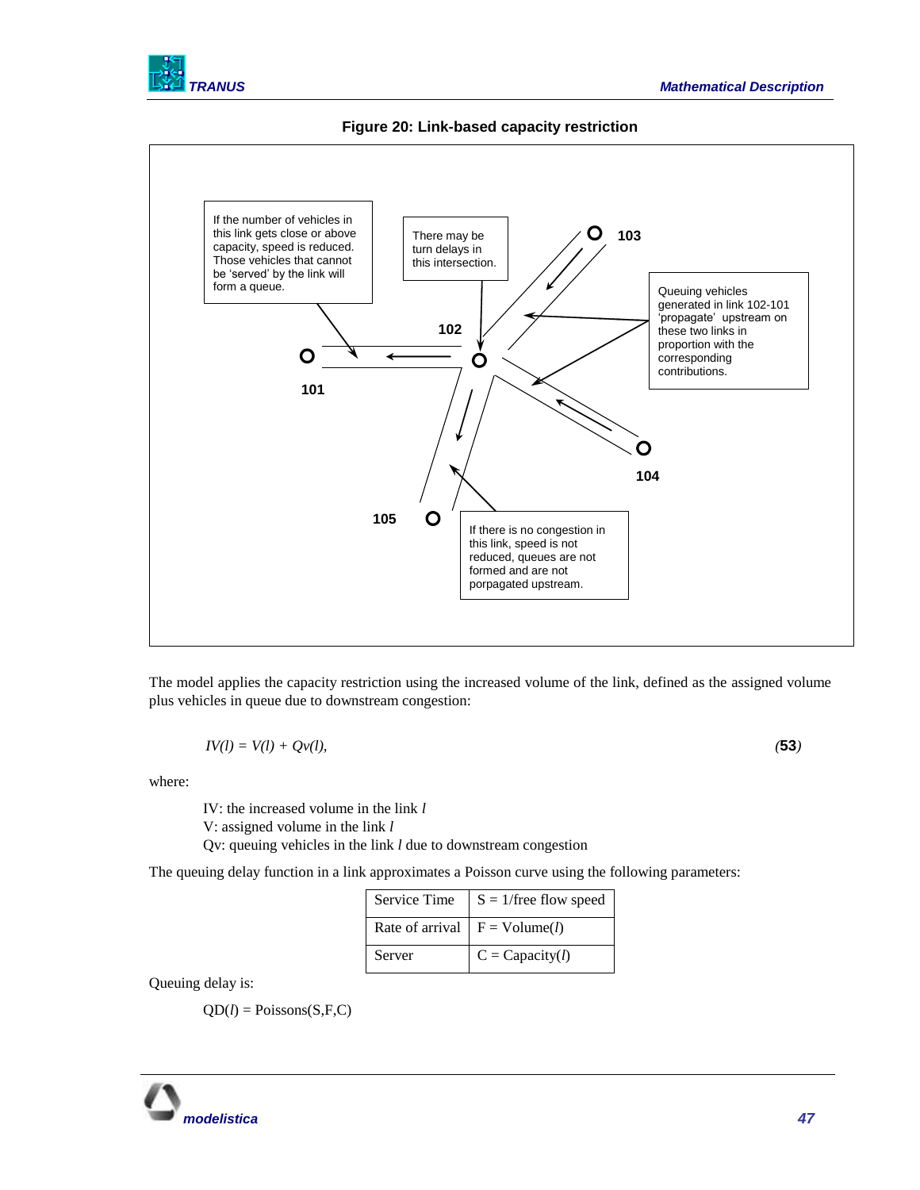



<span id="page-48-0"></span>

The model applies the capacity restriction using the increased volume of the link, defined as the assigned volume plus vehicles in queue due to downstream congestion:

$$
IV(l) = V(l) + Qv(l),
$$
\n(53)

where:

IV: the increased volume in the link *l* V: assigned volume in the link *l* Qv: queuing vehicles in the link *l* due to downstream congestion

The queuing delay function in a link approximates a Poisson curve using the following parameters:

| Service Time | $S = 1$ /free flow speed               |
|--------------|----------------------------------------|
|              | Rate of arrival $F = \text{Volume}(l)$ |
| Server       | $C = Capacity(l)$                      |

Queuing delay is:

 $QD(l) = Poisson(s, F, C)$ 

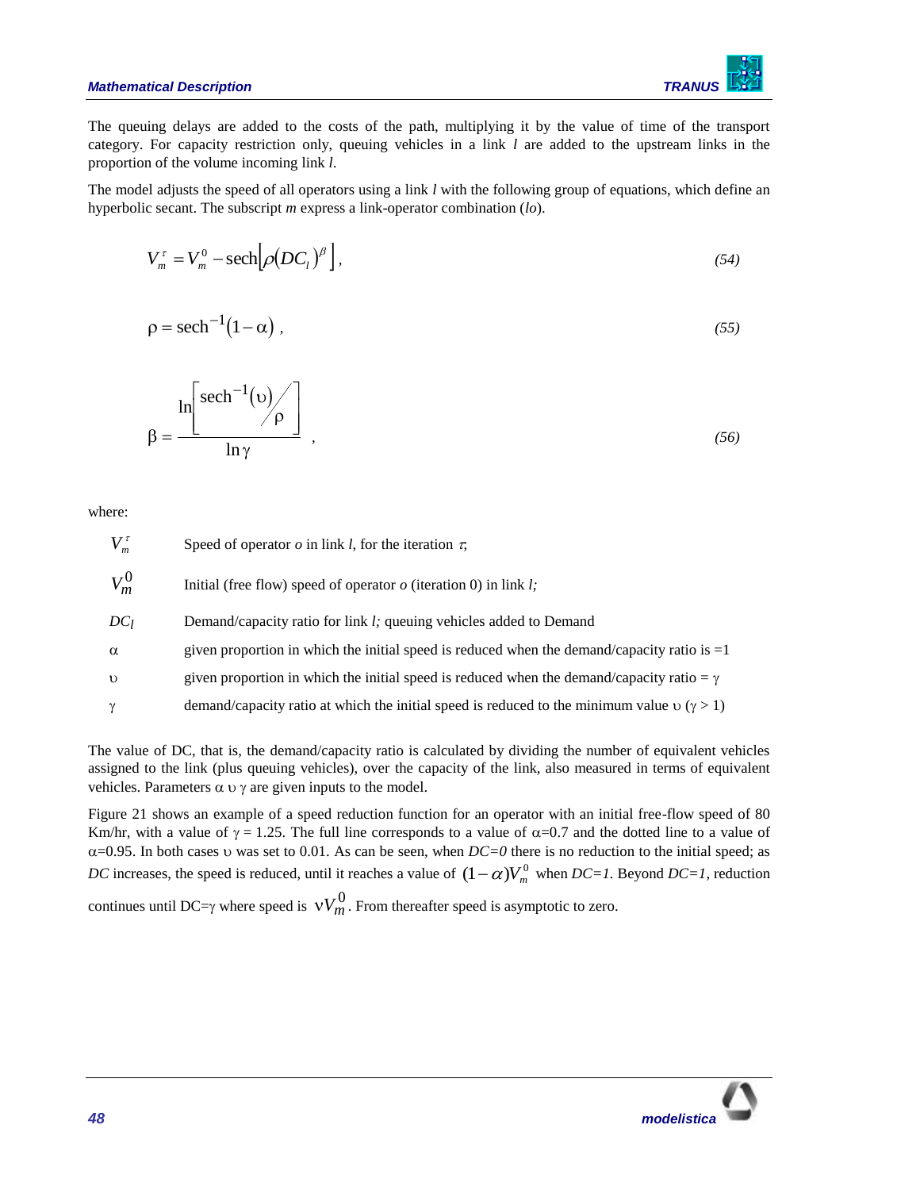

The queuing delays are added to the costs of the path, multiplying it by the value of time of the transport category. For capacity restriction only, queuing vehicles in a link *l* are added to the upstream links in the proportion of the volume incoming link *l*.

The model adjusts the speed of all operators using a link *l* with the following group of equations, which define an hyperbolic secant. The subscript *m* express a link-operator combination (*lo*).

$$
V_m^{\tau} = V_m^0 - \text{sech}\big[\rho (D C_l)^{\beta}\big],\tag{54}
$$

$$
\rho = sech^{-1}(1-\alpha) \tag{55}
$$

$$
\beta = \frac{\ln \left[ \text{sech}^{-1}(v) \middle/ \rho \right]}{\ln \gamma},
$$
\n(56)

where:

| $V_n^{\tau}$ | Speed of operator o in link l, for the iteration $\tau$ ,                                        |
|--------------|--------------------------------------------------------------------------------------------------|
| $V_m^0$      | Initial (free flow) speed of operator $o$ (iteration 0) in link $l$ ;                            |
| $DC_l$       | Demand/capacity ratio for link <i>l</i> ; queuing vehicles added to Demand                       |
| $\alpha$     | given proportion in which the initial speed is reduced when the demand/capacity ratio is $=1$    |
| $\upsilon$   | given proportion in which the initial speed is reduced when the demand/capacity ratio = $\gamma$ |
|              | demand/capacity ratio at which the initial speed is reduced to the minimum value $v(\gamma > 1)$ |

The value of DC, that is, the demand/capacity ratio is calculated by dividing the number of equivalent vehicles assigned to the link (plus queuing vehicles), over the capacity of the link, also measured in terms of equivalent vehicles. Parameters  $\alpha$  v  $\gamma$  are given inputs to the model.

Figure 21 shows an example of a speed reduction function for an operator with an initial free-flow speed of 80 Km/hr, with a value of  $\gamma = 1.25$ . The full line corresponds to a value of  $\alpha = 0.7$  and the dotted line to a value of  $\alpha$ =0.95. In both cases  $\upsilon$  was set to 0.01. As can be seen, when *DC*=0 there is no reduction to the initial speed; as *DC* increases, the speed is reduced, until it reaches a value of  $(1 - \alpha)V_m^0$  when *DC=1*. Beyond *DC=1*, reduction continues until DC= $\gamma$  where speed is  $\mathcal{V}_{m}^{0}$ . From thereafter speed is asymptotic to zero.

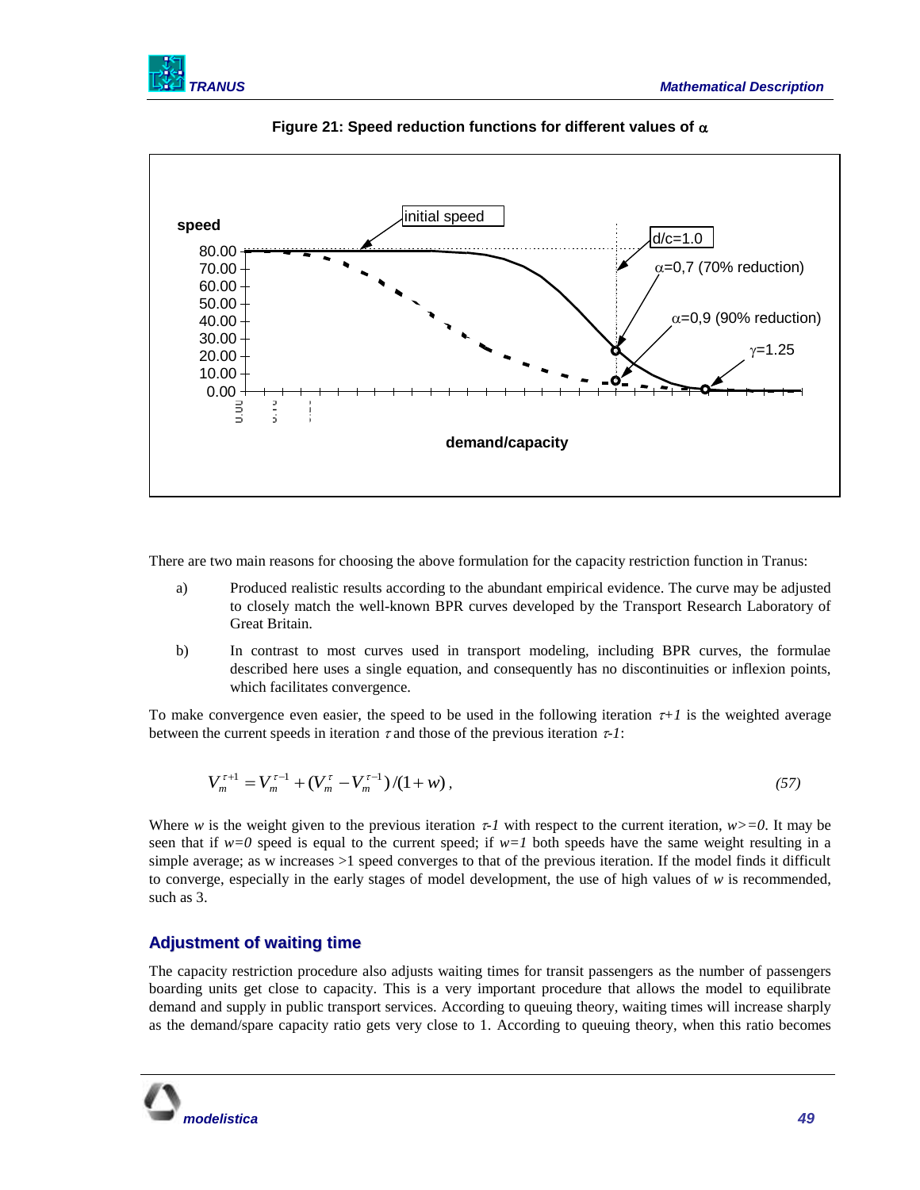



Figure 21: Speed reduction functions for different values of  $\alpha$ 

There are two main reasons for choosing the above formulation for the capacity restriction function in Tranus:

- a) Produced realistic results according to the abundant empirical evidence. The curve may be adjusted to closely match the well-known BPR curves developed by the Transport Research Laboratory of Great Britain.
- b) In contrast to most curves used in transport modeling, including BPR curves, the formulae described here uses a single equation, and consequently has no discontinuities or inflexion points, which facilitates convergence.

To make convergence even easier, the speed to be used in the following iteration  $\tau + I$  is the weighted average between the current speeds in iteration  $\tau$  and those of the previous iteration  $\tau$ -1:

$$
V_m^{\tau+1} = V_m^{\tau-1} + (V_m^{\tau} - V_m^{\tau-1})/(1+w),\tag{57}
$$

Where *w* is the weight given to the previous iteration  $\tau$ -*I* with respect to the current iteration,  $w$ >=0. It may be seen that if  $w=0$  speed is equal to the current speed; if  $w=1$  both speeds have the same weight resulting in a simple average; as w increases >1 speed converges to that of the previous iteration. If the model finds it difficult to converge, especially in the early stages of model development, the use of high values of *w* is recommended, such as 3.

### **Adjustment of waiting time**

The capacity restriction procedure also adjusts waiting times for transit passengers as the number of passengers boarding units get close to capacity. This is a very important procedure that allows the model to equilibrate demand and supply in public transport services. According to queuing theory, waiting times will increase sharply as the demand/spare capacity ratio gets very close to 1. According to queuing theory, when this ratio becomes

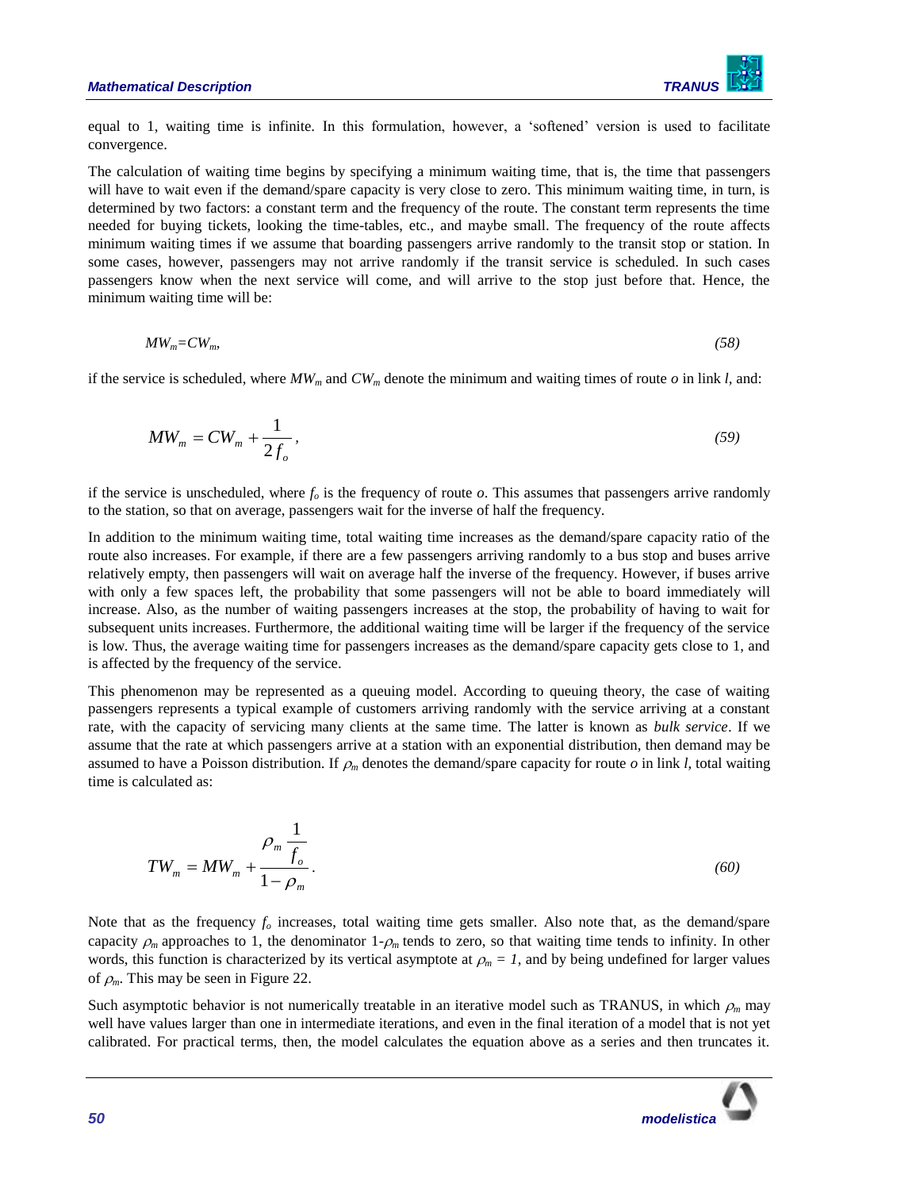

equal to 1, waiting time is infinite. In this formulation, however, a 'softened' version is used to facilitate convergence.

The calculation of waiting time begins by specifying a minimum waiting time, that is, the time that passengers will have to wait even if the demand/spare capacity is very close to zero. This minimum waiting time, in turn, is determined by two factors: a constant term and the frequency of the route. The constant term represents the time needed for buying tickets, looking the time-tables, etc., and maybe small. The frequency of the route affects minimum waiting times if we assume that boarding passengers arrive randomly to the transit stop or station. In some cases, however, passengers may not arrive randomly if the transit service is scheduled. In such cases passengers know when the next service will come, and will arrive to the stop just before that. Hence, the minimum waiting time will be:

$$
MW_m = CW_m, \tag{58}
$$

if the service is scheduled, where  $MW_m$  and  $CW_m$  denote the minimum and waiting times of route  $o$  in link  $l$ , and:

$$
MW_m = CW_m + \frac{1}{2f_o},\tag{59}
$$

if the service is unscheduled, where  $f<sub>o</sub>$  is the frequency of route  $o$ . This assumes that passengers arrive randomly to the station, so that on average, passengers wait for the inverse of half the frequency.

In addition to the minimum waiting time, total waiting time increases as the demand/spare capacity ratio of the route also increases. For example, if there are a few passengers arriving randomly to a bus stop and buses arrive relatively empty, then passengers will wait on average half the inverse of the frequency. However, if buses arrive with only a few spaces left, the probability that some passengers will not be able to board immediately will increase. Also, as the number of waiting passengers increases at the stop, the probability of having to wait for subsequent units increases. Furthermore, the additional waiting time will be larger if the frequency of the service is low. Thus, the average waiting time for passengers increases as the demand/spare capacity gets close to 1, and is affected by the frequency of the service.

This phenomenon may be represented as a queuing model. According to queuing theory, the case of waiting passengers represents a typical example of customers arriving randomly with the service arriving at a constant rate, with the capacity of servicing many clients at the same time. The latter is known as *bulk service*. If we assume that the rate at which passengers arrive at a station with an exponential distribution, then demand may be assumed to have a Poisson distribution. If  $\rho_m$  denotes the demand/spare capacity for route  $o$  in link *l*, total waiting time is calculated as:

$$
TW_m = MW_m + \frac{\rho_m \frac{1}{f_o}}{1 - \rho_m}.
$$
\n
$$
(60)
$$

Note that as the frequency  $f<sub>o</sub>$  increases, total waiting time gets smaller. Also note that, as the demand/spare capacity  $\rho_m$  approaches to 1, the denominator  $1-\rho_m$  tends to zero, so that waiting time tends to infinity. In other words, this function is characterized by its vertical asymptote at  $\rho_m = 1$ , and by being undefined for larger values of  $\rho_m$ . This may be seen i[n Figure 22.](#page-52-1)

Such asymptotic behavior is not numerically treatable in an iterative model such as TRANUS, in which  $\rho_m$  may well have values larger than one in intermediate iterations, and even in the final iteration of a model that is not yet calibrated. For practical terms, then, the model calculates the equation above as a series and then truncates it.